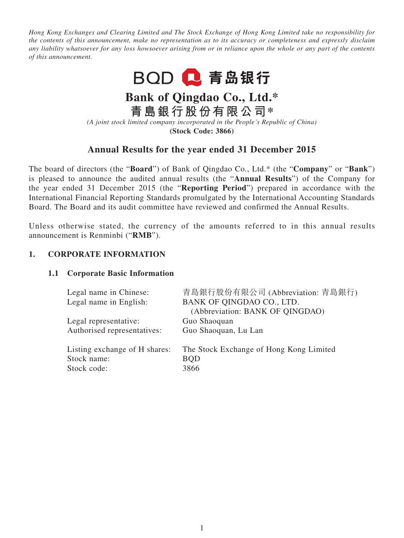*Hong Kong Exchanges and Clearing Limited and The Stock Exchange of Hong Kong Limited take no responsibility for the contents of this announcement, make no representation as to its accuracy or completeness and expressly disclaim any liability whatsoever for any loss howsoever arising from or in reliance upon the whole or any part of the contents of this announcement.*



# **Bank of Qingdao Co., Ltd.\***

**青島銀行股份有限公司\***

*(A joint stock limited company incorporated in the People's Republic of China)* **(Stock Code: 3866)**

# **Annual Results for the year ended 31 December 2015**

The board of directors (the "**Board**") of Bank of Qingdao Co., Ltd.\* (the "**Company**" or "**Bank**") is pleased to announce the audited annual results (the "**Annual Results**") of the Company for the year ended 31 December 2015 (the "**Reporting Period**") prepared in accordance with the International Financial Reporting Standards promulgated by the International Accounting Standards Board. The Board and its audit committee have reviewed and confirmed the Annual Results.

Unless otherwise stated, the currency of the amounts referred to in this annual results announcement is Renminbi ("**RMB**").

# **1. CORPORATE INFORMATION**

# **1.1 Corporate Basic Information**

| Legal name in Chinese:        | 青島銀行股份有限公司 (Abbreviation: 青島銀行)         |
|-------------------------------|-----------------------------------------|
| Legal name in English:        | BANK OF QINGDAO CO., LTD.               |
|                               | (Abbreviation: BANK OF QINGDAO)         |
| Legal representative:         | Guo Shaoquan                            |
| Authorised representatives:   | Guo Shaoquan, Lu Lan                    |
| Listing exchange of H shares: | The Stock Exchange of Hong Kong Limited |
| Stock name:                   | <b>BQD</b>                              |
| Stock code:                   | 3866                                    |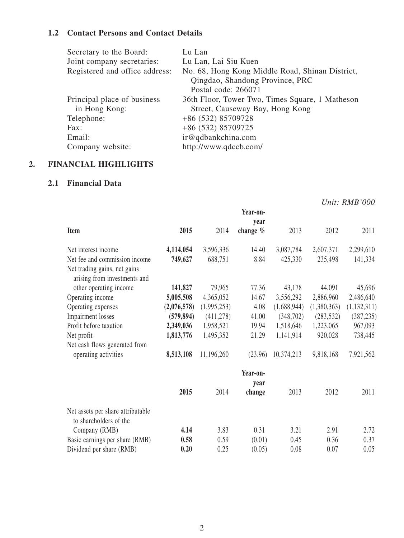# **1.2 Contact Persons and Contact Details**

| Secretary to the Board:        | Lu Lan                                          |
|--------------------------------|-------------------------------------------------|
| Joint company secretaries:     | Lu Lan, Lai Siu Kuen                            |
| Registered and office address: | No. 68, Hong Kong Middle Road, Shinan District, |
|                                | Qingdao, Shandong Province, PRC                 |
|                                | Postal code: 266071                             |
| Principal place of business    | 36th Floor, Tower Two, Times Square, 1 Matheson |
| in Hong Kong:                  | Street, Causeway Bay, Hong Kong                 |
| Telephone:                     | +86 (532) 85709728                              |
| Fax:                           | +86 (532) 85709725                              |
| Email:                         | ir@qdbankchina.com                              |
| Company website:               | http://www.qdccb.com/                           |

# **2. FINANCIAL HIGHLIGHTS**

# **2.1 Financial Data**

|                                                              |             |             |                            |             |             | Unit: RMB'000 |
|--------------------------------------------------------------|-------------|-------------|----------------------------|-------------|-------------|---------------|
|                                                              |             |             | Year-on-                   |             |             |               |
| Item                                                         | 2015        | 2014        | year<br>change $%$         | 2013        | 2012        | 2011          |
| Net interest income                                          | 4,114,054   | 3,596,336   | 14.40                      | 3,087,784   | 2,607,371   | 2,299,610     |
| Net fee and commission income                                | 749,627     | 688,751     | 8.84                       | 425,330     | 235,498     | 141,334       |
| Net trading gains, net gains<br>arising from investments and |             |             |                            |             |             |               |
| other operating income                                       | 141,827     | 79,965      | 77.36                      | 43,178      | 44,091      | 45,696        |
| Operating income                                             | 5,005,508   | 4,365,052   | 14.67                      | 3,556,292   | 2,886,960   | 2,486,640     |
| Operating expenses                                           | (2,076,578) | (1,995,253) | 4.08                       | (1,688,944) | (1,380,363) | (1, 132, 311) |
| <b>Impairment</b> losses                                     | (579, 894)  | (411, 278)  | 41.00                      | (348,702)   | (283, 532)  | (387, 235)    |
| Profit before taxation                                       | 2,349,036   | 1,958,521   | 19.94                      | 1,518,646   | 1,223,065   | 967,093       |
| Net profit                                                   | 1,813,776   | 1,495,352   | 21.29                      | 1,141,914   | 920,028     | 738,445       |
| Net cash flows generated from                                |             |             |                            |             |             |               |
| operating activities                                         | 8,513,108   | 11,196,260  | (23.96)                    | 10,374,213  | 9,818,168   | 7,921,562     |
|                                                              | 2015        | 2014        | Year-on-<br>year<br>change | 2013        | 2012        | 2011          |
| Net assets per share attributable<br>to shareholders of the  |             |             |                            |             |             |               |
| Company (RMB)                                                | 4.14        | 3.83        | 0.31                       | 3.21        | 2.91        | 2.72          |
| Basic earnings per share (RMB)                               | 0.58        | 0.59        | (0.01)                     | 0.45        | 0.36        | 0.37          |
| Dividend per share (RMB)                                     | 0.20        | 0.25        | (0.05)                     | 0.08        | 0.07        | 0.05          |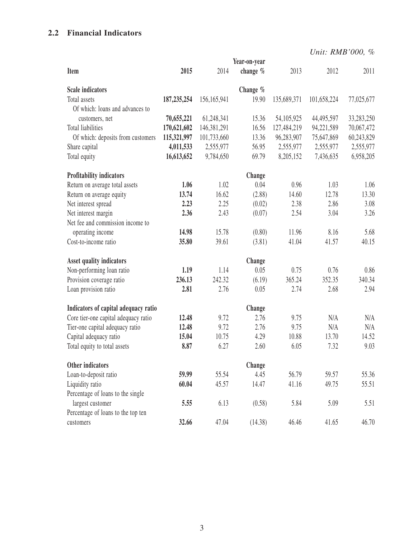# **2.2 Financial Indicators**

*Unit: RMB'000, %*

|                                      |               |             | Year-on-year |             |             |            |
|--------------------------------------|---------------|-------------|--------------|-------------|-------------|------------|
| Item                                 | 2015          | 2014        | change %     | 2013        | 2012        | 2011       |
| <b>Scale indicators</b>              |               |             | Change $%$   |             |             |            |
| Total assets                         | 187, 235, 254 | 156,165,941 | 19.90        | 135,689,371 | 101,658,224 | 77,025,677 |
| Of which: loans and advances to      |               |             |              |             |             |            |
| customers, net                       | 70,655,221    | 61,248,341  | 15.36        | 54,105,925  | 44,495,597  | 33,283,250 |
| Total liabilities                    | 170,621,602   | 146,381,291 | 16.56        | 127,484,219 | 94,221,589  | 70,067,472 |
| Of which: deposits from customers    | 115,321,997   | 101,733,660 | 13.36        | 96,283,907  | 75,647,869  | 60,243,829 |
| Share capital                        | 4,011,533     | 2,555,977   | 56.95        | 2,555,977   | 2,555,977   | 2,555,977  |
| Total equity                         | 16,613,652    | 9,784,650   | 69.79        | 8,205,152   | 7,436,635   | 6,958,205  |
| Profitability indicators             |               |             | Change       |             |             |            |
| Return on average total assets       | 1.06          | 1.02        | 0.04         | 0.96        | 1.03        | 1.06       |
| Return on average equity             | 13.74         | 16.62       | (2.88)       | 14.60       | 12.78       | 13.30      |
| Net interest spread                  | 2.23          | 2.25        | (0.02)       | 2.38        | 2.86        | 3.08       |
| Net interest margin                  | 2.36          | 2.43        | (0.07)       | 2.54        | 3.04        | 3.26       |
| Net fee and commission income to     |               |             |              |             |             |            |
| operating income                     | 14.98         | 15.78       | (0.80)       | 11.96       | 8.16        | 5.68       |
| Cost-to-income ratio                 | 35.80         | 39.61       | (3.81)       | 41.04       | 41.57       | 40.15      |
| Asset quality indicators             |               |             | Change       |             |             |            |
| Non-performing loan ratio            | 1.19          | 1.14        | 0.05         | 0.75        | 0.76        | 0.86       |
| Provision coverage ratio             | 236.13        | 242.32      | (6.19)       | 365.24      | 352.35      | 340.34     |
| Loan provision ratio                 | 2.81          | 2.76        | 0.05         | 2.74        | 2.68        | 2.94       |
| Indicators of capital adequacy ratio |               |             | Change       |             |             |            |
| Core tier-one capital adequacy ratio | 12.48         | 9.72        | 2.76         | 9.75        | N/A         | N/A        |
| Tier-one capital adequacy ratio      | 12.48         | 9.72        | 2.76         | 9.75        | N/A         | N/A        |
| Capital adequacy ratio               | 15.04         | 10.75       | 4.29         | 10.88       | 13.70       | 14.52      |
| Total equity to total assets         | 8.87          | 6.27        | 2.60         | 6.05        | 7.32        | 9.03       |
| Other indicators                     |               |             | Change       |             |             |            |
| Loan-to-deposit ratio                | 59.99         | 55.54       | 4.45         | 56.79       | 59.57       | 55.36      |
| Liquidity ratio                      | 60.04         | 45.57       | 14.47        | 41.16       | 49.75       | 55.51      |
| Percentage of loans to the single    |               |             |              |             |             |            |
| largest customer                     | 5.55          | 6.13        | (0.58)       | 5.84        | 5.09        | 5.51       |
| Percentage of loans to the top ten   |               |             |              |             |             |            |
| customers                            | 32.66         | 47.04       | (14.38)      | 46.46       | 41.65       | 46.70      |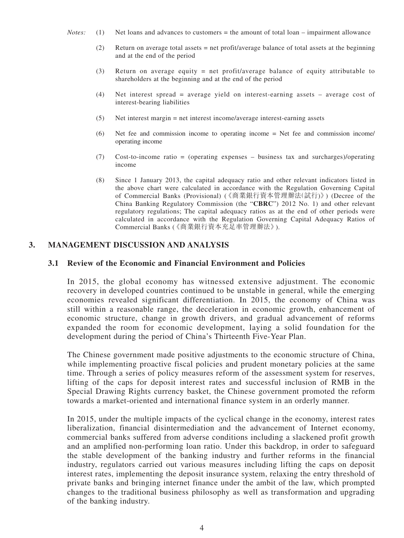- *Notes:* (1) Net loans and advances to customers = the amount of total loan impairment allowance
	- (2) Return on average total assets = net profit/average balance of total assets at the beginning and at the end of the period
	- (3) Return on average equity = net profit/average balance of equity attributable to shareholders at the beginning and at the end of the period
	- (4) Net interest spread = average yield on interest-earning assets average cost of interest-bearing liabilities
	- (5) Net interest margin = net interest income/average interest-earning assets
	- (6) Net fee and commission income to operating income = Net fee and commission income/ operating income
	- (7) Cost-to-income ratio = (operating expenses business tax and surcharges)/operating income
	- (8) Since 1 January 2013, the capital adequacy ratio and other relevant indicators listed in the above chart were calculated in accordance with the Regulation Governing Capital of Commercial Banks (Provisional) (《商業銀行資本管理辦法(試行)》) (Decree of the China Banking Regulatory Commission (the "**CBRC**") 2012 No. 1) and other relevant regulatory regulations; The capital adequacy ratios as at the end of other periods were calculated in accordance with the Regulation Governing Capital Adequacy Ratios of Commercial Banks (《商業銀行資本充足率管理辦法》).

# **3. Management Discussion and Analysis**

#### **3.1 Review of the Economic and Financial Environment and Policies**

In 2015, the global economy has witnessed extensive adjustment. The economic recovery in developed countries continued to be unstable in general, while the emerging economies revealed significant differentiation. In 2015, the economy of China was still within a reasonable range, the deceleration in economic growth, enhancement of economic structure, change in growth drivers, and gradual advancement of reforms expanded the room for economic development, laying a solid foundation for the development during the period of China's Thirteenth Five-Year Plan.

The Chinese government made positive adjustments to the economic structure of China, while implementing proactive fiscal policies and prudent monetary policies at the same time. Through a series of policy measures reform of the assessment system for reserves, lifting of the caps for deposit interest rates and successful inclusion of RMB in the Special Drawing Rights currency basket, the Chinese government promoted the reform towards a market-oriented and international finance system in an orderly manner.

In 2015, under the multiple impacts of the cyclical change in the economy, interest rates liberalization, financial disintermediation and the advancement of Internet economy, commercial banks suffered from adverse conditions including a slackened profit growth and an amplified non-performing loan ratio. Under this backdrop, in order to safeguard the stable development of the banking industry and further reforms in the financial industry, regulators carried out various measures including lifting the caps on deposit interest rates, implementing the deposit insurance system, relaxing the entry threshold of private banks and bringing internet finance under the ambit of the law, which prompted changes to the traditional business philosophy as well as transformation and upgrading of the banking industry.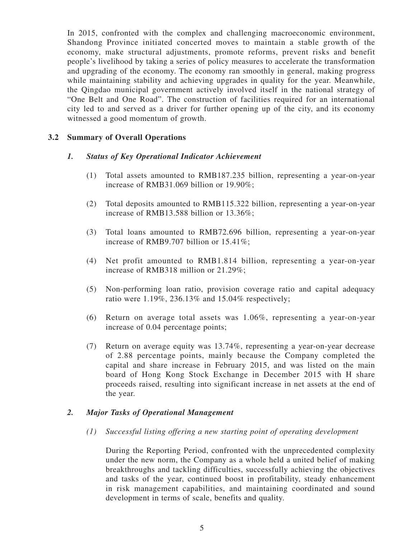In 2015, confronted with the complex and challenging macroeconomic environment, Shandong Province initiated concerted moves to maintain a stable growth of the economy, make structural adjustments, promote reforms, prevent risks and benefit people's livelihood by taking a series of policy measures to accelerate the transformation and upgrading of the economy. The economy ran smoothly in general, making progress while maintaining stability and achieving upgrades in quality for the year. Meanwhile, the Qingdao municipal government actively involved itself in the national strategy of "One Belt and One Road". The construction of facilities required for an international city led to and served as a driver for further opening up of the city, and its economy witnessed a good momentum of growth.

# **3.2 Summary of Overall Operations**

# *1. Status of Key Operational Indicator Achievement*

- (1) Total assets amounted to RMB187.235 billion, representing a year-on-year increase of RMB31.069 billion or 19.90%;
- (2) Total deposits amounted to RMB115.322 billion, representing a year-on-year increase of RMB13.588 billion or 13.36%;
- (3) Total loans amounted to RMB72.696 billion, representing a year-on-year increase of RMB9.707 billion or 15.41%;
- (4) Net profit amounted to RMB1.814 billion, representing a year-on-year increase of RMB318 million or 21.29%;
- (5) Non-performing loan ratio, provision coverage ratio and capital adequacy ratio were 1.19%, 236.13% and 15.04% respectively;
- (6) Return on average total assets was 1.06%, representing a year-on-year increase of 0.04 percentage points;
- (7) Return on average equity was 13.74%, representing a year-on-year decrease of 2.88 percentage points, mainly because the Company completed the capital and share increase in February 2015, and was listed on the main board of Hong Kong Stock Exchange in December 2015 with H share proceeds raised, resulting into significant increase in net assets at the end of the year.

# *2. Major Tasks of Operational Management*

#### *(1) Successful listing offering a new starting point of operating development*

During the Reporting Period, confronted with the unprecedented complexity under the new norm, the Company as a whole held a united belief of making breakthroughs and tackling difficulties, successfully achieving the objectives and tasks of the year, continued boost in profitability, steady enhancement in risk management capabilities, and maintaining coordinated and sound development in terms of scale, benefits and quality.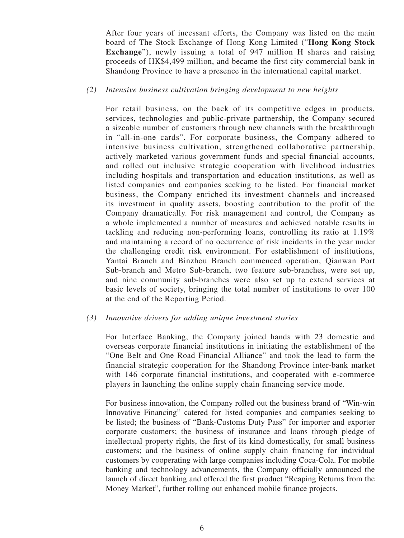After four years of incessant efforts, the Company was listed on the main board of The Stock Exchange of Hong Kong Limited ("**Hong Kong Stock Exchange**"), newly issuing a total of 947 million H shares and raising proceeds of HK\$4,499 million, and became the first city commercial bank in Shandong Province to have a presence in the international capital market.

## *(2) Intensive business cultivation bringing development to new heights*

For retail business, on the back of its competitive edges in products, services, technologies and public-private partnership, the Company secured a sizeable number of customers through new channels with the breakthrough in "all-in-one cards". For corporate business, the Company adhered to intensive business cultivation, strengthened collaborative partnership, actively marketed various government funds and special financial accounts, and rolled out inclusive strategic cooperation with livelihood industries including hospitals and transportation and education institutions, as well as listed companies and companies seeking to be listed. For financial market business, the Company enriched its investment channels and increased its investment in quality assets, boosting contribution to the profit of the Company dramatically. For risk management and control, the Company as a whole implemented a number of measures and achieved notable results in tackling and reducing non-performing loans, controlling its ratio at 1.19% and maintaining a record of no occurrence of risk incidents in the year under the challenging credit risk environment. For establishment of institutions, Yantai Branch and Binzhou Branch commenced operation, Qianwan Port Sub-branch and Metro Sub-branch, two feature sub-branches, were set up, and nine community sub-branches were also set up to extend services at basic levels of society, bringing the total number of institutions to over 100 at the end of the Reporting Period.

#### *(3) Innovative drivers for adding unique investment stories*

For Interface Banking, the Company joined hands with 23 domestic and overseas corporate financial institutions in initiating the establishment of the "One Belt and One Road Financial Alliance" and took the lead to form the financial strategic cooperation for the Shandong Province inter-bank market with 146 corporate financial institutions, and cooperated with e-commerce players in launching the online supply chain financing service mode.

For business innovation, the Company rolled out the business brand of "Win-win Innovative Financing" catered for listed companies and companies seeking to be listed; the business of "Bank-Customs Duty Pass" for importer and exporter corporate customers; the business of insurance and loans through pledge of intellectual property rights, the first of its kind domestically, for small business customers; and the business of online supply chain financing for individual customers by cooperating with large companies including Coca-Cola. For mobile banking and technology advancements, the Company officially announced the launch of direct banking and offered the first product "Reaping Returns from the Money Market", further rolling out enhanced mobile finance projects.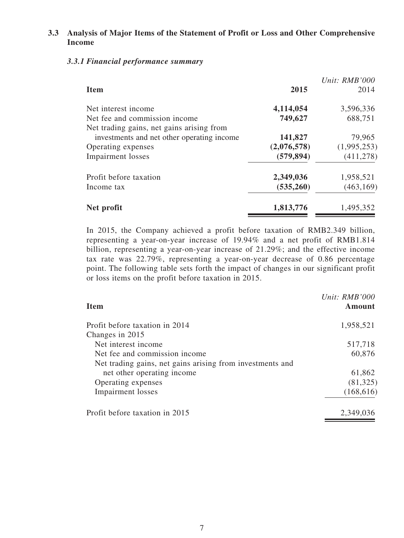# **3.3 Analysis of Major Items of the Statement of Profit or Loss and Other Comprehensive Income**

# *3.3.1 Financial performance summary*

| <b>Item</b>                                | 2015        | Unit: RMB'000<br>2014 |
|--------------------------------------------|-------------|-----------------------|
| Net interest income                        | 4,114,054   | 3,596,336             |
| Net fee and commission income              | 749,627     | 688,751               |
| Net trading gains, net gains arising from  |             |                       |
| investments and net other operating income | 141,827     | 79,965                |
| Operating expenses                         | (2,076,578) | (1,995,253)           |
| <b>Impairment</b> losses                   | (579, 894)  | (411, 278)            |
| Profit before taxation                     | 2,349,036   | 1,958,521             |
| Income tax                                 | (535, 260)  | (463, 169)            |
| Net profit                                 | 1,813,776   | 1,495,352             |

In 2015, the Company achieved a profit before taxation of RMB2.349 billion, representing a year-on-year increase of 19.94% and a net profit of RMB1.814 billion, representing a year-on-year increase of 21.29%; and the effective income tax rate was 22.79%, representing a year-on-year decrease of 0.86 percentage point. The following table sets forth the impact of changes in our significant profit or loss items on the profit before taxation in 2015.

| <b>Item</b>                                               | Unit: RMB'000<br>Amount |
|-----------------------------------------------------------|-------------------------|
| Profit before taxation in 2014                            | 1,958,521               |
| Changes in 2015                                           |                         |
| Net interest income                                       | 517,718                 |
| Net fee and commission income                             | 60,876                  |
| Net trading gains, net gains arising from investments and |                         |
| net other operating income                                | 61,862                  |
| Operating expenses                                        | (81, 325)               |
| <b>Impairment</b> losses                                  | (168, 616)              |
| Profit before taxation in 2015                            | 2,349,036               |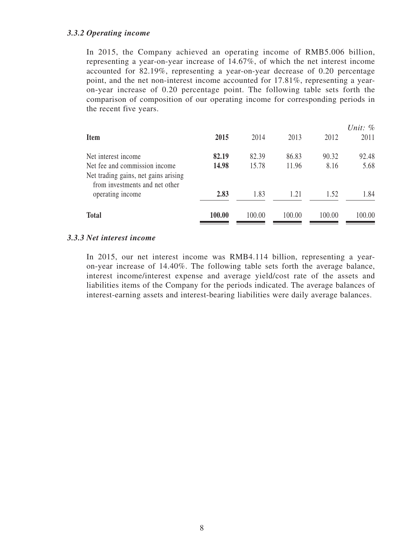#### *3.3.2 Operating income*

In 2015, the Company achieved an operating income of RMB5.006 billion, representing a year-on-year increase of 14.67%, of which the net interest income accounted for 82.19%, representing a year-on-year decrease of 0.20 percentage point, and the net non-interest income accounted for 17.81%, representing a yearon-year increase of 0.20 percentage point. The following table sets forth the comparison of composition of our operating income for corresponding periods in the recent five years.

| <b>Item</b>                                                                                                                    | 2015           | 2014           | 2013           | 2012          | Unit: $\%$<br>2011 |
|--------------------------------------------------------------------------------------------------------------------------------|----------------|----------------|----------------|---------------|--------------------|
| Net interest income<br>Net fee and commission income<br>Net trading gains, net gains arising<br>from investments and net other | 82.19<br>14.98 | 82.39<br>15.78 | 86.83<br>11.96 | 90.32<br>8.16 | 92.48<br>5.68      |
| operating income                                                                                                               | 2.83           | 1.83           | 1.21           | 1.52          | 1.84               |
| <b>Total</b>                                                                                                                   | 100.00         | 100.00         | 100.00         | 100.00        | 100.00             |

# *3.3.3 Net interest income*

In 2015, our net interest income was RMB4.114 billion, representing a yearon-year increase of 14.40%. The following table sets forth the average balance, interest income/interest expense and average yield/cost rate of the assets and liabilities items of the Company for the periods indicated. The average balances of interest-earning assets and interest-bearing liabilities were daily average balances.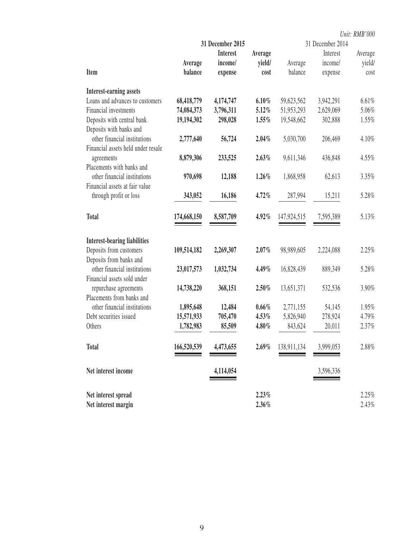|                                                                |             |                  |          |             |                  | Unit: RMB'000 |
|----------------------------------------------------------------|-------------|------------------|----------|-------------|------------------|---------------|
|                                                                |             | 31 December 2015 |          |             | 31 December 2014 |               |
|                                                                |             | <b>Interest</b>  | Average  |             | Interest         | Average       |
|                                                                | Average     | income/          | yield/   | Average     | income/          | yield/        |
| Item                                                           | balance     | expense          | cost     | balance     | expense          | cost          |
| <b>Interest-earning assets</b>                                 |             |                  |          |             |                  |               |
| Loans and advances to customers                                | 68,418,779  | 4,174,747        | 6.10%    | 59,623,562  | 3,942,291        | 6.61%         |
| Financial investments                                          | 74,084,373  | 3,796,311        | 5.12%    | 51,953,293  | 2,629,069        | 5.06%         |
| Deposits with central bank                                     | 19,194,302  | 298,028          | 1.55%    | 19,548,662  | 302,888          | 1.55%         |
| Deposits with banks and                                        |             |                  |          |             |                  |               |
| other financial institutions                                   | 2,777,640   | 56,724           | 2.04%    | 5,030,700   | 206,469          | 4.10%         |
| Financial assets held under resale                             |             |                  |          |             |                  |               |
| agreements                                                     | 8,879,306   | 233,525          | 2.63%    | 9,611,346   | 436,848          | 4.55%         |
| Placements with banks and                                      |             |                  |          |             |                  |               |
| other financial institutions                                   | 970,698     | 12,188           | 1.26%    | 1,868,958   | 62,613           | 3.35%         |
| Financial assets at fair value                                 |             |                  |          |             |                  |               |
| through profit or loss                                         | 343,052     | 16,186           | 4.72%    | 287,994     | 15,211           | 5.28%         |
| <b>Total</b>                                                   | 174,668,150 | 8,587,709        | 4.92%    | 147,924,515 | 7,595,389        | 5.13%         |
|                                                                |             |                  |          |             |                  |               |
| <b>Interest-bearing liabilities</b><br>Deposits from customers | 109,514,182 | 2,269,307        | $2.07\%$ | 98,989,605  | 2,224,088        | 2.25%         |
| Deposits from banks and                                        |             |                  |          |             |                  |               |
| other financial institutions                                   | 23,017,573  | 1,032,734        | 4.49%    | 16,828,439  | 889,349          | 5.28%         |
| Financial assets sold under                                    |             |                  |          |             |                  |               |
| repurchase agreements                                          | 14,738,220  | 368,151          | $2.50\%$ | 13,651,371  | 532,536          | 3.90%         |
| Placements from banks and                                      |             |                  |          |             |                  |               |
| other financial institutions                                   | 1,895,648   | 12,484           | $0.66\%$ | 2,771,155   | 54,145           | 1.95%         |
| Debt securities issued                                         | 15,571,933  | 705,470          | $4.53\%$ | 5,826,940   | 278,924          | 4.79%         |
| Others                                                         | 1,782,983   | 85,509           | 4.80%    | 843,624     | 20,011           | 2.37%         |
| <b>Total</b>                                                   | 166,520,539 | 4,473,655        | $2.69\%$ | 138,911,134 | 3,999,053        | 2.88%         |
|                                                                |             |                  |          |             |                  |               |
| Net interest income                                            |             | 4,114,054        |          |             | 3,596,336        |               |
| Net interest spread                                            |             |                  | 2.23%    |             |                  | 2.25%         |
| Net interest margin                                            |             |                  | 2.36%    |             |                  | 2.43%         |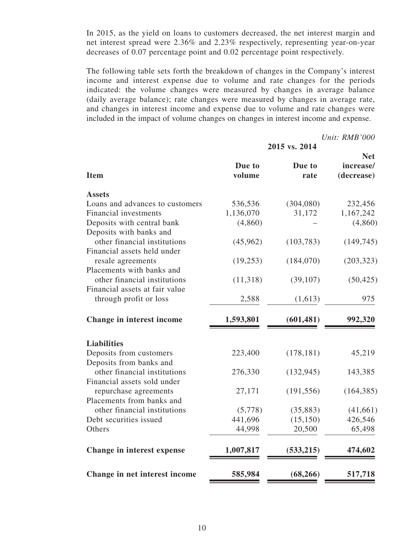In 2015, as the yield on loans to customers decreased, the net interest margin and net interest spread were 2.36% and 2.23% respectively, representing year-on-year decreases of 0.07 percentage point and 0.02 percentage point respectively.

The following table sets forth the breakdown of changes in the Company's interest income and interest expense due to volume and rate changes for the periods indicated: the volume changes were measured by changes in average balance (daily average balance); rate changes were measured by changes in average rate, and changes in interest income and expense due to volume and rate changes were included in the impact of volume changes on changes in interest income and expense.

*Unit: RMB'000*

| 2015 vs. 2014    |                                                              |                                                                            |  |  |  |
|------------------|--------------------------------------------------------------|----------------------------------------------------------------------------|--|--|--|
| Due to<br>volume | Due to<br>rate                                               | <b>Net</b><br>increase/<br>(decrease)                                      |  |  |  |
|                  |                                                              |                                                                            |  |  |  |
| 536,536          | (304,080)                                                    | 232,456                                                                    |  |  |  |
| 1,136,070        | 31,172                                                       | 1,167,242                                                                  |  |  |  |
| (4, 860)         |                                                              | (4,860)                                                                    |  |  |  |
|                  |                                                              |                                                                            |  |  |  |
| (45,962)         | (103, 783)                                                   | (149, 745)                                                                 |  |  |  |
|                  |                                                              |                                                                            |  |  |  |
| (19, 253)        | (184,070)                                                    | (203, 323)                                                                 |  |  |  |
|                  |                                                              |                                                                            |  |  |  |
| (11,318)         | (39, 107)                                                    | (50, 425)                                                                  |  |  |  |
|                  |                                                              |                                                                            |  |  |  |
| 2,588            | (1,613)                                                      | 975                                                                        |  |  |  |
| 1,593,801        | (601, 481)                                                   | 992,320                                                                    |  |  |  |
|                  |                                                              |                                                                            |  |  |  |
|                  |                                                              | 45,219                                                                     |  |  |  |
|                  |                                                              |                                                                            |  |  |  |
|                  |                                                              | 143,385                                                                    |  |  |  |
|                  |                                                              |                                                                            |  |  |  |
|                  |                                                              | (164, 385)                                                                 |  |  |  |
|                  |                                                              |                                                                            |  |  |  |
|                  |                                                              | (41, 661)                                                                  |  |  |  |
|                  |                                                              | 426,546                                                                    |  |  |  |
|                  |                                                              | 65,498                                                                     |  |  |  |
|                  |                                                              |                                                                            |  |  |  |
| 1,007,817        | (533,215)                                                    | 474,602                                                                    |  |  |  |
| 585,984          | (68, 266)                                                    | 517,718                                                                    |  |  |  |
|                  | 223,400<br>276,330<br>27,171<br>(5,778)<br>441,696<br>44,998 | (178, 181)<br>(132, 945)<br>(191, 556)<br>(35, 883)<br>(15, 150)<br>20,500 |  |  |  |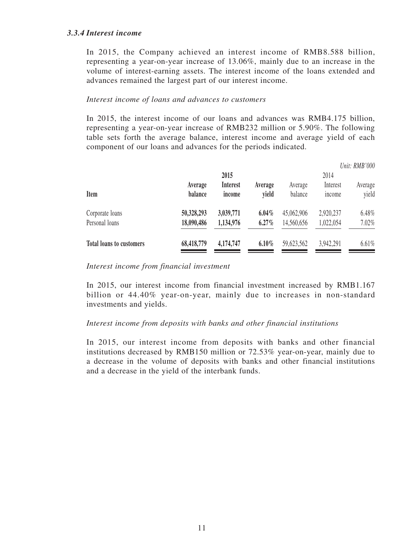# *3.3.4 Interest income*

In 2015, the Company achieved an interest income of RMB8.588 billion, representing a year-on-year increase of 13.06%, mainly due to an increase in the volume of interest-earning assets. The interest income of the loans extended and advances remained the largest part of our interest income.

#### *Interest income of loans and advances to customers*

In 2015, the interest income of our loans and advances was RMB4.175 billion, representing a year-on-year increase of RMB232 million or 5.90%. The following table sets forth the average balance, interest income and average yield of each component of our loans and advances for the periods indicated.

|                                 |            |                 |         |            |               | Unit: RMB'000 |
|---------------------------------|------------|-----------------|---------|------------|---------------|---------------|
|                                 |            | 2015            |         |            | 2014          |               |
|                                 | Average    | <b>Interest</b> | Average | Average    | Interest      | Average       |
| <b>Item</b>                     | balance    | income          | vield   | balance    | <i>n</i> come | yield         |
| Corporate loans                 | 50,328,293 | 3,039,771       | 6.04%   | 45,062,906 | 2,920,237     | 6.48%         |
| Personal loans                  | 18,090,486 | 1,134,976       | 6.27%   | 14,560,656 | 1,022,054     | 7.02%         |
| <b>Total loans to customers</b> | 68,418,779 | 4,174,747       | 6.10%   | 59,623,562 | 3,942,291     | 6.61%         |

#### *Interest income from financial investment*

In 2015, our interest income from financial investment increased by RMB1.167 billion or 44.40% year-on-year, mainly due to increases in non-standard investments and yields.

# *Interest income from deposits with banks and other financial institutions*

In 2015, our interest income from deposits with banks and other financial institutions decreased by RMB150 million or 72.53% year-on-year, mainly due to a decrease in the volume of deposits with banks and other financial institutions and a decrease in the yield of the interbank funds.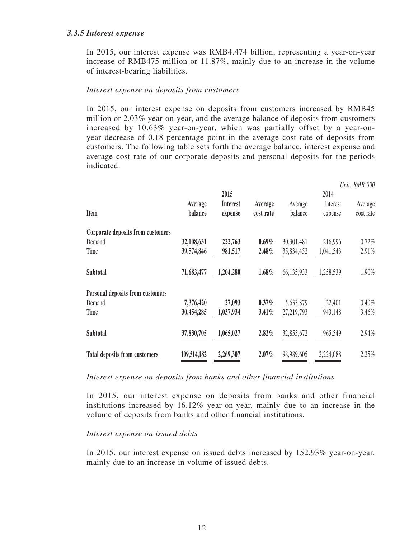# *3.3.5 Interest expense*

In 2015, our interest expense was RMB4.474 billion, representing a year-on-year increase of RMB475 million or 11.87%, mainly due to an increase in the volume of interest-bearing liabilities.

#### *Interest expense on deposits from customers*

In 2015, our interest expense on deposits from customers increased by RMB45 million or 2.03% year-on-year, and the average balance of deposits from customers increased by 10.63% year-on-year, which was partially offset by a year-onyear decrease of 0.18 percentage point in the average cost rate of deposits from customers. The following table sets forth the average balance, interest expense and average cost rate of our corporate deposits and personal deposits for the periods indicated.

 $\overline{11}$   $\overline{1}$   $\overline{11}$   $\overline{11}$ 

|             |                 |           |            |           | Unit: RMB'000 |
|-------------|-----------------|-----------|------------|-----------|---------------|
|             | 2015            |           |            | 2014      |               |
| Average     | <b>Interest</b> | Average   | Average    | Interest  | Average       |
| balance     | expense         | cost rate | balance    | expense   | cost rate     |
|             |                 |           |            |           |               |
| 32,108,631  | 222,763         | $0.69\%$  | 30,301,481 | 216,996   | 0.72%         |
| 39,574,846  | 981,517         | 2.48%     | 35,834,452 | 1,041,543 | 2.91%         |
| 71,683,477  | 1,204,280       | $1.68\%$  | 66,135,933 | 1,258,539 | 1.90%         |
|             |                 |           |            |           |               |
| 7,376,420   | 27,093          | $0.37\%$  | 5,633,879  | 22,401    | 0.40%         |
| 30,454,285  | 1,037,934       | $3.41\%$  | 27,219,793 | 943,148   | 3.46%         |
| 37,830,705  | 1,065,027       | 2.82%     | 32,853,672 | 965,549   | 2.94%         |
| 109,514,182 | 2,269,307       | $2.07\%$  | 98,989,605 | 2,224,088 | 2.25%         |
|             |                 |           |            |           |               |

#### *Interest expense on deposits from banks and other financial institutions*

In 2015, our interest expense on deposits from banks and other financial institutions increased by 16.12% year-on-year, mainly due to an increase in the volume of deposits from banks and other financial institutions.

#### *Interest expense on issued debts*

In 2015, our interest expense on issued debts increased by 152.93% year-on-year, mainly due to an increase in volume of issued debts.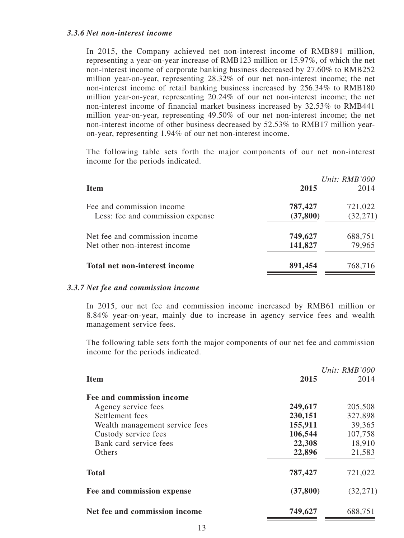In 2015, the Company achieved net non-interest income of RMB891 million, representing a year-on-year increase of RMB123 million or 15.97%, of which the net non-interest income of corporate banking business decreased by 27.60% to RMB252 million year-on-year, representing 28.32% of our net non-interest income; the net non-interest income of retail banking business increased by 256.34% to RMB180 million year-on-year, representing 20.24% of our net non-interest income; the net non-interest income of financial market business increased by 32.53% to RMB441 million year-on-year, representing 49.50% of our net non-interest income; the net non-interest income of other business decreased by 52.53% to RMB17 million yearon-year, representing 1.94% of our net non-interest income.

The following table sets forth the major components of our net non-interest income for the periods indicated.

|                                  |           | Unit: RMB'000 |
|----------------------------------|-----------|---------------|
| <b>Item</b>                      | 2015      | 2014          |
| Fee and commission income        | 787,427   | 721,022       |
| Less: fee and commission expense | (37, 800) | (32, 271)     |
| Net fee and commission income    | 749,627   | 688,751       |
| Net other non-interest income    | 141,827   | 79,965        |
| Total net non-interest income    | 891,454   | 768,716       |

#### *3.3.7 Net fee and commission income*

In 2015, our net fee and commission income increased by RMB61 million or 8.84% year-on-year, mainly due to increase in agency service fees and wealth management service fees.

The following table sets forth the major components of our net fee and commission income for the periods indicated.

|                                |           | Unit: $RMB'000$ |
|--------------------------------|-----------|-----------------|
| <b>Item</b>                    | 2015      | 2014            |
| Fee and commission income      |           |                 |
| Agency service fees            | 249,617   | 205,508         |
| Settlement fees                | 230,151   | 327,898         |
| Wealth management service fees | 155,911   | 39,365          |
| Custody service fees           | 106,544   | 107,758         |
| Bank card service fees         | 22,308    | 18,910          |
| Others                         | 22,896    | 21,583          |
| <b>Total</b>                   | 787,427   | 721,022         |
| Fee and commission expense     | (37, 800) | (32, 271)       |
| Net fee and commission income  | 749,627   | 688,751         |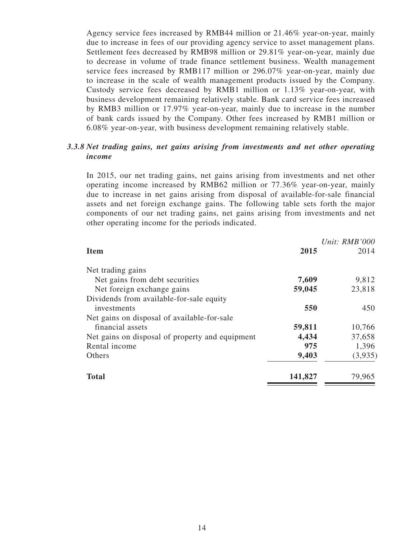Agency service fees increased by RMB44 million or 21.46% year-on-year, mainly due to increase in fees of our providing agency service to asset management plans. Settlement fees decreased by RMB98 million or 29.81% year-on-year, mainly due to decrease in volume of trade finance settlement business. Wealth management service fees increased by RMB117 million or 296.07% year-on-year, mainly due to increase in the scale of wealth management products issued by the Company. Custody service fees decreased by RMB1 million or 1.13% year-on-year, with business development remaining relatively stable. Bank card service fees increased by RMB3 million or 17.97% year-on-year, mainly due to increase in the number of bank cards issued by the Company. Other fees increased by RMB1 million or 6.08% year-on-year, with business development remaining relatively stable.

# *3.3.8 Net trading gains, net gains arising from investments and net other operating income*

In 2015, our net trading gains, net gains arising from investments and net other operating income increased by RMB62 million or 77.36% year-on-year, mainly due to increase in net gains arising from disposal of available-for-sale financial assets and net foreign exchange gains. The following table sets forth the major components of our net trading gains, net gains arising from investments and net other operating income for the periods indicated.

| <b>Item</b>                                     | 2015    | Unit: RMB'000<br>2014 |
|-------------------------------------------------|---------|-----------------------|
| Net trading gains                               |         |                       |
| Net gains from debt securities                  | 7,609   | 9,812                 |
| Net foreign exchange gains                      | 59,045  | 23,818                |
| Dividends from available-for-sale equity        |         |                       |
| investments                                     | 550     | 450                   |
| Net gains on disposal of available-for-sale     |         |                       |
| financial assets                                | 59,811  | 10,766                |
| Net gains on disposal of property and equipment | 4,434   | 37,658                |
| Rental income                                   | 975     | 1,396                 |
| Others                                          | 9,403   | (3,935)               |
| <b>Total</b>                                    | 141,827 | 79,965                |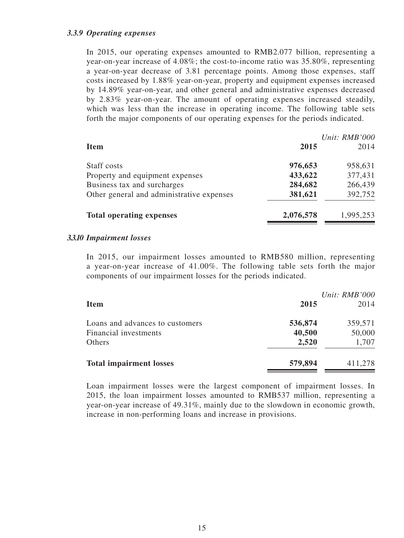# *3.3.9 Operating expenses*

In 2015, our operating expenses amounted to RMB2.077 billion, representing a year-on-year increase of 4.08%; the cost-to-income ratio was 35.80%, representing a year-on-year decrease of 3.81 percentage points. Among those expenses, staff costs increased by 1.88% year-on-year, property and equipment expenses increased by 14.89% year-on-year, and other general and administrative expenses decreased by 2.83% year-on-year. The amount of operating expenses increased steadily, which was less than the increase in operating income. The following table sets forth the major components of our operating expenses for the periods indicated.

|                                           |           | Unit: RMB'000 |
|-------------------------------------------|-----------|---------------|
| <b>Item</b>                               | 2015      | 2014          |
| Staff costs                               | 976,653   | 958,631       |
| Property and equipment expenses           | 433,622   | 377,431       |
| Business tax and surcharges               | 284,682   | 266,439       |
| Other general and administrative expenses | 381,621   | 392,752       |
| <b>Total operating expenses</b>           | 2,076,578 | 1,995,253     |

#### *3.3.10 Impairment losses*

In 2015, our impairment losses amounted to RMB580 million, representing a year-on-year increase of 41.00%. The following table sets forth the major components of our impairment losses for the periods indicated.

| <b>Item</b>                                                        | 2015                       | Unit: RMB'000<br>2014      |
|--------------------------------------------------------------------|----------------------------|----------------------------|
| Loans and advances to customers<br>Financial investments<br>Others | 536,874<br>40,500<br>2,520 | 359,571<br>50,000<br>1,707 |
| <b>Total impairment losses</b>                                     | 579,894                    | 411,278                    |

Loan impairment losses were the largest component of impairment losses. In 2015, the loan impairment losses amounted to RMB537 million, representing a year-on-year increase of 49.31%, mainly due to the slowdown in economic growth, increase in non-performing loans and increase in provisions.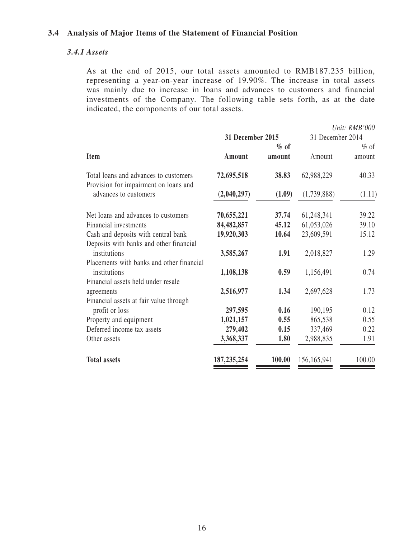# **3.4 Analysis of Major Items of the Statement of Financial Position**

## *3.4.1 Assets*

As at the end of 2015, our total assets amounted to RMB187.235 billion, representing a year-on-year increase of 19.90%. The increase in total assets was mainly due to increase in loans and advances to customers and financial investments of the Company. The following table sets forth, as at the date indicated, the components of our total assets.

|                                                                                |                  |        |                  | Unit: RMB'000 |
|--------------------------------------------------------------------------------|------------------|--------|------------------|---------------|
|                                                                                | 31 December 2015 |        | 31 December 2014 |               |
|                                                                                |                  | $%$ of |                  | $%$ of        |
| <b>Item</b>                                                                    | Amount           | amount | Amount           | amount        |
| Total loans and advances to customers<br>Provision for impairment on loans and | 72,695,518       | 38.83  | 62,988,229       | 40.33         |
| advances to customers                                                          | (2,040,297)      | (1.09) | (1,739,888)      | (1.11)        |
| Net loans and advances to customers                                            | 70,655,221       | 37.74  | 61,248,341       | 39.22         |
| Financial investments                                                          | 84,482,857       | 45.12  | 61,053,026       | 39.10         |
| Cash and deposits with central bank                                            | 19,920,303       | 10.64  | 23,609,591       | 15.12         |
| Deposits with banks and other financial<br>institutions                        | 3,585,267        | 1.91   | 2,018,827        | 1.29          |
| Placements with banks and other financial<br>institutions                      | 1,108,138        | 0.59   | 1,156,491        | 0.74          |
| Financial assets held under resale<br>agreements                               | 2,516,977        | 1.34   | 2,697,628        | 1.73          |
| Financial assets at fair value through<br>profit or loss                       | 297,595          | 0.16   | 190,195          | 0.12          |
| Property and equipment                                                         | 1,021,157        | 0.55   | 865,538          | 0.55          |
| Deferred income tax assets                                                     | 279,402          | 0.15   | 337,469          | 0.22          |
| Other assets                                                                   | 3,368,337        | 1.80   | 2,988,835        | 1.91          |
| <b>Total assets</b>                                                            | 187, 235, 254    | 100.00 | 156,165,941      | 100.00        |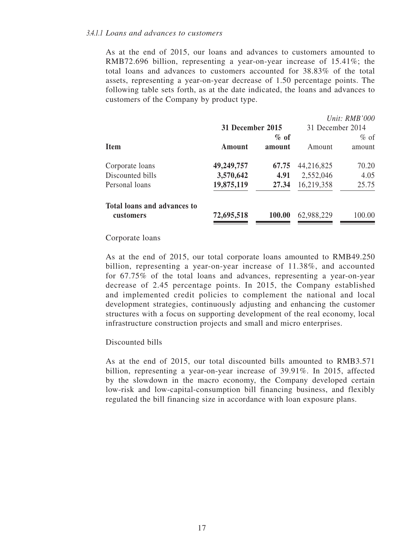As at the end of 2015, our loans and advances to customers amounted to RMB72.696 billion, representing a year-on-year increase of 15.41%; the total loans and advances to customers accounted for 38.83% of the total assets, representing a year-on-year decrease of 1.50 percentage points. The following table sets forth, as at the date indicated, the loans and advances to customers of the Company by product type.

|                             |                  |        |                  | Unit: RMB'000 |
|-----------------------------|------------------|--------|------------------|---------------|
|                             | 31 December 2015 |        | 31 December 2014 |               |
|                             |                  | $%$ of |                  | $%$ of        |
| <b>Item</b>                 | Amount           | amount | Amount           | amount        |
| Corporate loans             | 49,249,757       | 67.75  | 44,216,825       | 70.20         |
| Discounted bills            | 3,570,642        | 4.91   | 2,552,046        | 4.05          |
| Personal loans              | 19,875,119       | 27.34  | 16,219,358       | 25.75         |
| Total loans and advances to |                  |        |                  |               |
| <b>customers</b>            | 72,695,518       | 100.00 | 62,988,229       | 100.00        |

#### Corporate loans

As at the end of 2015, our total corporate loans amounted to RMB49.250 billion, representing a year-on-year increase of 11.38%, and accounted for 67.75% of the total loans and advances, representing a year-on-year decrease of 2.45 percentage points. In 2015, the Company established and implemented credit policies to complement the national and local development strategies, continuously adjusting and enhancing the customer structures with a focus on supporting development of the real economy, local infrastructure construction projects and small and micro enterprises.

#### Discounted bills

As at the end of 2015, our total discounted bills amounted to RMB3.571 billion, representing a year-on-year increase of 39.91%. In 2015, affected by the slowdown in the macro economy, the Company developed certain low-risk and low-capital-consumption bill financing business, and flexibly regulated the bill financing size in accordance with loan exposure plans.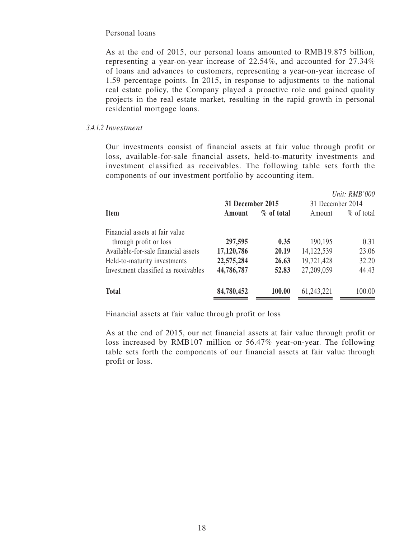#### Personal loans

As at the end of 2015, our personal loans amounted to RMB19.875 billion, representing a year-on-year increase of 22.54%, and accounted for 27.34% of loans and advances to customers, representing a year-on-year increase of 1.59 percentage points. In 2015, in response to adjustments to the national real estate policy, the Company played a proactive role and gained quality projects in the real estate market, resulting in the rapid growth in personal residential mortgage loans.

#### *3.4.1.2 Investment*

Our investments consist of financial assets at fair value through profit or loss, available-for-sale financial assets, held-to-maturity investments and investment classified as receivables. The following table sets forth the components of our investment portfolio by accounting item.

|                                      |                  |            |                  | Unit: RMB'000 |
|--------------------------------------|------------------|------------|------------------|---------------|
|                                      | 31 December 2015 |            | 31 December 2014 |               |
| <b>Item</b>                          | Amount           | % of total | Amount           | $\%$ of total |
| Financial assets at fair value       |                  |            |                  |               |
| through profit or loss               | 297,595          | 0.35       | 190,195          | 0.31          |
| Available-for-sale financial assets  | 17,120,786       | 20.19      | 14, 122, 539     | 23.06         |
| Held-to-maturity investments         | 22,575,284       | 26.63      | 19,721,428       | 32.20         |
| Investment classified as receivables | 44,786,787       | 52.83      | 27,209,059       | 44.43         |
| <b>Total</b>                         | 84,780,452       | 100.00     | 61,243,221       | 100.00        |

Financial assets at fair value through profit or loss

As at the end of 2015, our net financial assets at fair value through profit or loss increased by RMB107 million or 56.47% year-on-year. The following table sets forth the components of our financial assets at fair value through profit or loss.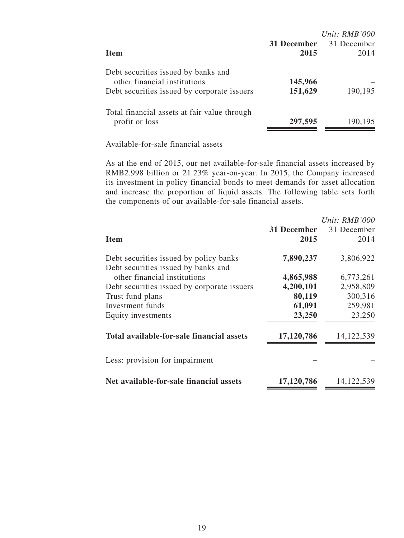|                                              |             | Unit: $RMB'000$ |
|----------------------------------------------|-------------|-----------------|
|                                              | 31 December | 31 December     |
| <b>Item</b>                                  | 2015        | 2014            |
| Debt securities issued by banks and          |             |                 |
| other financial institutions                 | 145,966     |                 |
| Debt securities issued by corporate issuers  | 151,629     | 190,195         |
| Total financial assets at fair value through |             |                 |
| profit or loss                               | 297,595     | 190,195         |
|                                              |             |                 |

Available-for-sale financial assets

As at the end of 2015, our net available-for-sale financial assets increased by RMB2.998 billion or 21.23% year-on-year. In 2015, the Company increased its investment in policy financial bonds to meet demands for asset allocation and increase the proportion of liquid assets. The following table sets forth the components of our available-for-sale financial assets.

| <b>Item</b>                                                                   | 31 December<br>2015 | Unit: $RMB'000$<br>31 December<br>2014 |
|-------------------------------------------------------------------------------|---------------------|----------------------------------------|
| Debt securities issued by policy banks<br>Debt securities issued by banks and | 7,890,237           | 3,806,922                              |
| other financial institutions                                                  | 4,865,988           | 6,773,261                              |
| Debt securities issued by corporate issuers                                   | 4,200,101           | 2,958,809                              |
| Trust fund plans                                                              | 80,119              | 300,316                                |
| Investment funds                                                              | 61,091              | 259,981                                |
| Equity investments                                                            | 23,250              | 23,250                                 |
| Total available-for-sale financial assets                                     | 17,120,786          | 14, 122, 539                           |
| Less: provision for impairment                                                |                     |                                        |
| Net available-for-sale financial assets                                       | 17,120,786          | 14, 122, 539                           |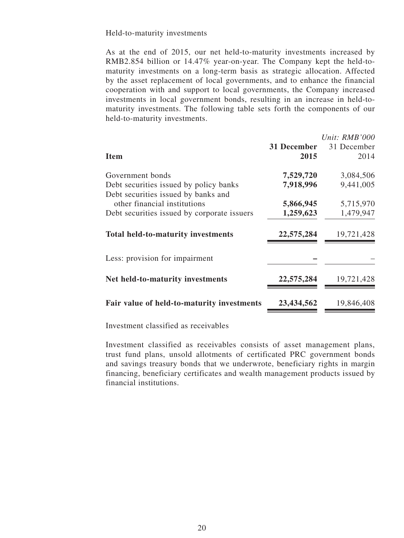Held-to-maturity investments

As at the end of 2015, our net held-to-maturity investments increased by RMB2.854 billion or 14.47% year-on-year. The Company kept the held-tomaturity investments on a long-term basis as strategic allocation. Affected by the asset replacement of local governments, and to enhance the financial cooperation with and support to local governments, the Company increased investments in local government bonds, resulting in an increase in held-tomaturity investments. The following table sets forth the components of our held-to-maturity investments.

|                                                                               |             | Unit: $RMB'000$ |
|-------------------------------------------------------------------------------|-------------|-----------------|
|                                                                               | 31 December | 31 December     |
| <b>Item</b>                                                                   | 2015        | 2014            |
| Government bonds                                                              | 7,529,720   | 3,084,506       |
| Debt securities issued by policy banks<br>Debt securities issued by banks and | 7,918,996   | 9,441,005       |
| other financial institutions                                                  | 5,866,945   | 5,715,970       |
| Debt securities issued by corporate issuers                                   | 1,259,623   | 1,479,947       |
| <b>Total held-to-maturity investments</b>                                     | 22,575,284  | 19,721,428      |
| Less: provision for impairment                                                |             |                 |
| Net held-to-maturity investments                                              | 22,575,284  | 19,721,428      |
| Fair value of held-to-maturity investments                                    | 23,434,562  | 19,846,408      |

Investment classified as receivables

Investment classified as receivables consists of asset management plans, trust fund plans, unsold allotments of certificated PRC government bonds and savings treasury bonds that we underwrote, beneficiary rights in margin financing, beneficiary certificates and wealth management products issued by financial institutions.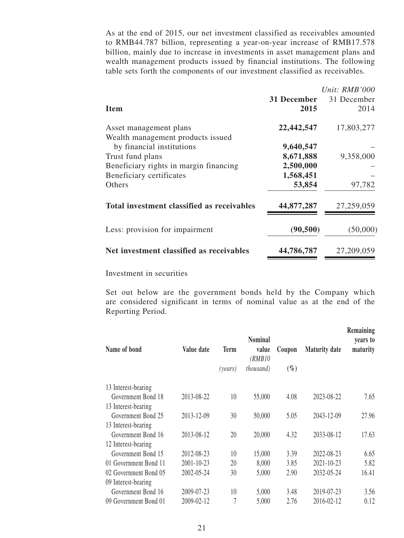As at the end of 2015, our net investment classified as receivables amounted to RMB44.787 billion, representing a year-on-year increase of RMB17.578 billion, mainly due to increase in investments in asset management plans and wealth management products issued by financial institutions. The following table sets forth the components of our investment classified as receivables.

|                                                             |             | Unit: $RMB'000$ |
|-------------------------------------------------------------|-------------|-----------------|
|                                                             | 31 December | 31 December     |
| <b>Item</b>                                                 | 2015        | 2014            |
| Asset management plans<br>Wealth management products issued | 22,442,547  | 17,803,277      |
| by financial institutions                                   | 9,640,547   |                 |
| Trust fund plans                                            | 8,671,888   | 9,358,000       |
| Beneficiary rights in margin financing                      | 2,500,000   |                 |
| Beneficiary certificates                                    | 1,568,451   |                 |
| Others                                                      | 53,854      | 97,782          |
| Total investment classified as receivables                  | 44,877,287  | 27,259,059      |
| Less: provision for impairment                              | (90, 500)   | (50,000)        |
| Net investment classified as receivables                    | 44,786,787  | 27,209,059      |
|                                                             |             |                 |

Investment in securities

Set out below are the government bonds held by the Company which are considered significant in terms of nominal value as at the end of the Reporting Period.

| Name of bond          | Value date | <b>Term</b><br>(years) | <b>Nominal</b><br>value<br>( <i>RMB10</i><br><i>thousand</i> ) | Coupon<br>$(\%)$ | <b>Maturity date</b> | Remaining<br>years to<br>maturity |
|-----------------------|------------|------------------------|----------------------------------------------------------------|------------------|----------------------|-----------------------------------|
| 13 Interest-bearing   |            |                        |                                                                |                  |                      |                                   |
| Government Bond 18    | 2013-08-22 | 10                     | 55,000                                                         | 4.08             | 2023-08-22           | 7.65                              |
| 13 Interest-bearing   |            |                        |                                                                |                  |                      |                                   |
| Government Bond 25    | 2013-12-09 | 30                     | 50,000                                                         | 5.05             | 2043-12-09           | 27.96                             |
| 13 Interest-bearing   |            |                        |                                                                |                  |                      |                                   |
| Government Bond 16    | 2013-08-12 | 20                     | 20,000                                                         | 4.32             | 2033-08-12           | 17.63                             |
| 12 Interest-bearing   |            |                        |                                                                |                  |                      |                                   |
| Government Bond 15    | 2012-08-23 | 10                     | 15,000                                                         | 3.39             | 2022-08-23           | 6.65                              |
| 01 Government Bond 11 | 2001-10-23 | 20                     | 8,000                                                          | 3.85             | 2021-10-23           | 5.82                              |
| 02 Government Bond 05 | 2002-05-24 | 30                     | 5,000                                                          | 2.90             | 2032-05-24           | 16.41                             |
| 09 Interest-bearing   |            |                        |                                                                |                  |                      |                                   |
| Government Bond 16    | 2009-07-23 | 10                     | 5,000                                                          | 3.48             | 2019-07-23           | 3.56                              |
| 09 Government Bond 01 | 2009-02-12 | 7                      | 5,000                                                          | 2.76             | 2016-02-12           | 0.12                              |
|                       |            |                        |                                                                |                  |                      |                                   |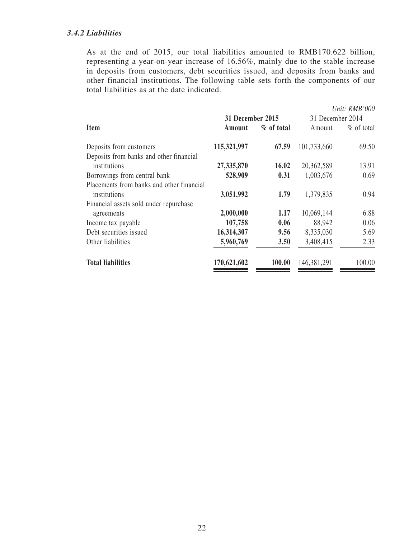# *3.4.2 Liabilities*

As at the end of 2015, our total liabilities amounted to RMB170.622 billion, representing a year-on-year increase of 16.56%, mainly due to the stable increase in deposits from customers, debt securities issued, and deposits from banks and other financial institutions. The following table sets forth the components of our total liabilities as at the date indicated.

|                                           |                  |              |                  | Unit: RMB'000 |
|-------------------------------------------|------------------|--------------|------------------|---------------|
|                                           | 31 December 2015 |              | 31 December 2014 |               |
| Item                                      | Amount           | $%$ of total | Amount           | $\%$ of total |
| Deposits from customers                   | 115,321,997      | 67.59        | 101,733,660      | 69.50         |
| Deposits from banks and other financial   |                  |              |                  |               |
| institutions                              | 27,335,870       | 16.02        | 20,362,589       | 13.91         |
| Borrowings from central bank              | 528,909          | 0.31         | 1,003,676        | 0.69          |
| Placements from banks and other financial |                  |              |                  |               |
| institutions                              | 3,051,992        | 1.79         | 1,379,835        | 0.94          |
| Financial assets sold under repurchase    |                  |              |                  |               |
| agreements                                | 2,000,000        | 1.17         | 10,069,144       | 6.88          |
| Income tax payable                        | 107,758          | 0.06         | 88,942           | 0.06          |
| Debt securities issued                    | 16,314,307       | 9.56         | 8,335,030        | 5.69          |
| Other liabilities                         | 5,960,769        | 3.50         | 3,408,415        | 2.33          |
| <b>Total liabilities</b>                  | 170,621,602      | 100.00       | 146,381,291      | 100.00        |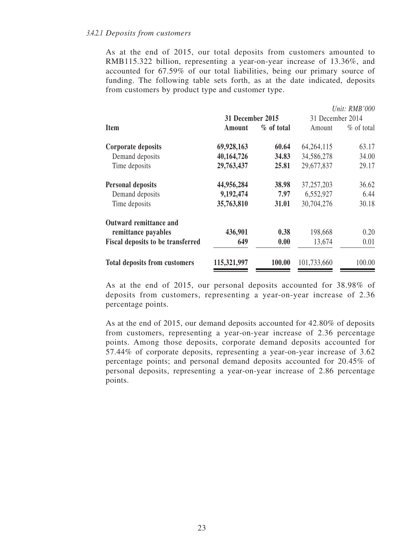As at the end of 2015, our total deposits from customers amounted to RMB115.322 billion, representing a year-on-year increase of 13.36%, and accounted for 67.59% of our total liabilities, being our primary source of funding. The following table sets forth, as at the date indicated, deposits from customers by product type and customer type.

|                                          |                  |              |                  | Unit: RMB'000 |
|------------------------------------------|------------------|--------------|------------------|---------------|
|                                          | 31 December 2015 |              | 31 December 2014 |               |
| <b>Item</b>                              | Amount           | $%$ of total | Amount           | $\%$ of total |
| Corporate deposits                       | 69,928,163       | 60.64        | 64, 264, 115     | 63.17         |
| Demand deposits                          | 40,164,726       | 34.83        | 34,586,278       | 34.00         |
| Time deposits                            | 29,763,437       | 25.81        | 29,677,837       | 29.17         |
| <b>Personal deposits</b>                 | 44,956,284       | 38.98        | 37, 257, 203     | 36.62         |
| Demand deposits                          | 9,192,474        | 7.97         | 6,552,927        | 6.44          |
| Time deposits                            | 35,763,810       | 31.01        | 30,704,276       | 30.18         |
| Outward remittance and                   |                  |              |                  |               |
| remittance payables                      | 436,901          | 0.38         | 198,668          | 0.20          |
| <b>Fiscal deposits to be transferred</b> | 649              | 0.00         | 13,674           | 0.01          |
| <b>Total deposits from customers</b>     | 115,321,997      | 100.00       | 101,733,660      | 100.00        |

As at the end of 2015, our personal deposits accounted for 38.98% of deposits from customers, representing a year-on-year increase of 2.36 percentage points.

As at the end of 2015, our demand deposits accounted for 42.80% of deposits from customers, representing a year-on-year increase of 2.36 percentage points. Among those deposits, corporate demand deposits accounted for 57.44% of corporate deposits, representing a year-on-year increase of 3.62 percentage points; and personal demand deposits accounted for 20.45% of personal deposits, representing a year-on-year increase of 2.86 percentage points.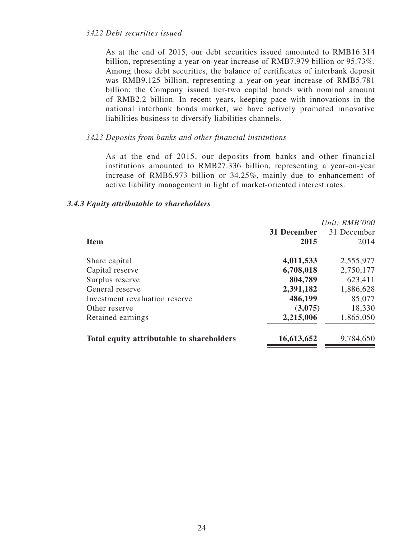As at the end of 2015, our debt securities issued amounted to RMB16.314 billion, representing a year-on-year increase of RMB7.979 billion or 95.73%. Among those debt securities, the balance of certificates of interbank deposit was RMB9.125 billion, representing a year-on-year increase of RMB5.781 billion; the Company issued tier-two capital bonds with nominal amount of RMB2.2 billion. In recent years, keeping pace with innovations in the national interbank bonds market, we have actively promoted innovative liabilities business to diversify liabilities channels.

#### *3.4.2.3 Deposits from banks and other financial institutions*

As at the end of 2015, our deposits from banks and other financial institutions amounted to RMB27.336 billion, representing a year-on-year increase of RMB6.973 billion or 34.25%, mainly due to enhancement of active liability management in light of market-oriented interest rates.

| <b>Item</b>                               | 31 December<br>2015 | Unit: RMB'000<br>31 December<br>2014 |
|-------------------------------------------|---------------------|--------------------------------------|
| Share capital                             | 4,011,533           | 2,555,977                            |
| Capital reserve                           | 6,708,018           | 2,750,177                            |
| Surplus reserve                           | 804,789             | 623,411                              |
| General reserve                           | 2,391,182           | 1,886,628                            |
| Investment revaluation reserve            | 486,199             | 85,077                               |
| Other reserve                             | (3,075)             | 18,330                               |
| Retained earnings                         | 2,215,006           | 1,865,050                            |
| Total equity attributable to shareholders | 16,613,652          | 9,784,650                            |

#### *3.4.3 Equity attributable to shareholders*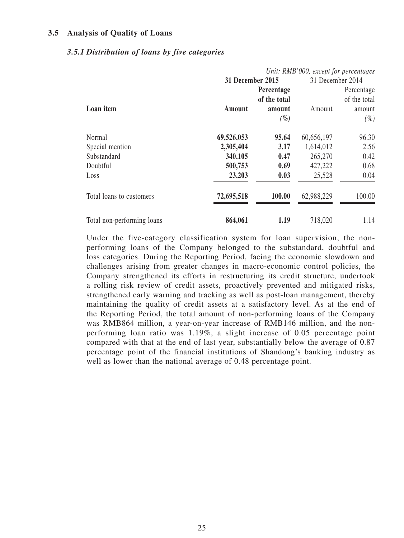## **3.5 Analysis of Quality of Loans**

#### *3.5.1 Distribution of loans by five categories*

|                            |                  |              | Unit: RMB'000, except for percentages |              |
|----------------------------|------------------|--------------|---------------------------------------|--------------|
|                            | 31 December 2015 |              | 31 December 2014                      |              |
|                            |                  | Percentage   |                                       | Percentage   |
|                            |                  | of the total |                                       | of the total |
| Loan item                  | <b>Amount</b>    | amount       | Amount                                | amount       |
|                            |                  | $(\%)$       |                                       | $(\%)$       |
| Normal                     | 69,526,053       | 95.64        | 60,656,197                            | 96.30        |
| Special mention            | 2,305,404        | 3.17         | 1,614,012                             | 2.56         |
| Substandard                | 340,105          | 0.47         | 265,270                               | 0.42         |
| Doubtful                   | 500,753          | 0.69         | 427,222                               | 0.68         |
| Loss                       | 23,203           | 0.03         | 25,528                                | 0.04         |
| Total loans to customers   | 72,695,518       | 100.00       | 62,988,229                            | 100.00       |
| Total non-performing loans | 864,061          | 1.19         | 718,020                               | 1.14         |

Under the five-category classification system for loan supervision, the nonperforming loans of the Company belonged to the substandard, doubtful and loss categories. During the Reporting Period, facing the economic slowdown and challenges arising from greater changes in macro-economic control policies, the Company strengthened its efforts in restructuring its credit structure, undertook a rolling risk review of credit assets, proactively prevented and mitigated risks, strengthened early warning and tracking as well as post-loan management, thereby maintaining the quality of credit assets at a satisfactory level. As at the end of the Reporting Period, the total amount of non-performing loans of the Company was RMB864 million, a year-on-year increase of RMB146 million, and the nonperforming loan ratio was 1.19%, a slight increase of 0.05 percentage point compared with that at the end of last year, substantially below the average of 0.87 percentage point of the financial institutions of Shandong's banking industry as well as lower than the national average of 0.48 percentage point.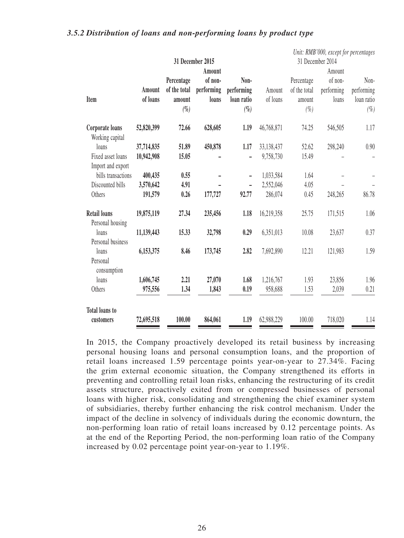|                       |            |              |                  |                          |            |              | Unit: RMB'000, except for percentages |            |
|-----------------------|------------|--------------|------------------|--------------------------|------------|--------------|---------------------------------------|------------|
|                       |            |              | 31 December 2015 |                          |            |              | 31 December 2014                      |            |
|                       |            |              | Amount           |                          |            |              | Amount                                |            |
|                       |            | Percentage   | of non-          | Non-                     |            | Percentage   | of non-                               | Non-       |
|                       | Amount     | of the total | performing       | performing               | Amount     | of the total | performing                            | performing |
| Item                  | of loans   | amount       | loans            | loan ratio               | of loans   | amount       | loans                                 | loan ratio |
|                       |            | $(\%$        |                  | $(\%)$                   |            | $(\%)$       |                                       | $(\% )$    |
| Corporate loans       | 52,820,399 | 72.66        | 628,605          | 1.19                     | 46,768,871 | 74.25        | 546,505                               | 1.17       |
| Working capital       |            |              |                  |                          |            |              |                                       |            |
| loans                 | 37,714,835 | 51.89        | 450,878          | 1.17                     | 33,138,437 | 52.62        | 298,240                               | 0.90       |
| Fixed asset loans     | 10,942,908 | 15.05        |                  |                          | 9,758,730  | 15.49        |                                       |            |
| Import and export     |            |              |                  |                          |            |              |                                       |            |
| bills transactions    | 400,435    | 0.55         |                  | $\overline{\phantom{a}}$ | 1,033,584  | 1.64         |                                       |            |
| Discounted bills      | 3,570,642  | 4.91         |                  | $\overline{\phantom{0}}$ | 2,552,046  | 4.05         |                                       |            |
| Others                | 191,579    | 0.26         | 177,727          | 92.77                    | 286,074    | 0.45         | 248,265                               | 86.78      |
| <b>Retail loans</b>   | 19,875,119 | 27.34        | 235,456          | 1.18                     | 16,219,358 | 25.75        | 171,515                               | 1.06       |
| Personal housing      |            |              |                  |                          |            |              |                                       |            |
| loans                 | 11,139,443 | 15.33        | 32,798           | 0.29                     | 6,351,013  | 10.08        | 23,637                                | 0.37       |
| Personal business     |            |              |                  |                          |            |              |                                       |            |
| loans                 | 6,153,375  | 8.46         | 173,745          | 2.82                     | 7,692,890  | 12.21        | 121,983                               | 1.59       |
| Personal              |            |              |                  |                          |            |              |                                       |            |
| consumption           |            |              |                  |                          |            |              |                                       |            |
| loans                 | 1,606,745  | 2.21         | 27,070           | 1.68                     | 1,216,767  | 1.93         | 23,856                                | 1.96       |
| Others                | 975,556    | 1.34         | 1,843            | 0.19                     | 958,688    | 1.53         | 2,039                                 | 0.21       |
| <b>Total loans to</b> |            |              |                  |                          |            |              |                                       |            |
| customers             | 72,695,518 | 100.00       | 864,061          | 1.19                     | 62,988,229 | 100.00       | 718,020                               | 1.14       |

#### *3.5.2 Distribution of loans and non-performing loans by product type*

In 2015, the Company proactively developed its retail business by increasing personal housing loans and personal consumption loans, and the proportion of retail loans increased 1.59 percentage points year-on-year to 27.34%. Facing the grim external economic situation, the Company strengthened its efforts in preventing and controlling retail loan risks, enhancing the restructuring of its credit assets structure, proactively exited from or compressed businesses of personal loans with higher risk, consolidating and strengthening the chief examiner system of subsidiaries, thereby further enhancing the risk control mechanism. Under the impact of the decline in solvency of individuals during the economic downturn, the non-performing loan ratio of retail loans increased by 0.12 percentage points. As at the end of the Reporting Period, the non-performing loan ratio of the Company increased by 0.02 percentage point year-on-year to 1.19%.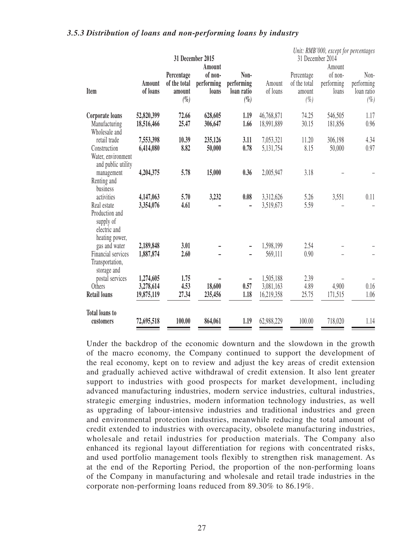# *3.5.3 Distribution of loans and non-performing loans by industry*

|                                |            |              | 31 December 2015 |            |            |              | Unit: RMB'000, except for percentages<br>31 December 2014 |            |
|--------------------------------|------------|--------------|------------------|------------|------------|--------------|-----------------------------------------------------------|------------|
|                                |            |              | Amount           |            |            |              | Amount                                                    |            |
|                                |            | Percentage   | of non-          | Non-       |            | Percentage   | of non-                                                   | Non-       |
|                                | Amount     | of the total | performing       | performing | Amount     | of the total | performing                                                | performing |
| Item                           | of loans   | amount       | loans            | loan ratio | of loans   | amount       | loans                                                     | loan ratio |
|                                |            | $(\%)$       |                  | $(\%)$     |            | $(\% )$      |                                                           | $(\%)$     |
| Corporate loans                | 52,820,399 | 72.66        | 628,605          | 1.19       | 46,768,871 | 74.25        | 546,505                                                   | 1.17       |
| Manufacturing<br>Wholesale and | 18,516,466 | 25.47        | 306,647          | 1.66       | 18,991,889 | 30.15        | 181,856                                                   | 0.96       |
| retail trade                   | 7,553,398  | 10.39        | 235,126          | 3.11       | 7,053,321  | 11.20        | 306,198                                                   | 4.34       |
| Construction                   | 6,414,080  | 8.82         | 50,000           | 0.78       | 5,131,754  | 8.15         | 50,000                                                    | 0.97       |
| Water, environment             |            |              |                  |            |            |              |                                                           |            |
| and public utility             |            |              |                  |            |            | 3.18         |                                                           |            |
| management<br>Renting and      | 4,204,375  | 5.78         | 15,000           | 0.36       | 2,005,947  |              |                                                           |            |
| business                       |            |              |                  |            |            |              |                                                           |            |
| activities                     | 4,147,063  | 5.70         | 3,232            | 0.08       | 3,312,626  | 5.26         | 3,551                                                     | 0.11       |
| Real estate                    | 3,354,076  | 4.61         |                  |            | 3,519,673  | 5.59         |                                                           |            |
| Production and                 |            |              |                  |            |            |              |                                                           |            |
| supply of                      |            |              |                  |            |            |              |                                                           |            |
| electric and                   |            |              |                  |            |            |              |                                                           |            |
| heating power,                 |            |              |                  |            |            |              |                                                           |            |
| gas and water                  | 2,189,848  | 3.01         |                  |            | 1,598,199  | 2.54         |                                                           |            |
| Financial services             | 1,887,874  | 2.60         |                  |            | 569,111    | 0.90         |                                                           |            |
| Transportation,<br>storage and |            |              |                  |            |            |              |                                                           |            |
| postal services                | 1,274,605  | 1.75         |                  | -          | 1,505,188  | 2.39         |                                                           |            |
| Others                         | 3,278,614  | 4.53         | 18,600           | 0.57       | 3,081,163  | 4.89         | 4,900                                                     | 0.16       |
| <b>Retail loans</b>            | 19,875,119 | 27.34        | 235,456          | 1.18       | 16,219,358 | 25.75        | 171,515                                                   | 1.06       |
|                                |            |              |                  |            |            |              |                                                           |            |
| <b>Total loans to</b>          |            |              |                  |            |            |              |                                                           |            |
| customers                      | 72,695,518 | 100.00       | 864,061          | 1.19       | 62,988,229 | 100.00       | 718,020                                                   | 1.14       |

Under the backdrop of the economic downturn and the slowdown in the growth of the macro economy, the Company continued to support the development of the real economy, kept on to review and adjust the key areas of credit extension and gradually achieved active withdrawal of credit extension. It also lent greater support to industries with good prospects for market development, including advanced manufacturing industries, modern service industries, cultural industries, strategic emerging industries, modern information technology industries, as well as upgrading of labour-intensive industries and traditional industries and green and environmental protection industries, meanwhile reducing the total amount of credit extended to industries with overcapacity, obsolete manufacturing industries, wholesale and retail industries for production materials. The Company also enhanced its regional layout differentiation for regions with concentrated risks, and used portfolio management tools flexibly to strengthen risk management. As at the end of the Reporting Period, the proportion of the non-performing loans of the Company in manufacturing and wholesale and retail trade industries in the corporate non-performing loans reduced from 89.30% to 86.19%.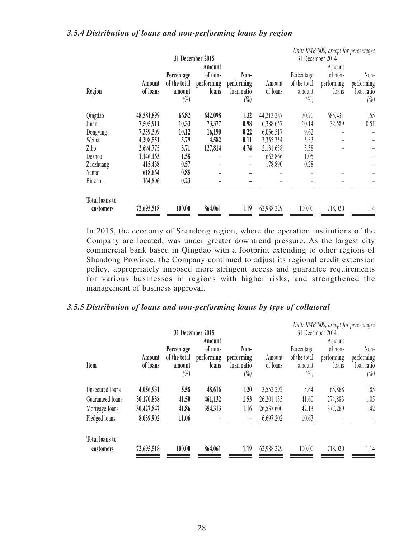## *3.5.4 Distribution of loans and non-performing loans by region*

|                       |            |              |                  |            |            |              | Unit: RMB'000, except for percentages |            |
|-----------------------|------------|--------------|------------------|------------|------------|--------------|---------------------------------------|------------|
|                       |            |              | 31 December 2015 |            |            |              | 31 December 2014                      |            |
|                       |            |              | Amount           |            |            |              | Amount                                |            |
|                       |            | Percentage   | of non-          | Non-       |            | Percentage   | of non-                               | Non-       |
|                       | Amount     | of the total | performing       | performing | Amount     | of the total | performing                            | performing |
| Region                | of loans   | amount       | loans            | loan ratio | of loans   | amount       | loans                                 | loan ratio |
|                       |            | $(\%)$       |                  | $(\%)$     |            | $(\%)$       |                                       | $(\%)$     |
| Qingdao               | 48,581,899 | 66.82        | 642,098          | 1.32       | 44,213,287 | 70.20        | 685,431                               | 1.55       |
| Jinan                 | 7,505,911  | 10.33        | 73,377           | 0.98       | 6,388,657  | 10.14        | 32,589                                | 0.51       |
| Dongying              | 7,359,309  | 10.12        | 16,190           | 0.22       | 6,056,517  | 9.62         |                                       |            |
| Weihai                | 4,208,551  | 5.79         | 4,582            | 0.11       | 3,355,354  | 5.33         |                                       |            |
| Zibo                  | 2,694,775  | 3.71         | 127,814          | 4.74       | 2,131,658  | 3.38         |                                       |            |
| Dezhou                | 1,146,165  | 1.58         |                  | -          | 663,866    | 1.05         |                                       |            |
| Zaozhuang             | 415,438    | 0.57         |                  | ۰          | 178,890    | 0.28         |                                       |            |
| Yantai                | 618,664    | 0.85         |                  |            |            |              |                                       |            |
| Binzhou               | 164,806    | 0.23         |                  |            |            |              |                                       |            |
| <b>Total loans to</b> |            |              |                  |            |            |              |                                       |            |
| customers             | 72,695,518 | 100.00       | 864,061          | 1.19       | 62,988,229 | 100.00       | 718,020                               | 1.14       |

In 2015, the economy of Shandong region, where the operation institutions of the Company are located, was under greater downtrend pressure. As the largest city commercial bank based in Qingdao with a footprint extending to other regions of Shandong Province, the Company continued to adjust its regional credit extension policy, appropriately imposed more stringent access and guarantee requirements for various businesses in regions with higher risks, and strengthened the management of business approval.

# *3.5.5 Distribution of loans and non-performing loans by type of collateral*

|                                    |                    |                                                |                                |                                            |                    |                                                | Unit: RMB'000, except for percentages |                                            |
|------------------------------------|--------------------|------------------------------------------------|--------------------------------|--------------------------------------------|--------------------|------------------------------------------------|---------------------------------------|--------------------------------------------|
|                                    |                    |                                                | 31 December 2015<br>Amount     |                                            |                    |                                                | 31 December 2014<br>Amount            |                                            |
| Item                               | Amount<br>of loans | Percentage<br>of the total<br>amount<br>$(\%)$ | of non-<br>performing<br>loans | Non-<br>performing<br>loan ratio<br>$(\%)$ | Amount<br>of loans | Percentage<br>of the total<br>amount<br>$(\%)$ | of non-<br>performing<br>loans        | Non-<br>performing<br>loan ratio<br>$(\%)$ |
| Unsecured loans                    | 4,056,931          | 5.58                                           | 48,616                         | 1.20                                       | 3,552,292          | 5.64                                           | 65,868                                | 1.85                                       |
| Guaranteed loans                   | 30,170,838         | 41.50                                          | 461,132                        | 1.53                                       | 26,201,135         | 41.60                                          | 274,883                               | 1.05                                       |
| Mortgage loans                     | 30,427,847         | 41.86                                          | 354,313                        | 1.16                                       | 26,537,600         | 42.13                                          | 377,269                               | 1.42                                       |
| Pledged loans                      | 8,039,902          | 11.06                                          |                                | $\overline{\phantom{a}}$                   | 6,697,202          | 10.63                                          |                                       |                                            |
| <b>Total loans to</b><br>customers | 72,695,518         | 100.00                                         | 864,061                        | 1.19                                       | 62,988,229         | 100.00                                         | 718,020                               | 1.14                                       |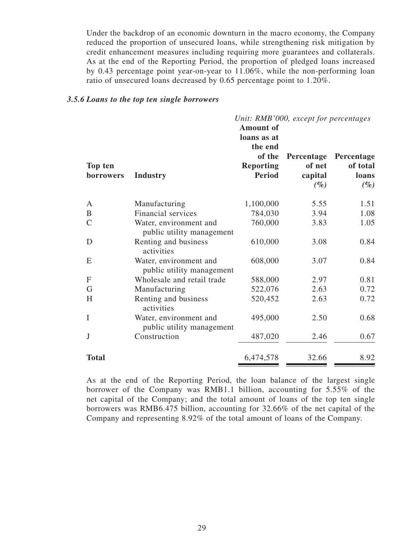Under the backdrop of an economic downturn in the macro economy, the Company reduced the proportion of unsecured loans, while strengthening risk mitigation by credit enhancement measures including requiring more guarantees and collaterals. As at the end of the Reporting Period, the proportion of pledged loans increased by 0.43 percentage point year-on-year to 11.06%, while the non-performing loan ratio of unsecured loans decreased by 0.65 percentage point to 1.20%.

#### *3.5.6 Loans to the top ten single borrowers*

|               |                                                     |                  | Unit: RMB'000, except for percentages |            |
|---------------|-----------------------------------------------------|------------------|---------------------------------------|------------|
|               |                                                     | <b>Amount of</b> |                                       |            |
|               |                                                     | loans as at      |                                       |            |
|               |                                                     | the end          |                                       |            |
|               |                                                     | of the           | Percentage                            | Percentage |
| Top ten       |                                                     | <b>Reporting</b> | of net                                | of total   |
| borrowers     | <b>Industry</b>                                     | <b>Period</b>    | capital                               | loans      |
|               |                                                     |                  | $(\%)$                                | $(\%)$     |
| A             | Manufacturing                                       | 1,100,000        | 5.55                                  | 1.51       |
| B             | Financial services                                  | 784,030          | 3.94                                  | 1.08       |
| $\mathcal{C}$ | Water, environment and<br>public utility management | 760,000          | 3.83                                  | 1.05       |
| D             | Renting and business<br>activities                  | 610,000          | 3.08                                  | 0.84       |
| E             | Water, environment and<br>public utility management | 608,000          | 3.07                                  | 0.84       |
| $\mathbf{F}$  | Wholesale and retail trade                          | 588,000          | 2.97                                  | 0.81       |
| G             | Manufacturing                                       | 522,076          | 2.63                                  | 0.72       |
| H             | Renting and business<br>activities                  | 520,452          | 2.63                                  | 0.72       |
| $\bf I$       | Water, environment and<br>public utility management | 495,000          | 2.50                                  | 0.68       |
| J             | Construction                                        | 487,020          | 2.46                                  | 0.67       |
| <b>Total</b>  |                                                     | 6,474,578        | 32.66                                 | 8.92       |

As at the end of the Reporting Period, the loan balance of the largest single borrower of the Company was RMB1.1 billion, accounting for 5.55% of the net capital of the Company; and the total amount of loans of the top ten single borrowers was RMB6.475 billion, accounting for 32.66% of the net capital of the Company and representing 8.92% of the total amount of loans of the Company.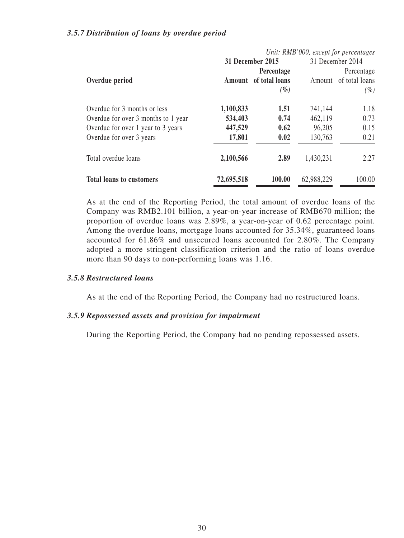## *3.5.7 Distribution of loans by overdue period*

|                                     |            |                       |            | Unit: RMB'000, except for percentages |
|-------------------------------------|------------|-----------------------|------------|---------------------------------------|
|                                     |            | 31 December 2015      |            | 31 December 2014                      |
|                                     |            | Percentage            |            | Percentage                            |
| Overdue period                      |            | Amount of total loans |            | Amount of total loans                 |
|                                     |            | $(\%)$                |            | (%)                                   |
| Overdue for 3 months or less        | 1,100,833  | 1.51                  | 741,144    | 1.18                                  |
| Overdue for over 3 months to 1 year | 534,403    | 0.74                  | 462,119    | 0.73                                  |
| Overdue for over 1 year to 3 years  | 447,529    | 0.62                  | 96,205     | 0.15                                  |
| Overdue for over 3 years            | 17,801     | 0.02                  | 130,763    | 0.21                                  |
| Total overdue loans                 | 2,100,566  | 2.89                  | 1,430,231  | 2.27                                  |
| <b>Total loans to customers</b>     | 72,695,518 | 100.00                | 62,988,229 | 100.00                                |

As at the end of the Reporting Period, the total amount of overdue loans of the Company was RMB2.101 billion, a year-on-year increase of RMB670 million; the proportion of overdue loans was 2.89%, a year-on-year of 0.62 percentage point. Among the overdue loans, mortgage loans accounted for 35.34%, guaranteed loans accounted for 61.86% and unsecured loans accounted for 2.80%. The Company adopted a more stringent classification criterion and the ratio of loans overdue more than 90 days to non-performing loans was 1.16.

# *3.5.8 Restructured loans*

As at the end of the Reporting Period, the Company had no restructured loans.

#### *3.5.9 Repossessed assets and provision for impairment*

During the Reporting Period, the Company had no pending repossessed assets.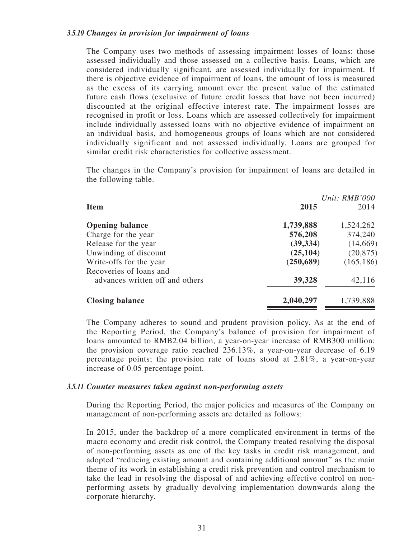The Company uses two methods of assessing impairment losses of loans: those assessed individually and those assessed on a collective basis. Loans, which are considered individually significant, are assessed individually for impairment. If there is objective evidence of impairment of loans, the amount of loss is measured as the excess of its carrying amount over the present value of the estimated future cash flows (exclusive of future credit losses that have not been incurred) discounted at the original effective interest rate. The impairment losses are recognised in profit or loss. Loans which are assessed collectively for impairment include individually assessed loans with no objective evidence of impairment on an individual basis, and homogeneous groups of loans which are not considered individually significant and not assessed individually. Loans are grouped for similar credit risk characteristics for collective assessment.

The changes in the Company's provision for impairment of loans are detailed in the following table.

|                                                            |            | Unit: RMB'000 |
|------------------------------------------------------------|------------|---------------|
| <b>Item</b>                                                | 2015       | 2014          |
| <b>Opening balance</b>                                     | 1,739,888  | 1,524,262     |
| Charge for the year                                        | 576,208    | 374,240       |
| Release for the year                                       | (39, 334)  | (14,669)      |
| Unwinding of discount                                      | (25, 104)  | (20, 875)     |
| Write-offs for the year                                    | (250, 689) | (165, 186)    |
| Recoveries of loans and<br>advances written off and others | 39,328     | 42,116        |
| <b>Closing balance</b>                                     | 2,040,297  | 1,739,888     |

The Company adheres to sound and prudent provision policy. As at the end of the Reporting Period, the Company's balance of provision for impairment of loans amounted to RMB2.04 billion, a year-on-year increase of RMB300 million; the provision coverage ratio reached 236.13%, a year-on-year decrease of 6.19 percentage points; the provision rate of loans stood at 2.81%, a year-on-year increase of 0.05 percentage point.

#### *3.5.11 Counter measures taken against non-performing assets*

During the Reporting Period, the major policies and measures of the Company on management of non-performing assets are detailed as follows:

In 2015, under the backdrop of a more complicated environment in terms of the macro economy and credit risk control, the Company treated resolving the disposal of non-performing assets as one of the key tasks in credit risk management, and adopted "reducing existing amount and containing additional amount" as the main theme of its work in establishing a credit risk prevention and control mechanism to take the lead in resolving the disposal of and achieving effective control on nonperforming assets by gradually devolving implementation downwards along the corporate hierarchy.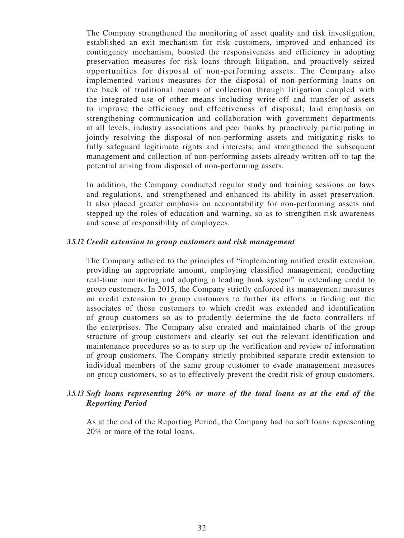The Company strengthened the monitoring of asset quality and risk investigation, established an exit mechanism for risk customers, improved and enhanced its contingency mechanism, boosted the responsiveness and efficiency in adopting preservation measures for risk loans through litigation, and proactively seized opportunities for disposal of non-performing assets. The Company also implemented various measures for the disposal of non-performing loans on the back of traditional means of collection through litigation coupled with the integrated use of other means including write-off and transfer of assets to improve the efficiency and effectiveness of disposal; laid emphasis on strengthening communication and collaboration with government departments at all levels, industry associations and peer banks by proactively participating in jointly resolving the disposal of non-performing assets and mitigating risks to fully safeguard legitimate rights and interests; and strengthened the subsequent management and collection of non-performing assets already written-off to tap the potential arising from disposal of non-performing assets.

In addition, the Company conducted regular study and training sessions on laws and regulations, and strengthened and enhanced its ability in asset preservation. It also placed greater emphasis on accountability for non-performing assets and stepped up the roles of education and warning, so as to strengthen risk awareness and sense of responsibility of employees.

#### *3.5.12 Credit extension to group customers and risk management*

The Company adhered to the principles of "implementing unified credit extension, providing an appropriate amount, employing classified management, conducting real-time monitoring and adopting a leading bank system" in extending credit to group customers. In 2015, the Company strictly enforced its management measures on credit extension to group customers to further its efforts in finding out the associates of those customers to which credit was extended and identification of group customers so as to prudently determine the de facto controllers of the enterprises. The Company also created and maintained charts of the group structure of group customers and clearly set out the relevant identification and maintenance procedures so as to step up the verification and review of information of group customers. The Company strictly prohibited separate credit extension to individual members of the same group customer to evade management measures on group customers, so as to effectively prevent the credit risk of group customers.

# *3.5.13 Soft loans representing 20% or more of the total loans as at the end of the Reporting Period*

As at the end of the Reporting Period, the Company had no soft loans representing 20% or more of the total loans.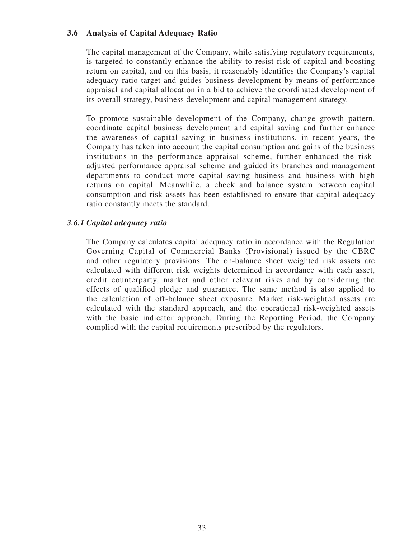# **3.6 Analysis of Capital Adequacy Ratio**

The capital management of the Company, while satisfying regulatory requirements, is targeted to constantly enhance the ability to resist risk of capital and boosting return on capital, and on this basis, it reasonably identifies the Company's capital adequacy ratio target and guides business development by means of performance appraisal and capital allocation in a bid to achieve the coordinated development of its overall strategy, business development and capital management strategy.

To promote sustainable development of the Company, change growth pattern, coordinate capital business development and capital saving and further enhance the awareness of capital saving in business institutions, in recent years, the Company has taken into account the capital consumption and gains of the business institutions in the performance appraisal scheme, further enhanced the riskadjusted performance appraisal scheme and guided its branches and management departments to conduct more capital saving business and business with high returns on capital. Meanwhile, a check and balance system between capital consumption and risk assets has been established to ensure that capital adequacy ratio constantly meets the standard.

# *3.6.1 Capital adequacy ratio*

The Company calculates capital adequacy ratio in accordance with the Regulation Governing Capital of Commercial Banks (Provisional) issued by the CBRC and other regulatory provisions. The on-balance sheet weighted risk assets are calculated with different risk weights determined in accordance with each asset, credit counterparty, market and other relevant risks and by considering the effects of qualified pledge and guarantee. The same method is also applied to the calculation of off-balance sheet exposure. Market risk-weighted assets are calculated with the standard approach, and the operational risk-weighted assets with the basic indicator approach. During the Reporting Period, the Company complied with the capital requirements prescribed by the regulators.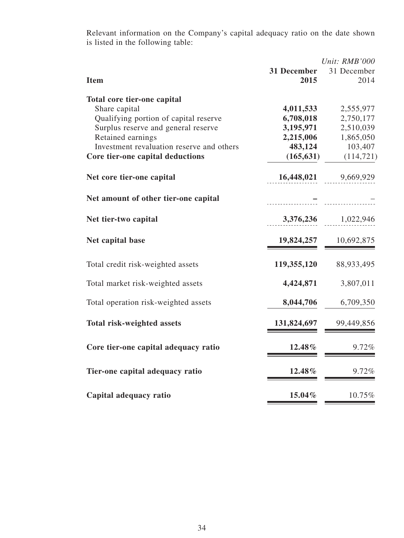Relevant information on the Company's capital adequacy ratio on the date shown is listed in the following table:

|             | Unit: RMB'000                                                             |
|-------------|---------------------------------------------------------------------------|
| 31 December | 31 December                                                               |
| 2015        | 2014                                                                      |
|             |                                                                           |
|             | 2,555,977                                                                 |
|             | 2,750,177                                                                 |
|             | 2,510,039                                                                 |
|             | 1,865,050                                                                 |
|             | 103,407                                                                   |
|             | (114, 721)                                                                |
|             |                                                                           |
| 16,448,021  | 9,669,929                                                                 |
|             |                                                                           |
| 3,376,236   | 1,022,946                                                                 |
| 19,824,257  | 10,692,875                                                                |
| 119,355,120 | 88,933,495                                                                |
| 4,424,871   | 3,807,011                                                                 |
| 8,044,706   | 6,709,350                                                                 |
| 131,824,697 | 99,449,856                                                                |
| 12.48%      | 9.72%                                                                     |
| 12.48%      | 9.72%                                                                     |
| 15.04%      | 10.75%                                                                    |
|             | 4,011,533<br>6,708,018<br>3,195,971<br>2,215,006<br>483,124<br>(165, 631) |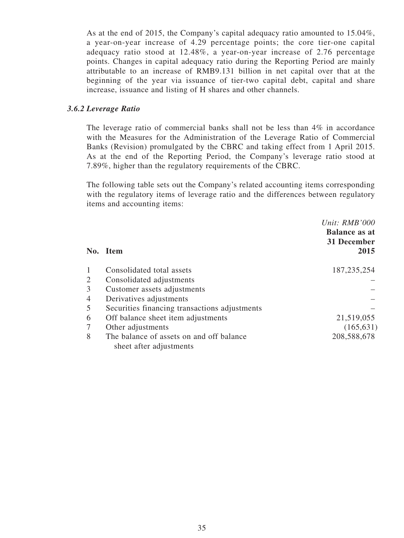As at the end of 2015, the Company's capital adequacy ratio amounted to 15.04%, a year-on-year increase of 4.29 percentage points; the core tier-one capital adequacy ratio stood at 12.48%, a year-on-year increase of 2.76 percentage points. Changes in capital adequacy ratio during the Reporting Period are mainly attributable to an increase of RMB9.131 billion in net capital over that at the beginning of the year via issuance of tier-two capital debt, capital and share increase, issuance and listing of H shares and other channels.

# *3.6.2 Leverage Ratio*

The leverage ratio of commercial banks shall not be less than 4% in accordance with the Measures for the Administration of the Leverage Ratio of Commercial Banks (Revision) promulgated by the CBRC and taking effect from 1 April 2015. As at the end of the Reporting Period, the Company's leverage ratio stood at 7.89%, higher than the regulatory requirements of the CBRC.

The following table sets out the Company's related accounting items corresponding with the regulatory items of leverage ratio and the differences between regulatory items and accounting items:

|                | No. Item                                      | Unit: RMB'000<br><b>Balance as at</b><br>31 December<br>2015 |
|----------------|-----------------------------------------------|--------------------------------------------------------------|
|                | Consolidated total assets                     | 187, 235, 254                                                |
| $\mathfrak{2}$ | Consolidated adjustments                      |                                                              |
| 3              | Customer assets adjustments                   |                                                              |
| 4              | Derivatives adjustments                       |                                                              |
| 5              | Securities financing transactions adjustments |                                                              |
| 6              | Off balance sheet item adjustments            | 21,519,055                                                   |
|                | Other adjustments                             | (165, 631)                                                   |
| 8              | The balance of assets on and off balance      | 208,588,678                                                  |
|                | sheet after adjustments                       |                                                              |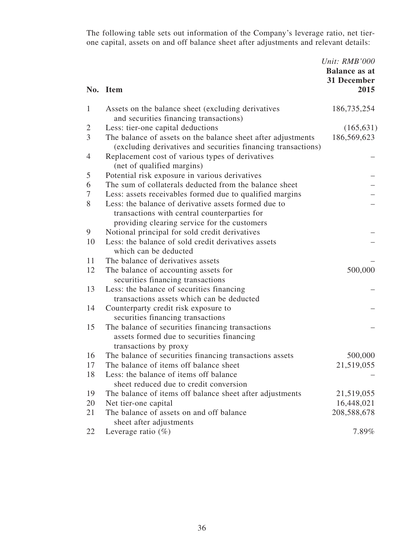The following table sets out information of the Company's leverage ratio, net tierone capital, assets on and off balance sheet after adjustments and relevant details:

|                | No. Item                                                                                                                                             | Unit: RMB'000<br><b>Balance as at</b><br>31 December<br>2015 |
|----------------|------------------------------------------------------------------------------------------------------------------------------------------------------|--------------------------------------------------------------|
| 1              | Assets on the balance sheet (excluding derivatives<br>and securities financing transactions)                                                         | 186,735,254                                                  |
| $\overline{2}$ | Less: tier-one capital deductions                                                                                                                    | (165, 631)                                                   |
| 3              | The balance of assets on the balance sheet after adjustments<br>(excluding derivatives and securities financing transactions)                        | 186,569,623                                                  |
| $\overline{4}$ | Replacement cost of various types of derivatives<br>(net of qualified margins)                                                                       |                                                              |
| 5              | Potential risk exposure in various derivatives                                                                                                       |                                                              |
| 6              | The sum of collaterals deducted from the balance sheet                                                                                               |                                                              |
| 7              | Less: assets receivables formed due to qualified margins                                                                                             |                                                              |
| 8              | Less: the balance of derivative assets formed due to<br>transactions with central counterparties for<br>providing clearing service for the customers |                                                              |
| 9              | Notional principal for sold credit derivatives                                                                                                       |                                                              |
| 10             | Less: the balance of sold credit derivatives assets<br>which can be deducted                                                                         |                                                              |
| 11             | The balance of derivatives assets                                                                                                                    |                                                              |
| 12             | The balance of accounting assets for<br>securities financing transactions                                                                            | 500,000                                                      |
| 13             | Less: the balance of securities financing<br>transactions assets which can be deducted                                                               |                                                              |
| 14             | Counterparty credit risk exposure to<br>securities financing transactions                                                                            |                                                              |
| 15             | The balance of securities financing transactions<br>assets formed due to securities financing<br>transactions by proxy                               |                                                              |
| 16             | The balance of securities financing transactions assets                                                                                              | 500,000                                                      |
| 17             | The balance of items off balance sheet                                                                                                               | 21,519,055                                                   |
| 18             | Less: the balance of items off balance<br>sheet reduced due to credit conversion                                                                     |                                                              |
| 19             | The balance of items off balance sheet after adjustments                                                                                             | 21,519,055                                                   |
| 20             | Net tier-one capital                                                                                                                                 | 16,448,021                                                   |
| 21             | The balance of assets on and off balance<br>sheet after adjustments                                                                                  | 208,588,678                                                  |
| 22             | Leverage ratio $(\%)$                                                                                                                                | 7.89%                                                        |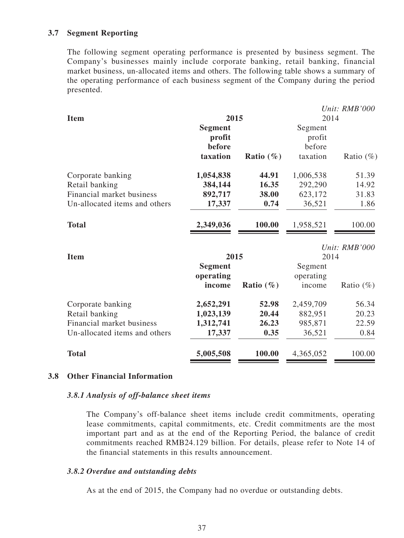## **3.7 Segment Reporting**

The following segment operating performance is presented by business segment. The Company's businesses mainly include corporate banking, retail banking, financial market business, un-allocated items and others. The following table shows a summary of the operating performance of each business segment of the Company during the period presented.

|                |                                              |           | Unit: RMB'000                   |  |
|----------------|----------------------------------------------|-----------|---------------------------------|--|
|                |                                              | 2014      |                                 |  |
| <b>Segment</b> |                                              | Segment   |                                 |  |
| profit         |                                              | profit    |                                 |  |
| before         |                                              | before    |                                 |  |
| taxation       | <b>Ratio</b> $(\%)$                          | taxation  | Ratio $(\%)$                    |  |
| 1,054,838      | 44.91                                        | 1,006,538 | 51.39                           |  |
|                | 16.35                                        |           | 14.92                           |  |
|                | 38.00                                        |           | 31.83                           |  |
| 17,337         | 0.74                                         | 36,521    | 1.86                            |  |
| 2,349,036      | 100.00                                       | 1,958,521 | 100.00                          |  |
|                |                                              |           | Unit: RMB'000                   |  |
| 2015           |                                              | 2014      |                                 |  |
| <b>Segment</b> |                                              | Segment   |                                 |  |
|                |                                              |           |                                 |  |
| income         | Ratio $(\% )$                                | income    | Ratio $(\%)$                    |  |
| 2,652,291      | 52.98                                        | 2,459,709 | 56.34                           |  |
|                | 20.44                                        | 882,951   | 20.23                           |  |
| 1,312,741      | 26.23                                        | 985,871   | 22.59                           |  |
| 17,337         | 0.35                                         | 36,521    | 0.84                            |  |
| 5,005,508      | 100.00                                       | 4,365,052 | 100.00                          |  |
|                | 384,144<br>892,717<br>operating<br>1,023,139 | 2015      | 292,290<br>623,172<br>operating |  |

## **3.8 Other Financial Information**

#### *3.8.1 Analysis of off-balance sheet items*

The Company's off-balance sheet items include credit commitments, operating lease commitments, capital commitments, etc. Credit commitments are the most important part and as at the end of the Reporting Period, the balance of credit commitments reached RMB24.129 billion. For details, please refer to Note 14 of the financial statements in this results announcement.

#### *3.8.2 Overdue and outstanding debts*

As at the end of 2015, the Company had no overdue or outstanding debts.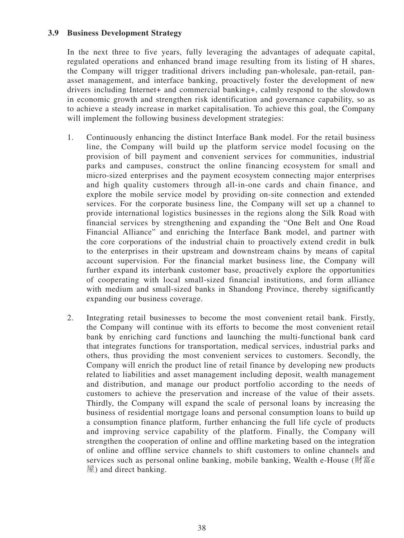# **3.9 Business Development Strategy**

In the next three to five years, fully leveraging the advantages of adequate capital, regulated operations and enhanced brand image resulting from its listing of H shares, the Company will trigger traditional drivers including pan-wholesale, pan-retail, panasset management, and interface banking, proactively foster the development of new drivers including Internet+ and commercial banking+, calmly respond to the slowdown in economic growth and strengthen risk identification and governance capability, so as to achieve a steady increase in market capitalisation. To achieve this goal, the Company will implement the following business development strategies:

- 1. Continuously enhancing the distinct Interface Bank model. For the retail business line, the Company will build up the platform service model focusing on the provision of bill payment and convenient services for communities, industrial parks and campuses, construct the online financing ecosystem for small and micro-sized enterprises and the payment ecosystem connecting major enterprises and high quality customers through all-in-one cards and chain finance, and explore the mobile service model by providing on-site connection and extended services. For the corporate business line, the Company will set up a channel to provide international logistics businesses in the regions along the Silk Road with financial services by strengthening and expanding the "One Belt and One Road Financial Alliance" and enriching the Interface Bank model, and partner with the core corporations of the industrial chain to proactively extend credit in bulk to the enterprises in their upstream and downstream chains by means of capital account supervision. For the financial market business line, the Company will further expand its interbank customer base, proactively explore the opportunities of cooperating with local small-sized financial institutions, and form alliance with medium and small-sized banks in Shandong Province, thereby significantly expanding our business coverage.
- 2. Integrating retail businesses to become the most convenient retail bank. Firstly, the Company will continue with its efforts to become the most convenient retail bank by enriching card functions and launching the multi-functional bank card that integrates functions for transportation, medical services, industrial parks and others, thus providing the most convenient services to customers. Secondly, the Company will enrich the product line of retail finance by developing new products related to liabilities and asset management including deposit, wealth management and distribution, and manage our product portfolio according to the needs of customers to achieve the preservation and increase of the value of their assets. Thirdly, the Company will expand the scale of personal loans by increasing the business of residential mortgage loans and personal consumption loans to build up a consumption finance platform, further enhancing the full life cycle of products and improving service capability of the platform. Finally, the Company will strengthen the cooperation of online and offline marketing based on the integration of online and offline service channels to shift customers to online channels and services such as personal online banking, mobile banking, Wealth e-House (財富e 屋) and direct banking.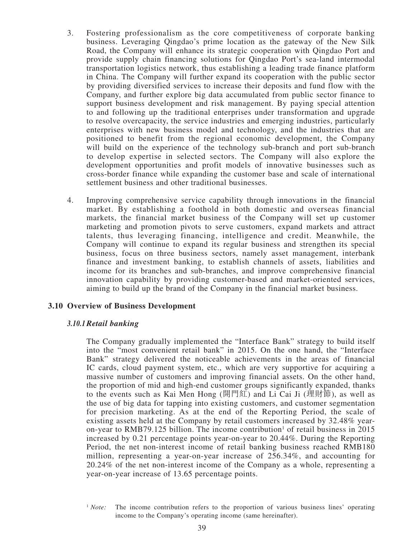- 3. Fostering professionalism as the core competitiveness of corporate banking business. Leveraging Qingdao's prime location as the gateway of the New Silk Road, the Company will enhance its strategic cooperation with Qingdao Port and provide supply chain financing solutions for Qingdao Port's sea-land intermodal transportation logistics network, thus establishing a leading trade finance platform in China. The Company will further expand its cooperation with the public sector by providing diversified services to increase their deposits and fund flow with the Company, and further explore big data accumulated from public sector finance to support business development and risk management. By paying special attention to and following up the traditional enterprises under transformation and upgrade to resolve overcapacity, the service industries and emerging industries, particularly enterprises with new business model and technology, and the industries that are positioned to benefit from the regional economic development, the Company will build on the experience of the technology sub-branch and port sub-branch to develop expertise in selected sectors. The Company will also explore the development opportunities and profit models of innovative businesses such as cross-border finance while expanding the customer base and scale of international settlement business and other traditional businesses.
- 4. Improving comprehensive service capability through innovations in the financial market. By establishing a foothold in both domestic and overseas financial markets, the financial market business of the Company will set up customer marketing and promotion pivots to serve customers, expand markets and attract talents, thus leveraging financing, intelligence and credit. Meanwhile, the Company will continue to expand its regular business and strengthen its special business, focus on three business sectors, namely asset management, interbank finance and investment banking, to establish channels of assets, liabilities and income for its branches and sub-branches, and improve comprehensive financial innovation capability by providing customer-based and market-oriented services, aiming to build up the brand of the Company in the financial market business.

## **3.10 Overview of Business Development**

#### *3.10.1Retail banking*

The Company gradually implemented the "Interface Bank" strategy to build itself into the "most convenient retail bank" in 2015. On the one hand, the "Interface Bank" strategy delivered the noticeable achievements in the areas of financial IC cards, cloud payment system, etc., which are very supportive for acquiring a massive number of customers and improving financial assets. On the other hand, the proportion of mid and high-end customer groups significantly expanded, thanks to the events such as Kai Men Hong (開門紅) and Li Cai Ji (理財節), as well as the use of big data for tapping into existing customers, and customer segmentation for precision marketing. As at the end of the Reporting Period, the scale of existing assets held at the Company by retail customers increased by 32.48% yearon-year to RMB79.125 billion. The income contribution<sup>1</sup> of retail business in 2015 increased by 0.21 percentage points year-on-year to 20.44%. During the Reporting Period, the net non-interest income of retail banking business reached RMB180 million, representing a year-on-year increase of 256.34%, and accounting for 20.24% of the net non-interest income of the Company as a whole, representing a year-on-year increase of 13.65 percentage points.

<sup>&</sup>lt;sup>1</sup> *Note:* The income contribution refers to the proportion of various business lines' operating income to the Company's operating income (same hereinafter).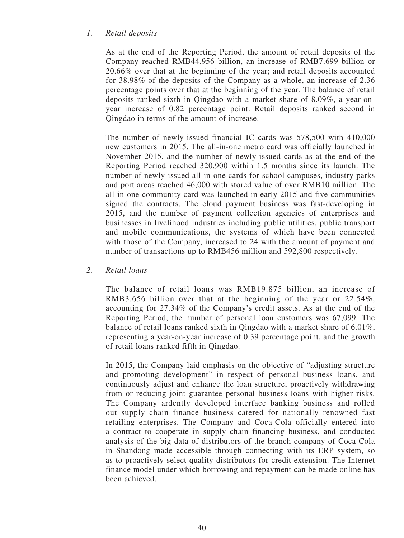# *1. Retail deposits*

As at the end of the Reporting Period, the amount of retail deposits of the Company reached RMB44.956 billion, an increase of RMB7.699 billion or 20.66% over that at the beginning of the year; and retail deposits accounted for 38.98% of the deposits of the Company as a whole, an increase of 2.36 percentage points over that at the beginning of the year. The balance of retail deposits ranked sixth in Qingdao with a market share of 8.09%, a year-onyear increase of 0.82 percentage point. Retail deposits ranked second in Qingdao in terms of the amount of increase.

The number of newly-issued financial IC cards was 578,500 with 410,000 new customers in 2015. The all-in-one metro card was officially launched in November 2015, and the number of newly-issued cards as at the end of the Reporting Period reached 320,900 within 1.5 months since its launch. The number of newly-issued all-in-one cards for school campuses, industry parks and port areas reached 46,000 with stored value of over RMB10 million. The all-in-one community card was launched in early 2015 and five communities signed the contracts. The cloud payment business was fast-developing in 2015, and the number of payment collection agencies of enterprises and businesses in livelihood industries including public utilities, public transport and mobile communications, the systems of which have been connected with those of the Company, increased to 24 with the amount of payment and number of transactions up to RMB456 million and 592,800 respectively.

## *2. Retail loans*

The balance of retail loans was RMB19.875 billion, an increase of RMB3.656 billion over that at the beginning of the year or 22.54%, accounting for 27.34% of the Company's credit assets. As at the end of the Reporting Period, the number of personal loan customers was 67,099. The balance of retail loans ranked sixth in Qingdao with a market share of 6.01%, representing a year-on-year increase of 0.39 percentage point, and the growth of retail loans ranked fifth in Qingdao.

In 2015, the Company laid emphasis on the objective of "adjusting structure and promoting development" in respect of personal business loans, and continuously adjust and enhance the loan structure, proactively withdrawing from or reducing joint guarantee personal business loans with higher risks. The Company ardently developed interface banking business and rolled out supply chain finance business catered for nationally renowned fast retailing enterprises. The Company and Coca-Cola officially entered into a contract to cooperate in supply chain financing business, and conducted analysis of the big data of distributors of the branch company of Coca-Cola in Shandong made accessible through connecting with its ERP system, so as to proactively select quality distributors for credit extension. The Internet finance model under which borrowing and repayment can be made online has been achieved.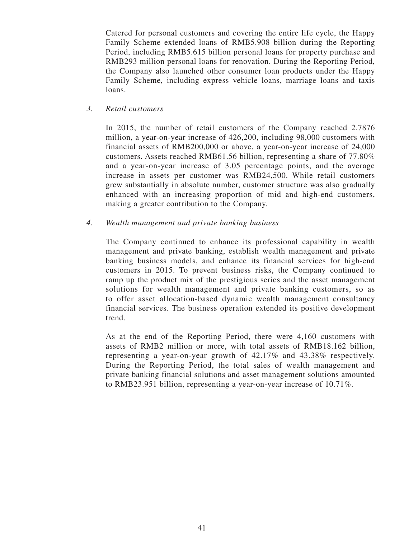Catered for personal customers and covering the entire life cycle, the Happy Family Scheme extended loans of RMB5.908 billion during the Reporting Period, including RMB5.615 billion personal loans for property purchase and RMB293 million personal loans for renovation. During the Reporting Period, the Company also launched other consumer loan products under the Happy Family Scheme, including express vehicle loans, marriage loans and taxis loans.

## *3. Retail customers*

In 2015, the number of retail customers of the Company reached 2.7876 million, a year-on-year increase of 426,200, including 98,000 customers with financial assets of RMB200,000 or above, a year-on-year increase of 24,000 customers. Assets reached RMB61.56 billion, representing a share of 77.80% and a year-on-year increase of 3.05 percentage points, and the average increase in assets per customer was RMB24,500. While retail customers grew substantially in absolute number, customer structure was also gradually enhanced with an increasing proportion of mid and high-end customers, making a greater contribution to the Company.

## *4. Wealth management and private banking business*

The Company continued to enhance its professional capability in wealth management and private banking, establish wealth management and private banking business models, and enhance its financial services for high-end customers in 2015. To prevent business risks, the Company continued to ramp up the product mix of the prestigious series and the asset management solutions for wealth management and private banking customers, so as to offer asset allocation-based dynamic wealth management consultancy financial services. The business operation extended its positive development trend.

As at the end of the Reporting Period, there were 4,160 customers with assets of RMB2 million or more, with total assets of RMB18.162 billion, representing a year-on-year growth of 42.17% and 43.38% respectively. During the Reporting Period, the total sales of wealth management and private banking financial solutions and asset management solutions amounted to RMB23.951 billion, representing a year-on-year increase of 10.71%.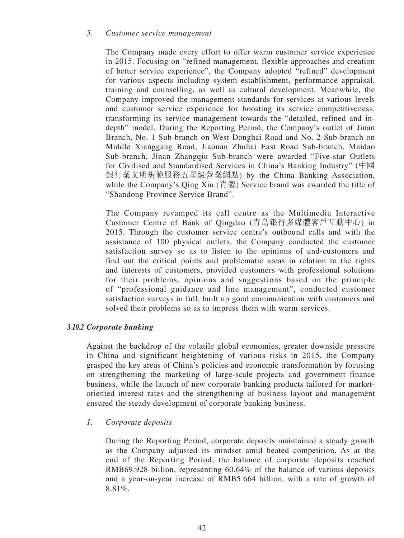## *5. Customer service management*

The Company made every effort to offer warm customer service experience in 2015. Focusing on "refined management, flexible approaches and creation of better service experience", the Company adopted "refined" development for various aspects including system establishment, performance appraisal, training and counselling, as well as cultural development. Meanwhile, the Company improved the management standards for services at various levels and customer service experience for boosting its service competitiveness, transforming its service management towards the "detailed, refined and indepth" model. During the Reporting Period, the Company's outlet of Jinan Branch, No. 1 Sub-branch on West Donghai Road and No. 2 Sub-branch on Middle Xianggang Road, Jiaonan Zhuhai East Road Sub-branch, Maidao Sub-branch, Jinan Zhangqiu Sub-branch were awarded "Five-star Outlets for Civilised and Standardised Services in China's Banking Industry" (中國 銀行業文明規範服務五星級營業網點) by the China Banking Association, while the Company's Qing Xin (青馨) Service brand was awarded the title of "Shandong Province Service Brand".

The Company revamped its call centre as the Multimedia Interactive Customer Centre of Bank of Qingdao (青島銀行多媒體客戶互動中心) in 2015. Through the customer service centre's outbound calls and with the assistance of 100 physical outlets, the Company conducted the customer satisfaction survey so as to listen to the opinions of end-customers and find out the critical points and problematic areas in relation to the rights and interests of customers, provided customers with professional solutions for their problems, opinions and suggestions based on the principle of "professional guidance and line management", conducted customer satisfaction surveys in full, built up good communication with customers and solved their problems so as to impress them with warm services.

## *3.10.2 Corporate banking*

Against the backdrop of the volatile global economies, greater downside pressure in China and significant heightening of various risks in 2015, the Company grasped the key areas of China's policies and economic transformation by focusing on strengthening the marketing of large-scale projects and government finance business, while the launch of new corporate banking products tailored for marketoriented interest rates and the strengthening of business layout and management ensured the steady development of corporate banking business.

## *1. Corporate deposits*

During the Reporting Period, corporate deposits maintained a steady growth as the Company adjusted its mindset amid heated competition. As at the end of the Reporting Period, the balance of corporate deposits reached RMB69.928 billion, representing 60.64% of the balance of various deposits and a year-on-year increase of RMB5.664 billion, with a rate of growth of 8.81%.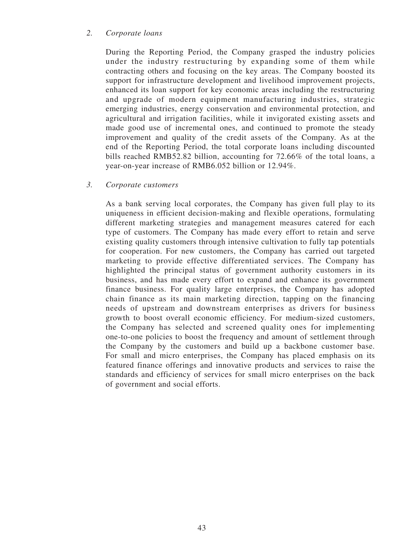# *2. Corporate loans*

During the Reporting Period, the Company grasped the industry policies under the industry restructuring by expanding some of them while contracting others and focusing on the key areas. The Company boosted its support for infrastructure development and livelihood improvement projects, enhanced its loan support for key economic areas including the restructuring and upgrade of modern equipment manufacturing industries, strategic emerging industries, energy conservation and environmental protection, and agricultural and irrigation facilities, while it invigorated existing assets and made good use of incremental ones, and continued to promote the steady improvement and quality of the credit assets of the Company. As at the end of the Reporting Period, the total corporate loans including discounted bills reached RMB52.82 billion, accounting for 72.66% of the total loans, a year-on-year increase of RMB6.052 billion or 12.94%.

## *3. Corporate customers*

As a bank serving local corporates, the Company has given full play to its uniqueness in efficient decision-making and flexible operations, formulating different marketing strategies and management measures catered for each type of customers. The Company has made every effort to retain and serve existing quality customers through intensive cultivation to fully tap potentials for cooperation. For new customers, the Company has carried out targeted marketing to provide effective differentiated services. The Company has highlighted the principal status of government authority customers in its business, and has made every effort to expand and enhance its government finance business. For quality large enterprises, the Company has adopted chain finance as its main marketing direction, tapping on the financing needs of upstream and downstream enterprises as drivers for business growth to boost overall economic efficiency. For medium-sized customers, the Company has selected and screened quality ones for implementing one-to-one policies to boost the frequency and amount of settlement through the Company by the customers and build up a backbone customer base. For small and micro enterprises, the Company has placed emphasis on its featured finance offerings and innovative products and services to raise the standards and efficiency of services for small micro enterprises on the back of government and social efforts.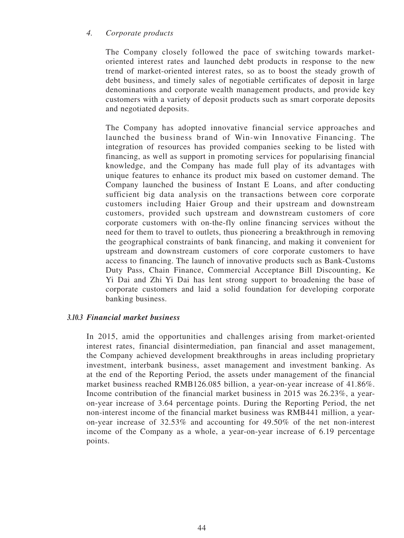## *4. Corporate products*

The Company closely followed the pace of switching towards marketoriented interest rates and launched debt products in response to the new trend of market-oriented interest rates, so as to boost the steady growth of debt business, and timely sales of negotiable certificates of deposit in large denominations and corporate wealth management products, and provide key customers with a variety of deposit products such as smart corporate deposits and negotiated deposits.

The Company has adopted innovative financial service approaches and launched the business brand of Win-win Innovative Financing. The integration of resources has provided companies seeking to be listed with financing, as well as support in promoting services for popularising financial knowledge, and the Company has made full play of its advantages with unique features to enhance its product mix based on customer demand. The Company launched the business of Instant E Loans, and after conducting sufficient big data analysis on the transactions between core corporate customers including Haier Group and their upstream and downstream customers, provided such upstream and downstream customers of core corporate customers with on-the-fly online financing services without the need for them to travel to outlets, thus pioneering a breakthrough in removing the geographical constraints of bank financing, and making it convenient for upstream and downstream customers of core corporate customers to have access to financing. The launch of innovative products such as Bank-Customs Duty Pass, Chain Finance, Commercial Acceptance Bill Discounting, Ke Yi Dai and Zhi Yi Dai has lent strong support to broadening the base of corporate customers and laid a solid foundation for developing corporate banking business.

## *3.10.3 Financial market business*

In 2015, amid the opportunities and challenges arising from market-oriented interest rates, financial disintermediation, pan financial and asset management, the Company achieved development breakthroughs in areas including proprietary investment, interbank business, asset management and investment banking. As at the end of the Reporting Period, the assets under management of the financial market business reached RMB126.085 billion, a year-on-year increase of 41.86%. Income contribution of the financial market business in 2015 was 26.23%, a yearon-year increase of 3.64 percentage points. During the Reporting Period, the net non-interest income of the financial market business was RMB441 million, a yearon-year increase of 32.53% and accounting for 49.50% of the net non-interest income of the Company as a whole, a year-on-year increase of 6.19 percentage points.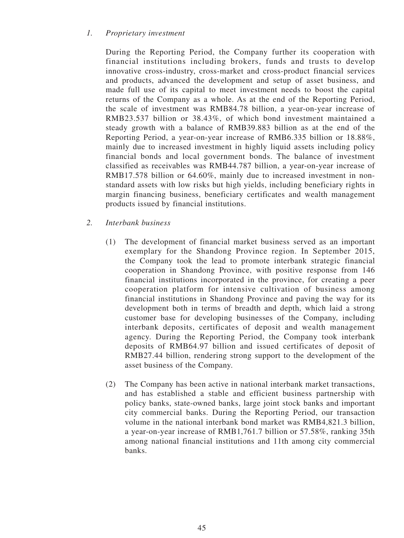# *1. Proprietary investment*

During the Reporting Period, the Company further its cooperation with financial institutions including brokers, funds and trusts to develop innovative cross-industry, cross-market and cross-product financial services and products, advanced the development and setup of asset business, and made full use of its capital to meet investment needs to boost the capital returns of the Company as a whole. As at the end of the Reporting Period, the scale of investment was RMB84.78 billion, a year-on-year increase of RMB23.537 billion or 38.43%, of which bond investment maintained a steady growth with a balance of RMB39.883 billion as at the end of the Reporting Period, a year-on-year increase of RMB6.335 billion or 18.88%, mainly due to increased investment in highly liquid assets including policy financial bonds and local government bonds. The balance of investment classified as receivables was RMB44.787 billion, a year-on-year increase of RMB17.578 billion or 64.60%, mainly due to increased investment in nonstandard assets with low risks but high yields, including beneficiary rights in margin financing business, beneficiary certificates and wealth management products issued by financial institutions.

- *2. Interbank business*
	- (1) The development of financial market business served as an important exemplary for the Shandong Province region. In September 2015, the Company took the lead to promote interbank strategic financial cooperation in Shandong Province, with positive response from 146 financial institutions incorporated in the province, for creating a peer cooperation platform for intensive cultivation of business among financial institutions in Shandong Province and paving the way for its development both in terms of breadth and depth, which laid a strong customer base for developing businesses of the Company, including interbank deposits, certificates of deposit and wealth management agency. During the Reporting Period, the Company took interbank deposits of RMB64.97 billion and issued certificates of deposit of RMB27.44 billion, rendering strong support to the development of the asset business of the Company.
	- (2) The Company has been active in national interbank market transactions, and has established a stable and efficient business partnership with policy banks, state-owned banks, large joint stock banks and important city commercial banks. During the Reporting Period, our transaction volume in the national interbank bond market was RMB4,821.3 billion, a year-on-year increase of RMB1,761.7 billion or 57.58%, ranking 35th among national financial institutions and 11th among city commercial banks.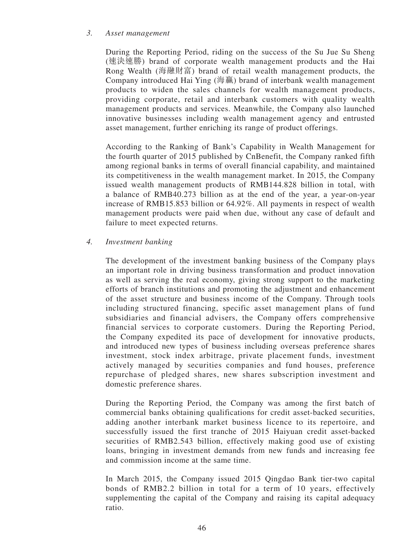## *3. Asset management*

During the Reporting Period, riding on the success of the Su Jue Su Sheng (速決速勝) brand of corporate wealth management products and the Hai Rong Wealth (海融財富) brand of retail wealth management products, the Company introduced Hai Ying (海贏) brand of interbank wealth management products to widen the sales channels for wealth management products, providing corporate, retail and interbank customers with quality wealth management products and services. Meanwhile, the Company also launched innovative businesses including wealth management agency and entrusted asset management, further enriching its range of product offerings.

According to the Ranking of Bank's Capability in Wealth Management for the fourth quarter of 2015 published by CnBenefit, the Company ranked fifth among regional banks in terms of overall financial capability, and maintained its competitiveness in the wealth management market. In 2015, the Company issued wealth management products of RMB144.828 billion in total, with a balance of RMB40.273 billion as at the end of the year, a year-on-year increase of RMB15.853 billion or 64.92%. All payments in respect of wealth management products were paid when due, without any case of default and failure to meet expected returns.

## *4. Investment banking*

The development of the investment banking business of the Company plays an important role in driving business transformation and product innovation as well as serving the real economy, giving strong support to the marketing efforts of branch institutions and promoting the adjustment and enhancement of the asset structure and business income of the Company. Through tools including structured financing, specific asset management plans of fund subsidiaries and financial advisers, the Company offers comprehensive financial services to corporate customers. During the Reporting Period, the Company expedited its pace of development for innovative products, and introduced new types of business including overseas preference shares investment, stock index arbitrage, private placement funds, investment actively managed by securities companies and fund houses, preference repurchase of pledged shares, new shares subscription investment and domestic preference shares.

During the Reporting Period, the Company was among the first batch of commercial banks obtaining qualifications for credit asset-backed securities, adding another interbank market business licence to its repertoire, and successfully issued the first tranche of 2015 Haiyuan credit asset-backed securities of RMB2.543 billion, effectively making good use of existing loans, bringing in investment demands from new funds and increasing fee and commission income at the same time.

In March 2015, the Company issued 2015 Qingdao Bank tier-two capital bonds of RMB2.2 billion in total for a term of 10 years, effectively supplementing the capital of the Company and raising its capital adequacy ratio.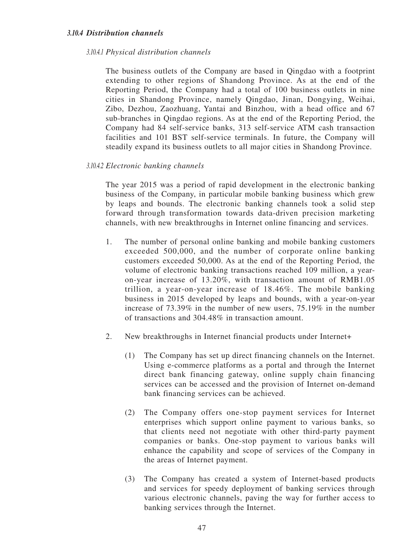### *3.10.4 Distribution channels*

#### *3.10.4.1 Physical distribution channels*

The business outlets of the Company are based in Qingdao with a footprint extending to other regions of Shandong Province. As at the end of the Reporting Period, the Company had a total of 100 business outlets in nine cities in Shandong Province, namely Qingdao, Jinan, Dongying, Weihai, Zibo, Dezhou, Zaozhuang, Yantai and Binzhou, with a head office and 67 sub-branches in Qingdao regions. As at the end of the Reporting Period, the Company had 84 self-service banks, 313 self-service ATM cash transaction facilities and 101 BST self-service terminals. In future, the Company will steadily expand its business outlets to all major cities in Shandong Province.

#### *3.10.4.2 Electronic banking channels*

The year 2015 was a period of rapid development in the electronic banking business of the Company, in particular mobile banking business which grew by leaps and bounds. The electronic banking channels took a solid step forward through transformation towards data-driven precision marketing channels, with new breakthroughs in Internet online financing and services.

- 1. The number of personal online banking and mobile banking customers exceeded 500,000, and the number of corporate online banking customers exceeded 50,000. As at the end of the Reporting Period, the volume of electronic banking transactions reached 109 million, a yearon-year increase of 13.20%, with transaction amount of RMB1.05 trillion, a year-on-year increase of 18.46%. The mobile banking business in 2015 developed by leaps and bounds, with a year-on-year increase of 73.39% in the number of new users, 75.19% in the number of transactions and 304.48% in transaction amount.
- 2. New breakthroughs in Internet financial products under Internet+
	- (1) The Company has set up direct financing channels on the Internet. Using e-commerce platforms as a portal and through the Internet direct bank financing gateway, online supply chain financing services can be accessed and the provision of Internet on-demand bank financing services can be achieved.
	- (2) The Company offers one-stop payment services for Internet enterprises which support online payment to various banks, so that clients need not negotiate with other third-party payment companies or banks. One-stop payment to various banks will enhance the capability and scope of services of the Company in the areas of Internet payment.
	- (3) The Company has created a system of Internet-based products and services for speedy deployment of banking services through various electronic channels, paving the way for further access to banking services through the Internet.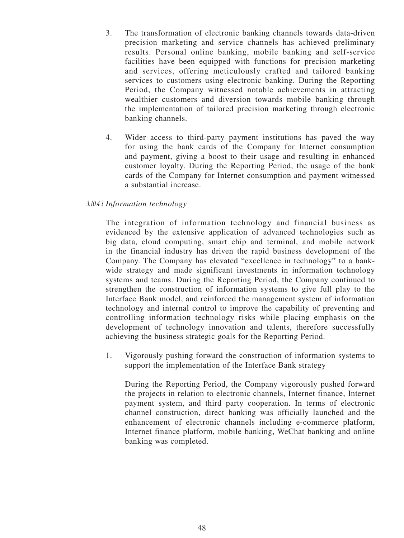- 3. The transformation of electronic banking channels towards data-driven precision marketing and service channels has achieved preliminary results. Personal online banking, mobile banking and self-service facilities have been equipped with functions for precision marketing and services, offering meticulously crafted and tailored banking services to customers using electronic banking. During the Reporting Period, the Company witnessed notable achievements in attracting wealthier customers and diversion towards mobile banking through the implementation of tailored precision marketing through electronic banking channels.
- 4. Wider access to third-party payment institutions has paved the way for using the bank cards of the Company for Internet consumption and payment, giving a boost to their usage and resulting in enhanced customer loyalty. During the Reporting Period, the usage of the bank cards of the Company for Internet consumption and payment witnessed a substantial increase.

## *3.10.4.3 Information technology*

The integration of information technology and financial business as evidenced by the extensive application of advanced technologies such as big data, cloud computing, smart chip and terminal, and mobile network in the financial industry has driven the rapid business development of the Company. The Company has elevated "excellence in technology" to a bankwide strategy and made significant investments in information technology systems and teams. During the Reporting Period, the Company continued to strengthen the construction of information systems to give full play to the Interface Bank model, and reinforced the management system of information technology and internal control to improve the capability of preventing and controlling information technology risks while placing emphasis on the development of technology innovation and talents, therefore successfully achieving the business strategic goals for the Reporting Period.

1. Vigorously pushing forward the construction of information systems to support the implementation of the Interface Bank strategy

During the Reporting Period, the Company vigorously pushed forward the projects in relation to electronic channels, Internet finance, Internet payment system, and third party cooperation. In terms of electronic channel construction, direct banking was officially launched and the enhancement of electronic channels including e-commerce platform, Internet finance platform, mobile banking, WeChat banking and online banking was completed.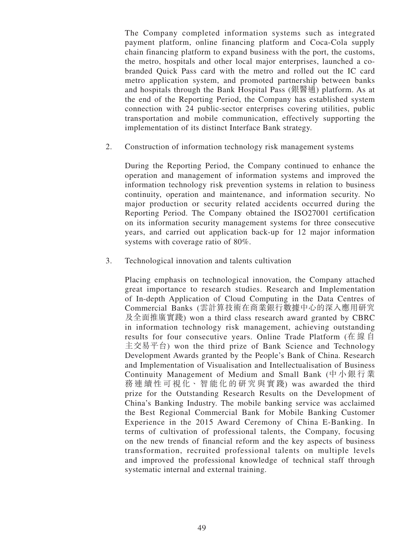The Company completed information systems such as integrated payment platform, online financing platform and Coca-Cola supply chain financing platform to expand business with the port, the customs, the metro, hospitals and other local major enterprises, launched a cobranded Quick Pass card with the metro and rolled out the IC card metro application system, and promoted partnership between banks and hospitals through the Bank Hospital Pass (銀醫通) platform. As at the end of the Reporting Period, the Company has established system connection with 24 public-sector enterprises covering utilities, public transportation and mobile communication, effectively supporting the implementation of its distinct Interface Bank strategy.

2. Construction of information technology risk management systems

During the Reporting Period, the Company continued to enhance the operation and management of information systems and improved the information technology risk prevention systems in relation to business continuity, operation and maintenance, and information security. No major production or security related accidents occurred during the Reporting Period. The Company obtained the ISO27001 certification on its information security management systems for three consecutive years, and carried out application back-up for 12 major information systems with coverage ratio of 80%.

3. Technological innovation and talents cultivation

Placing emphasis on technological innovation, the Company attached great importance to research studies. Research and Implementation of In-depth Application of Cloud Computing in the Data Centres of Commercial Banks (雲計算技術在商業銀行數據中心的深入應用研究 及全面推廣實踐) won a third class research award granted by CBRC in information technology risk management, achieving outstanding results for four consecutive years. Online Trade Platform (在線自 主交易平台) won the third prize of Bank Science and Technology Development Awards granted by the People's Bank of China. Research and Implementation of Visualisation and Intellectualisation of Business Continuity Management of Medium and Small Bank (中小銀行業 務連續性可視化、智能化的研究與實踐) was awarded the third prize for the Outstanding Research Results on the Development of China's Banking Industry. The mobile banking service was acclaimed the Best Regional Commercial Bank for Mobile Banking Customer Experience in the 2015 Award Ceremony of China E-Banking. In terms of cultivation of professional talents, the Company, focusing on the new trends of financial reform and the key aspects of business transformation, recruited professional talents on multiple levels and improved the professional knowledge of technical staff through systematic internal and external training.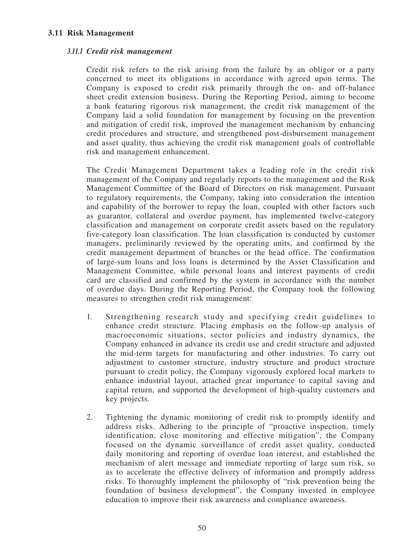## **3.11 Risk Management**

## *3.11.1 Credit risk management*

Credit risk refers to the risk arising from the failure by an obligor or a party concerned to meet its obligations in accordance with agreed upon terms. The Company is exposed to credit risk primarily through the on- and off-balance sheet credit extension business. During the Reporting Period, aiming to become a bank featuring rigorous risk management, the credit risk management of the Company laid a solid foundation for management by focusing on the prevention and mitigation of credit risk, improved the management mechanism by enhancing credit procedures and structure, and strengthened post-disbursement management and asset quality, thus achieving the credit risk management goals of controllable risk and management enhancement.

The Credit Management Department takes a leading role in the credit risk management of the Company and regularly reports to the management and the Risk Management Committee of the Board of Directors on risk management. Pursuant to regulatory requirements, the Company, taking into consideration the intention and capability of the borrower to repay the loan, coupled with other factors such as guarantor, collateral and overdue payment, has implemented twelve-category classification and management on corporate credit assets based on the regulatory five-category loan classification. The loan classification is conducted by customer managers, preliminarily reviewed by the operating units, and confirmed by the credit management department of branches or the head office. The confirmation of large-sum loans and loss loans is determined by the Asset Classification and Management Committee, while personal loans and interest payments of credit card are classified and confirmed by the system in accordance with the number of overdue days. During the Reporting Period, the Company took the following measures to strengthen credit risk management:

- 1. Strengthening research study and specifying credit guidelines to enhance credit structure. Placing emphasis on the follow-up analysis of macroeconomic situations, sector policies and industry dynamics, the Company enhanced in advance its credit use and credit structure and adjusted the mid-term targets for manufacturing and other industries. To carry out adjustment to customer structure, industry structure and product structure pursuant to credit policy, the Company vigorously explored local markets to enhance industrial layout, attached great importance to capital saving and capital return, and supported the development of high-quality customers and key projects.
- 2. Tightening the dynamic monitoring of credit risk to promptly identify and address risks. Adhering to the principle of "proactive inspection, timely identification, close monitoring and effective mitigation", the Company focused on the dynamic surveillance of credit asset quality, conducted daily monitoring and reporting of overdue loan interest, and established the mechanism of alert message and immediate reporting of large sum risk, so as to accelerate the effective delivery of information and promptly address risks. To thoroughly implement the philosophy of "risk prevention being the foundation of business development", the Company invested in employee education to improve their risk awareness and compliance awareness.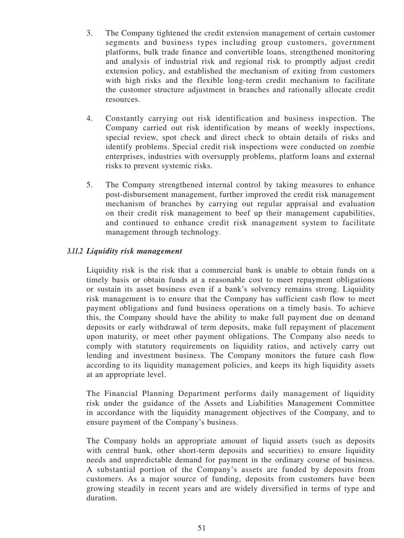- 3. The Company tightened the credit extension management of certain customer segments and business types including group customers, government platforms, bulk trade finance and convertible loans, strengthened monitoring and analysis of industrial risk and regional risk to promptly adjust credit extension policy, and established the mechanism of exiting from customers with high risks and the flexible long-term credit mechanism to facilitate the customer structure adjustment in branches and rationally allocate credit resources.
- 4. Constantly carrying out risk identification and business inspection. The Company carried out risk identification by means of weekly inspections, special review, spot check and direct check to obtain details of risks and identify problems. Special credit risk inspections were conducted on zombie enterprises, industries with oversupply problems, platform loans and external risks to prevent systemic risks.
- 5. The Company strengthened internal control by taking measures to enhance post-disbursement management, further improved the credit risk management mechanism of branches by carrying out regular appraisal and evaluation on their credit risk management to beef up their management capabilities, and continued to enhance credit risk management system to facilitate management through technology.

# *3.11.2 Liquidity risk management*

Liquidity risk is the risk that a commercial bank is unable to obtain funds on a timely basis or obtain funds at a reasonable cost to meet repayment obligations or sustain its asset business even if a bank's solvency remains strong. Liquidity risk management is to ensure that the Company has sufficient cash flow to meet payment obligations and fund business operations on a timely basis. To achieve this, the Company should have the ability to make full payment due on demand deposits or early withdrawal of term deposits, make full repayment of placement upon maturity, or meet other payment obligations. The Company also needs to comply with statutory requirements on liquidity ratios, and actively carry out lending and investment business. The Company monitors the future cash flow according to its liquidity management policies, and keeps its high liquidity assets at an appropriate level.

The Financial Planning Department performs daily management of liquidity risk under the guidance of the Assets and Liabilities Management Committee in accordance with the liquidity management objectives of the Company, and to ensure payment of the Company's business.

The Company holds an appropriate amount of liquid assets (such as deposits with central bank, other short-term deposits and securities) to ensure liquidity needs and unpredictable demand for payment in the ordinary course of business. A substantial portion of the Company's assets are funded by deposits from customers. As a major source of funding, deposits from customers have been growing steadily in recent years and are widely diversified in terms of type and duration.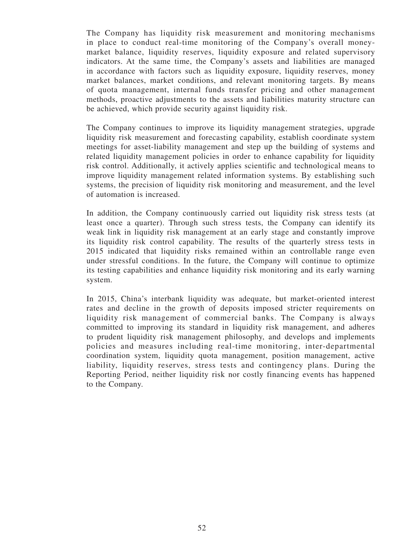The Company has liquidity risk measurement and monitoring mechanisms in place to conduct real-time monitoring of the Company's overall moneymarket balance, liquidity reserves, liquidity exposure and related supervisory indicators. At the same time, the Company's assets and liabilities are managed in accordance with factors such as liquidity exposure, liquidity reserves, money market balances, market conditions, and relevant monitoring targets. By means of quota management, internal funds transfer pricing and other management methods, proactive adjustments to the assets and liabilities maturity structure can be achieved, which provide security against liquidity risk.

The Company continues to improve its liquidity management strategies, upgrade liquidity risk measurement and forecasting capability, establish coordinate system meetings for asset-liability management and step up the building of systems and related liquidity management policies in order to enhance capability for liquidity risk control. Additionally, it actively applies scientific and technological means to improve liquidity management related information systems. By establishing such systems, the precision of liquidity risk monitoring and measurement, and the level of automation is increased.

In addition, the Company continuously carried out liquidity risk stress tests (at least once a quarter). Through such stress tests, the Company can identify its weak link in liquidity risk management at an early stage and constantly improve its liquidity risk control capability. The results of the quarterly stress tests in 2015 indicated that liquidity risks remained within an controllable range even under stressful conditions. In the future, the Company will continue to optimize its testing capabilities and enhance liquidity risk monitoring and its early warning system.

In 2015, China's interbank liquidity was adequate, but market-oriented interest rates and decline in the growth of deposits imposed stricter requirements on liquidity risk management of commercial banks. The Company is always committed to improving its standard in liquidity risk management, and adheres to prudent liquidity risk management philosophy, and develops and implements policies and measures including real-time monitoring, inter-departmental coordination system, liquidity quota management, position management, active liability, liquidity reserves, stress tests and contingency plans. During the Reporting Period, neither liquidity risk nor costly financing events has happened to the Company.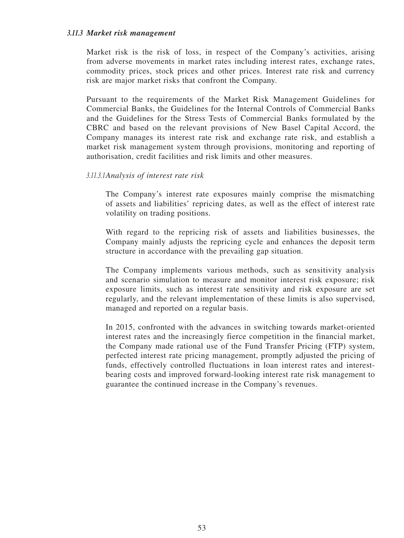## *3.11.3 Market risk management*

Market risk is the risk of loss, in respect of the Company's activities, arising from adverse movements in market rates including interest rates, exchange rates, commodity prices, stock prices and other prices. Interest rate risk and currency risk are major market risks that confront the Company.

Pursuant to the requirements of the Market Risk Management Guidelines for Commercial Banks, the Guidelines for the Internal Controls of Commercial Banks and the Guidelines for the Stress Tests of Commercial Banks formulated by the CBRC and based on the relevant provisions of New Basel Capital Accord, the Company manages its interest rate risk and exchange rate risk, and establish a market risk management system through provisions, monitoring and reporting of authorisation, credit facilities and risk limits and other measures.

## *3.11.3.1Analysis of interest rate risk*

The Company's interest rate exposures mainly comprise the mismatching of assets and liabilities' repricing dates, as well as the effect of interest rate volatility on trading positions.

With regard to the repricing risk of assets and liabilities businesses, the Company mainly adjusts the repricing cycle and enhances the deposit term structure in accordance with the prevailing gap situation.

The Company implements various methods, such as sensitivity analysis and scenario simulation to measure and monitor interest risk exposure; risk exposure limits, such as interest rate sensitivity and risk exposure are set regularly, and the relevant implementation of these limits is also supervised, managed and reported on a regular basis.

In 2015, confronted with the advances in switching towards market-oriented interest rates and the increasingly fierce competition in the financial market, the Company made rational use of the Fund Transfer Pricing (FTP) system, perfected interest rate pricing management, promptly adjusted the pricing of funds, effectively controlled fluctuations in loan interest rates and interestbearing costs and improved forward-looking interest rate risk management to guarantee the continued increase in the Company's revenues.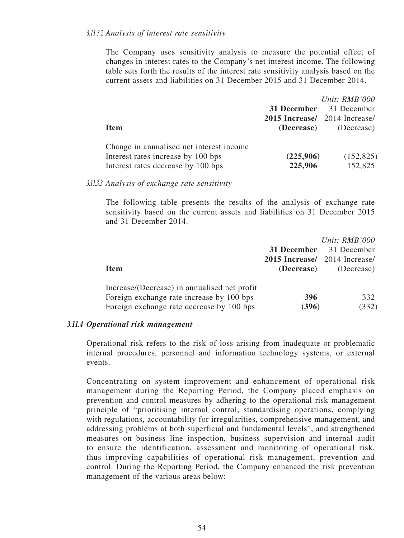The Company uses sensitivity analysis to measure the potential effect of changes in interest rates to the Company's net interest income. The following table sets forth the results of the interest rate sensitivity analysis based on the current assets and liabilities on 31 December 2015 and 31 December 2014.

|                                                                                                                      |                                       | Unit: RMB'000                  |
|----------------------------------------------------------------------------------------------------------------------|---------------------------------------|--------------------------------|
|                                                                                                                      |                                       | <b>31 December</b> 31 December |
|                                                                                                                      | <b>2015 Increase</b> / 2014 Increase/ |                                |
| <b>Item</b>                                                                                                          | (Decrease)                            | (Decrease)                     |
| Change in annualised net interest income<br>Interest rates increase by 100 bps<br>Interest rates decrease by 100 bps | (225,906)<br>225,906                  | (152, 825)<br>152,825          |

*3.11.3.3 Analysis of exchange rate sensitivity*

The following table presents the results of the analysis of exchange rate sensitivity based on the current assets and liabilities on 31 December 2015 and 31 December 2014.

| <b>Item</b>                                                                                                                            | 31 December<br><b>2015 Increase</b> 2014 Increase<br>(Decrease) | Unit: $RMB'000$<br>31 December<br>(Decrease) |
|----------------------------------------------------------------------------------------------------------------------------------------|-----------------------------------------------------------------|----------------------------------------------|
| Increase/(Decrease) in annualised net profit<br>Foreign exchange rate increase by 100 bps<br>Foreign exchange rate decrease by 100 bps | 396<br>(396)                                                    | 332<br>(332)                                 |

## *3.11.4 Operational risk management*

Operational risk refers to the risk of loss arising from inadequate or problematic internal procedures, personnel and information technology systems, or external events.

Concentrating on system improvement and enhancement of operational risk management during the Reporting Period, the Company placed emphasis on prevention and control measures by adhering to the operational risk management principle of "prioritising internal control, standardising operations, complying with regulations, accountability for irregularities, comprehensive management, and addressing problems at both superficial and fundamental levels", and strengthened measures on business line inspection, business supervision and internal audit to ensure the identification, assessment and monitoring of operational risk, thus improving capabilities of operational risk management, prevention and control. During the Reporting Period, the Company enhanced the risk prevention management of the various areas below: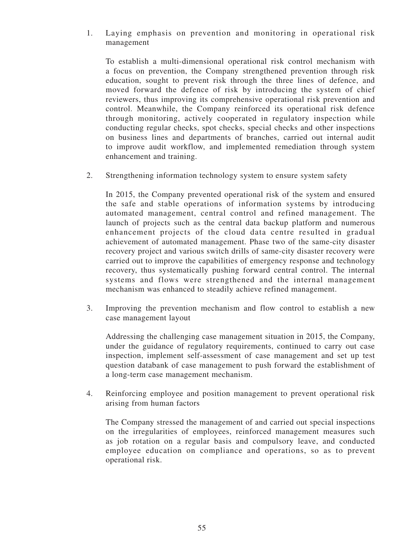1. Laying emphasis on prevention and monitoring in operational risk management

To establish a multi-dimensional operational risk control mechanism with a focus on prevention, the Company strengthened prevention through risk education, sought to prevent risk through the three lines of defence, and moved forward the defence of risk by introducing the system of chief reviewers, thus improving its comprehensive operational risk prevention and control. Meanwhile, the Company reinforced its operational risk defence through monitoring, actively cooperated in regulatory inspection while conducting regular checks, spot checks, special checks and other inspections on business lines and departments of branches, carried out internal audit to improve audit workflow, and implemented remediation through system enhancement and training.

2. Strengthening information technology system to ensure system safety

In 2015, the Company prevented operational risk of the system and ensured the safe and stable operations of information systems by introducing automated management, central control and refined management. The launch of projects such as the central data backup platform and numerous enhancement projects of the cloud data centre resulted in gradual achievement of automated management. Phase two of the same-city disaster recovery project and various switch drills of same-city disaster recovery were carried out to improve the capabilities of emergency response and technology recovery, thus systematically pushing forward central control. The internal systems and flows were strengthened and the internal management mechanism was enhanced to steadily achieve refined management.

3. Improving the prevention mechanism and flow control to establish a new case management layout

Addressing the challenging case management situation in 2015, the Company, under the guidance of regulatory requirements, continued to carry out case inspection, implement self-assessment of case management and set up test question databank of case management to push forward the establishment of a long-term case management mechanism.

4. Reinforcing employee and position management to prevent operational risk arising from human factors

The Company stressed the management of and carried out special inspections on the irregularities of employees, reinforced management measures such as job rotation on a regular basis and compulsory leave, and conducted employee education on compliance and operations, so as to prevent operational risk.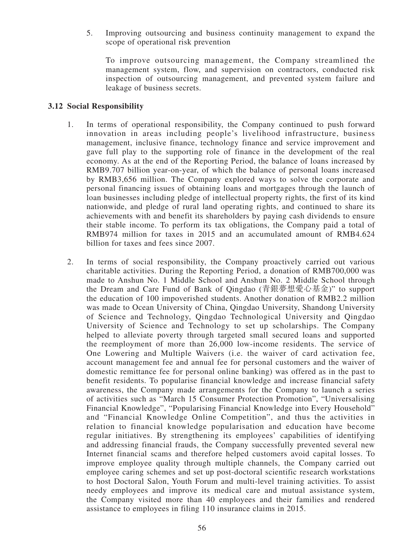5. Improving outsourcing and business continuity management to expand the scope of operational risk prevention

To improve outsourcing management, the Company streamlined the management system, flow, and supervision on contractors, conducted risk inspection of outsourcing management, and prevented system failure and leakage of business secrets.

## **3.12 Social Responsibility**

- 1. In terms of operational responsibility, the Company continued to push forward innovation in areas including people's livelihood infrastructure, business management, inclusive finance, technology finance and service improvement and gave full play to the supporting role of finance in the development of the real economy. As at the end of the Reporting Period, the balance of loans increased by RMB9.707 billion year-on-year, of which the balance of personal loans increased by RMB3,656 million. The Company explored ways to solve the corporate and personal financing issues of obtaining loans and mortgages through the launch of loan businesses including pledge of intellectual property rights, the first of its kind nationwide, and pledge of rural land operating rights, and continued to share its achievements with and benefit its shareholders by paying cash dividends to ensure their stable income. To perform its tax obligations, the Company paid a total of RMB974 million for taxes in 2015 and an accumulated amount of RMB4.624 billion for taxes and fees since 2007.
- 2. In terms of social responsibility, the Company proactively carried out various charitable activities. During the Reporting Period, a donation of RMB700,000 was made to Anshun No. 1 Middle School and Anshun No. 2 Middle School through the Dream and Care Fund of Bank of Qingdao (青銀夢想愛心基金)" to support the education of 100 impoverished students. Another donation of RMB2.2 million was made to Ocean University of China, Qingdao University, Shandong University of Science and Technology, Qingdao Technological University and Qingdao University of Science and Technology to set up scholarships. The Company helped to alleviate poverty through targeted small secured loans and supported the reemployment of more than 26,000 low-income residents. The service of One Lowering and Multiple Waivers (i.e. the waiver of card activation fee, account management fee and annual fee for personal customers and the waiver of domestic remittance fee for personal online banking) was offered as in the past to benefit residents. To popularise financial knowledge and increase financial safety awareness, the Company made arrangements for the Company to launch a series of activities such as "March 15 Consumer Protection Promotion", "Universalising Financial Knowledge", "Popularising Financial Knowledge into Every Household" and "Financial Knowledge Online Competition", and thus the activities in relation to financial knowledge popularisation and education have become regular initiatives. By strengthening its employees' capabilities of identifying and addressing financial frauds, the Company successfully prevented several new Internet financial scams and therefore helped customers avoid capital losses. To improve employee quality through multiple channels, the Company carried out employee caring schemes and set up post-doctoral scientific research workstations to host Doctoral Salon, Youth Forum and multi-level training activities. To assist needy employees and improve its medical care and mutual assistance system, the Company visited more than 40 employees and their families and rendered assistance to employees in filing 110 insurance claims in 2015.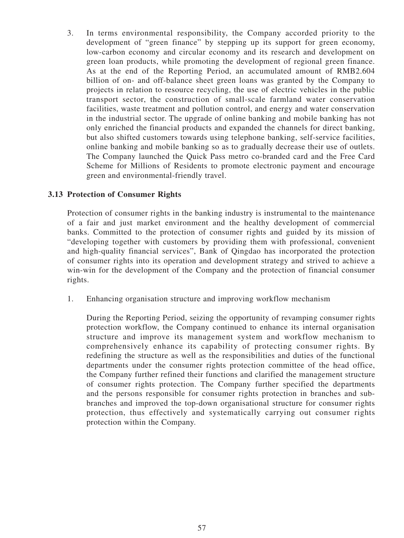3. In terms environmental responsibility, the Company accorded priority to the development of "green finance" by stepping up its support for green economy, low-carbon economy and circular economy and its research and development on green loan products, while promoting the development of regional green finance. As at the end of the Reporting Period, an accumulated amount of RMB2.604 billion of on- and off-balance sheet green loans was granted by the Company to projects in relation to resource recycling, the use of electric vehicles in the public transport sector, the construction of small-scale farmland water conservation facilities, waste treatment and pollution control, and energy and water conservation in the industrial sector. The upgrade of online banking and mobile banking has not only enriched the financial products and expanded the channels for direct banking, but also shifted customers towards using telephone banking, self-service facilities, online banking and mobile banking so as to gradually decrease their use of outlets. The Company launched the Quick Pass metro co-branded card and the Free Card Scheme for Millions of Residents to promote electronic payment and encourage green and environmental-friendly travel.

# **3.13 Protection of Consumer Rights**

Protection of consumer rights in the banking industry is instrumental to the maintenance of a fair and just market environment and the healthy development of commercial banks. Committed to the protection of consumer rights and guided by its mission of "developing together with customers by providing them with professional, convenient and high-quality financial services", Bank of Qingdao has incorporated the protection of consumer rights into its operation and development strategy and strived to achieve a win-win for the development of the Company and the protection of financial consumer rights.

1. Enhancing organisation structure and improving workflow mechanism

During the Reporting Period, seizing the opportunity of revamping consumer rights protection workflow, the Company continued to enhance its internal organisation structure and improve its management system and workflow mechanism to comprehensively enhance its capability of protecting consumer rights. By redefining the structure as well as the responsibilities and duties of the functional departments under the consumer rights protection committee of the head office, the Company further refined their functions and clarified the management structure of consumer rights protection. The Company further specified the departments and the persons responsible for consumer rights protection in branches and subbranches and improved the top-down organisational structure for consumer rights protection, thus effectively and systematically carrying out consumer rights protection within the Company.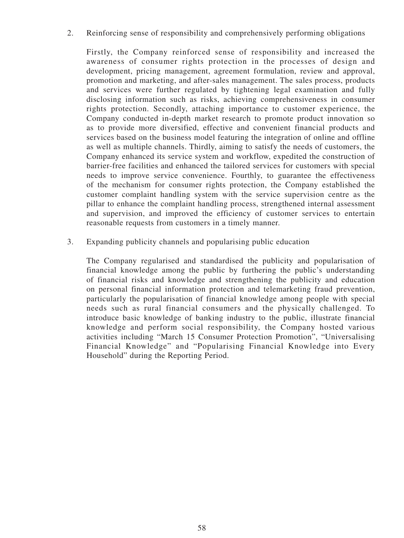2. Reinforcing sense of responsibility and comprehensively performing obligations

Firstly, the Company reinforced sense of responsibility and increased the awareness of consumer rights protection in the processes of design and development, pricing management, agreement formulation, review and approval, promotion and marketing, and after-sales management. The sales process, products and services were further regulated by tightening legal examination and fully disclosing information such as risks, achieving comprehensiveness in consumer rights protection. Secondly, attaching importance to customer experience, the Company conducted in-depth market research to promote product innovation so as to provide more diversified, effective and convenient financial products and services based on the business model featuring the integration of online and offline as well as multiple channels. Thirdly, aiming to satisfy the needs of customers, the Company enhanced its service system and workflow, expedited the construction of barrier-free facilities and enhanced the tailored services for customers with special needs to improve service convenience. Fourthly, to guarantee the effectiveness of the mechanism for consumer rights protection, the Company established the customer complaint handling system with the service supervision centre as the pillar to enhance the complaint handling process, strengthened internal assessment and supervision, and improved the efficiency of customer services to entertain reasonable requests from customers in a timely manner.

3. Expanding publicity channels and popularising public education

The Company regularised and standardised the publicity and popularisation of financial knowledge among the public by furthering the public's understanding of financial risks and knowledge and strengthening the publicity and education on personal financial information protection and telemarketing fraud prevention, particularly the popularisation of financial knowledge among people with special needs such as rural financial consumers and the physically challenged. To introduce basic knowledge of banking industry to the public, illustrate financial knowledge and perform social responsibility, the Company hosted various activities including "March 15 Consumer Protection Promotion", "Universalising Financial Knowledge" and "Popularising Financial Knowledge into Every Household" during the Reporting Period.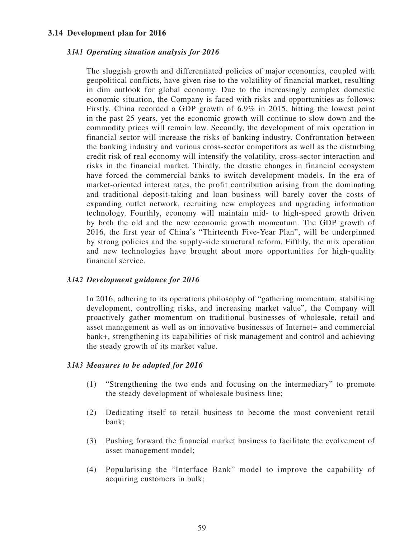## **3.14 Development plan for 2016**

#### *3.14.1 Operating situation analysis for 2016*

The sluggish growth and differentiated policies of major economies, coupled with geopolitical conflicts, have given rise to the volatility of financial market, resulting in dim outlook for global economy. Due to the increasingly complex domestic economic situation, the Company is faced with risks and opportunities as follows: Firstly, China recorded a GDP growth of 6.9% in 2015, hitting the lowest point in the past 25 years, yet the economic growth will continue to slow down and the commodity prices will remain low. Secondly, the development of mix operation in financial sector will increase the risks of banking industry. Confrontation between the banking industry and various cross-sector competitors as well as the disturbing credit risk of real economy will intensify the volatility, cross-sector interaction and risks in the financial market. Thirdly, the drastic changes in financial ecosystem have forced the commercial banks to switch development models. In the era of market-oriented interest rates, the profit contribution arising from the dominating and traditional deposit-taking and loan business will barely cover the costs of expanding outlet network, recruiting new employees and upgrading information technology. Fourthly, economy will maintain mid- to high-speed growth driven by both the old and the new economic growth momentum. The GDP growth of 2016, the first year of China's "Thirteenth Five-Year Plan", will be underpinned by strong policies and the supply-side structural reform. Fifthly, the mix operation and new technologies have brought about more opportunities for high-quality financial service.

#### *3.14.2 Development guidance for 2016*

In 2016, adhering to its operations philosophy of "gathering momentum, stabilising development, controlling risks, and increasing market value", the Company will proactively gather momentum on traditional businesses of wholesale, retail and asset management as well as on innovative businesses of Internet+ and commercial bank+, strengthening its capabilities of risk management and control and achieving the steady growth of its market value.

#### *3.14.3 Measures to be adopted for 2016*

- (1) "Strengthening the two ends and focusing on the intermediary" to promote the steady development of wholesale business line;
- (2) Dedicating itself to retail business to become the most convenient retail bank;
- (3) Pushing forward the financial market business to facilitate the evolvement of asset management model;
- (4) Popularising the "Interface Bank" model to improve the capability of acquiring customers in bulk;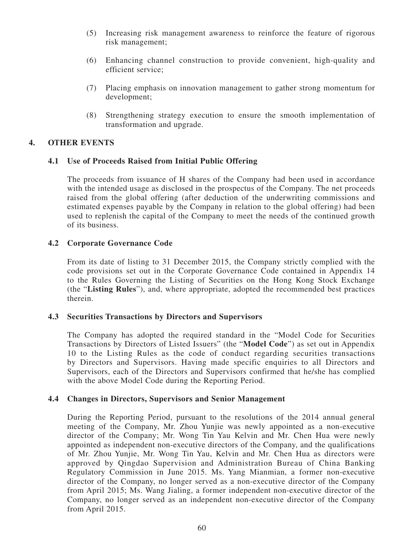- (5) Increasing risk management awareness to reinforce the feature of rigorous risk management;
- (6) Enhancing channel construction to provide convenient, high-quality and efficient service;
- (7) Placing emphasis on innovation management to gather strong momentum for development;
- (8) Strengthening strategy execution to ensure the smooth implementation of transformation and upgrade.

## **4. OTHER EVENTS**

## **4.1 Use of Proceeds Raised from Initial Public Offering**

The proceeds from issuance of H shares of the Company had been used in accordance with the intended usage as disclosed in the prospectus of the Company. The net proceeds raised from the global offering (after deduction of the underwriting commissions and estimated expenses payable by the Company in relation to the global offering) had been used to replenish the capital of the Company to meet the needs of the continued growth of its business.

## **4.2 Corporate Governance Code**

From its date of listing to 31 December 2015, the Company strictly complied with the code provisions set out in the Corporate Governance Code contained in Appendix 14 to the Rules Governing the Listing of Securities on the Hong Kong Stock Exchange (the "**Listing Rules**"), and, where appropriate, adopted the recommended best practices therein.

#### **4.3 Securities Transactions by Directors and Supervisors**

The Company has adopted the required standard in the "Model Code for Securities Transactions by Directors of Listed Issuers" (the "**Model Code**") as set out in Appendix 10 to the Listing Rules as the code of conduct regarding securities transactions by Directors and Supervisors. Having made specific enquiries to all Directors and Supervisors, each of the Directors and Supervisors confirmed that he/she has complied with the above Model Code during the Reporting Period.

## **4.4 Changes in Directors, Supervisors and Senior Management**

During the Reporting Period, pursuant to the resolutions of the 2014 annual general meeting of the Company, Mr. Zhou Yunjie was newly appointed as a non-executive director of the Company; Mr. Wong Tin Yau Kelvin and Mr. Chen Hua were newly appointed as independent non-executive directors of the Company, and the qualifications of Mr. Zhou Yunjie, Mr. Wong Tin Yau, Kelvin and Mr. Chen Hua as directors were approved by Qingdao Supervision and Administration Bureau of China Banking Regulatory Commission in June 2015. Ms. Yang Mianmian, a former non-executive director of the Company, no longer served as a non-executive director of the Company from April 2015; Ms. Wang Jialing, a former independent non-executive director of the Company, no longer served as an independent non-executive director of the Company from April 2015.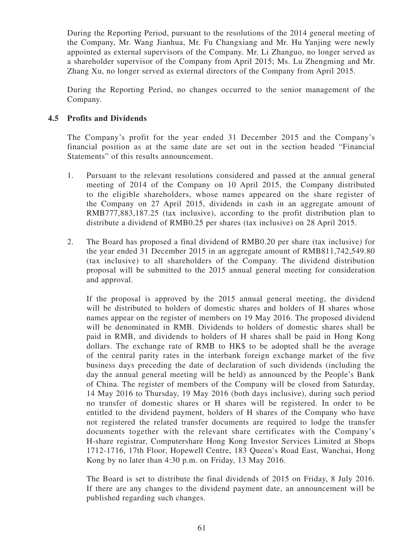During the Reporting Period, pursuant to the resolutions of the 2014 general meeting of the Company, Mr. Wang Jianhua, Mr. Fu Changxiang and Mr. Hu Yanjing were newly appointed as external supervisors of the Company. Mr. Li Zhanguo, no longer served as a shareholder supervisor of the Company from April 2015; Ms. Lu Zhengming and Mr. Zhang Xu, no longer served as external directors of the Company from April 2015.

During the Reporting Period, no changes occurred to the senior management of the Company.

# **4.5 Profits and Dividends**

The Company's profit for the year ended 31 December 2015 and the Company's financial position as at the same date are set out in the section headed "Financial Statements" of this results announcement.

- 1. Pursuant to the relevant resolutions considered and passed at the annual general meeting of 2014 of the Company on 10 April 2015, the Company distributed to the eligible shareholders, whose names appeared on the share register of the Company on 27 April 2015, dividends in cash in an aggregate amount of RMB777,883,187.25 (tax inclusive), according to the profit distribution plan to distribute a dividend of RMB0.25 per shares (tax inclusive) on 28 April 2015.
- 2. The Board has proposed a final dividend of RMB0.20 per share (tax inclusive) for the year ended 31 December 2015 in an aggregate amount of RMB811,742,549.80 (tax inclusive) to all shareholders of the Company. The dividend distribution proposal will be submitted to the 2015 annual general meeting for consideration and approval.

If the proposal is approved by the 2015 annual general meeting, the dividend will be distributed to holders of domestic shares and holders of H shares whose names appear on the register of members on 19 May 2016. The proposed dividend will be denominated in RMB. Dividends to holders of domestic shares shall be paid in RMB, and dividends to holders of H shares shall be paid in Hong Kong dollars. The exchange rate of RMB to HK\$ to be adopted shall be the average of the central parity rates in the interbank foreign exchange market of the five business days preceding the date of declaration of such dividends (including the day the annual general meeting will be held) as announced by the People's Bank of China. The register of members of the Company will be closed from Saturday, 14 May 2016 to Thursday, 19 May 2016 (both days inclusive), during such period no transfer of domestic shares or H shares will be registered. In order to be entitled to the dividend payment, holders of H shares of the Company who have not registered the related transfer documents are required to lodge the transfer documents together with the relevant share certificates with the Company's H-share registrar, Computershare Hong Kong Investor Services Limited at Shops 1712-1716, 17th Floor, Hopewell Centre, 183 Queen's Road East, Wanchai, Hong Kong by no later than 4:30 p.m. on Friday, 13 May 2016.

The Board is set to distribute the final dividends of 2015 on Friday, 8 July 2016. If there are any changes to the dividend payment date, an announcement will be published regarding such changes.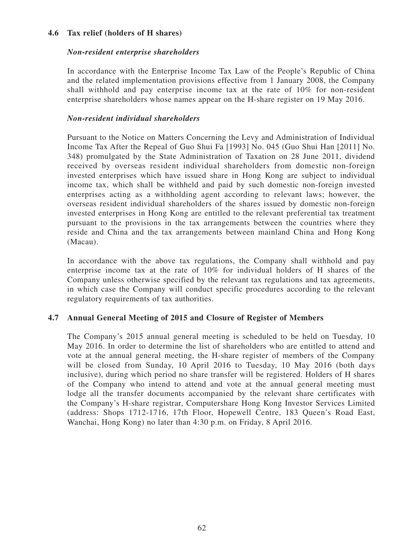# **4.6 Tax relief (holders of H shares)**

# *Non-resident enterprise shareholders*

In accordance with the Enterprise Income Tax Law of the People's Republic of China and the related implementation provisions effective from 1 January 2008, the Company shall withhold and pay enterprise income tax at the rate of 10% for non-resident enterprise shareholders whose names appear on the H-share register on 19 May 2016.

## *Non-resident individual shareholders*

Pursuant to the Notice on Matters Concerning the Levy and Administration of Individual Income Tax After the Repeal of Guo Shui Fa [1993] No. 045 (Guo Shui Han [2011] No. 348) promulgated by the State Administration of Taxation on 28 June 2011, dividend received by overseas resident individual shareholders from domestic non-foreign invested enterprises which have issued share in Hong Kong are subject to individual income tax, which shall be withheld and paid by such domestic non-foreign invested enterprises acting as a withholding agent according to relevant laws; however, the overseas resident individual shareholders of the shares issued by domestic non-foreign invested enterprises in Hong Kong are entitled to the relevant preferential tax treatment pursuant to the provisions in the tax arrangements between the countries where they reside and China and the tax arrangements between mainland China and Hong Kong (Macau).

In accordance with the above tax regulations, the Company shall withhold and pay enterprise income tax at the rate of 10% for individual holders of H shares of the Company unless otherwise specified by the relevant tax regulations and tax agreements, in which case the Company will conduct specific procedures according to the relevant regulatory requirements of tax authorities.

# **4.7 Annual General Meeting of 2015 and Closure of Register of Members**

The Company's 2015 annual general meeting is scheduled to be held on Tuesday, 10 May 2016. In order to determine the list of shareholders who are entitled to attend and vote at the annual general meeting, the H-share register of members of the Company will be closed from Sunday, 10 April 2016 to Tuesday, 10 May 2016 (both days inclusive), during which period no share transfer will be registered. Holders of H shares of the Company who intend to attend and vote at the annual general meeting must lodge all the transfer documents accompanied by the relevant share certificates with the Company's H-share registrar, Computershare Hong Kong Investor Services Limited (address: Shops 1712-1716, 17th Floor, Hopewell Centre, 183 Queen's Road East, Wanchai, Hong Kong) no later than 4:30 p.m. on Friday, 8 April 2016.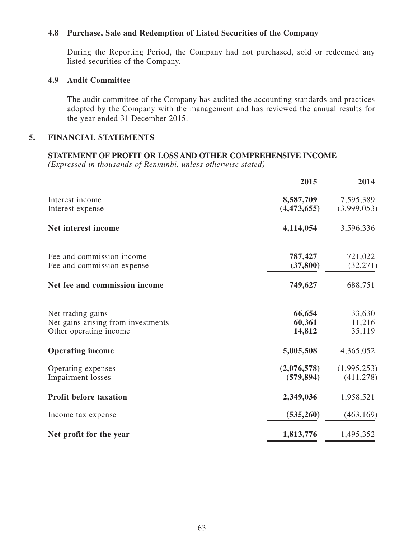## **4.8 Purchase, Sale and Redemption of Listed Securities of the Company**

During the Reporting Period, the Company had not purchased, sold or redeemed any listed securities of the Company.

## **4.9 Audit Committee**

The audit committee of the Company has audited the accounting standards and practices adopted by the Company with the management and has reviewed the annual results for the year ended 31 December 2015.

# **5. FINANCIAL statements**

## **Statement of profit or loss and other comprehensive income**

|                                                                                   | 2015                       | 2014                       |
|-----------------------------------------------------------------------------------|----------------------------|----------------------------|
| Interest income<br>Interest expense                                               | 8,587,709<br>(4,473,655)   | 7,595,389<br>(3,999,053)   |
| Net interest income                                                               | 4,114,054                  | 3,596,336                  |
| Fee and commission income<br>Fee and commission expense                           | 787,427<br>(37, 800)       | 721,022<br>(32, 271)       |
| Net fee and commission income                                                     | 749,627                    | 688,751                    |
| Net trading gains<br>Net gains arising from investments<br>Other operating income | 66,654<br>60,361<br>14,812 | 33,630<br>11,216<br>35,119 |
| <b>Operating income</b>                                                           | 5,005,508                  | 4,365,052                  |
| Operating expenses<br><b>Impairment</b> losses                                    | (2,076,578)<br>(579, 894)  | (1,995,253)<br>(411, 278)  |
| <b>Profit before taxation</b>                                                     | 2,349,036                  | 1,958,521                  |
| Income tax expense                                                                | (535,260)                  | (463, 169)                 |
| Net profit for the year                                                           | 1,813,776                  | 1,495,352                  |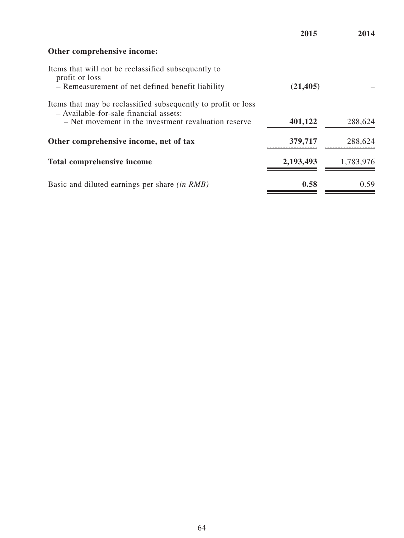**2015 2014 Other comprehensive income:** Items that will not be reclassified subsequently to profit or loss – Remeasurement of net defined benefit liability **(21,405)** – Items that may be reclassified subsequently to profit or loss – Available-for-sale financial assets: – Net movement in the investment revaluation reserve **401,122** 288,624 **Other comprehensive income, net of tax 379,717** 288,624 **Total comprehensive income 2,193,493** 1,783,976 Basic and diluted earnings per share *(in RMB)* **0.58** 0.59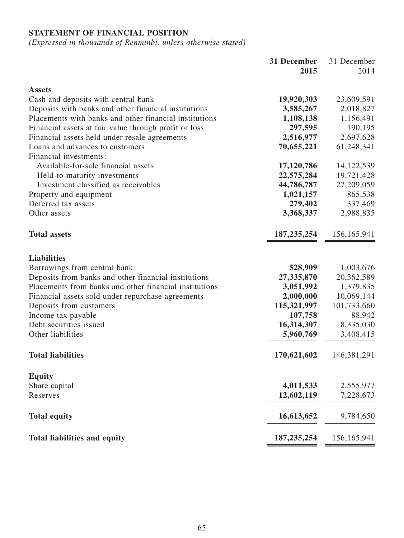# **Statement of financial position**

|                                                        | 31 December   | 31 December   |
|--------------------------------------------------------|---------------|---------------|
|                                                        | 2015          | 2014          |
| <b>Assets</b>                                          |               |               |
| Cash and deposits with central bank                    | 19,920,303    | 23,609,591    |
| Deposits with banks and other financial institutions   | 3,585,267     | 2,018,827     |
| Placements with banks and other financial institutions | 1,108,138     | 1,156,491     |
| Financial assets at fair value through profit or loss  | 297,595       | 190,195       |
| Financial assets held under resale agreements          | 2,516,977     | 2,697,628     |
| Loans and advances to customers                        | 70,655,221    | 61,248,341    |
| Financial investments:                                 |               |               |
| Available-for-sale financial assets                    | 17,120,786    | 14, 122, 539  |
| Held-to-maturity investments                           | 22,575,284    | 19,721,428    |
| Investment classified as receivables                   | 44,786,787    | 27,209,059    |
| Property and equipment                                 | 1,021,157     | 865,538       |
| Deferred tax assets                                    | 279,402       | 337,469       |
| Other assets                                           | 3,368,337     | 2,988,835     |
| <b>Total assets</b>                                    | 187, 235, 254 | 156, 165, 941 |
| <b>Liabilities</b>                                     |               |               |
| Borrowings from central bank                           | 528,909       | 1,003,676     |
| Deposits from banks and other financial institutions   | 27,335,870    | 20,362,589    |
| Placements from banks and other financial institutions | 3,051,992     | 1,379,835     |
| Financial assets sold under repurchase agreements      | 2,000,000     | 10,069,144    |
| Deposits from customers                                | 115,321,997   | 101,733,660   |
| Income tax payable                                     | 107,758       | 88,942        |
| Debt securities issued                                 | 16,314,307    | 8,335,030     |
| Other liabilities                                      | 5,960,769     | 3,408,415     |
| <b>Total liabilities</b>                               | 170,621,602   | 146, 381, 291 |
| <b>Equity</b>                                          |               |               |
| Share capital                                          | 4,011,533     | 2,555,977     |
| Reserves                                               | 12,602,119    | 7,228,673     |
| <b>Total equity</b>                                    | 16,613,652    | 9,784,650     |
| <b>Total liabilities and equity</b>                    | 187, 235, 254 | 156, 165, 941 |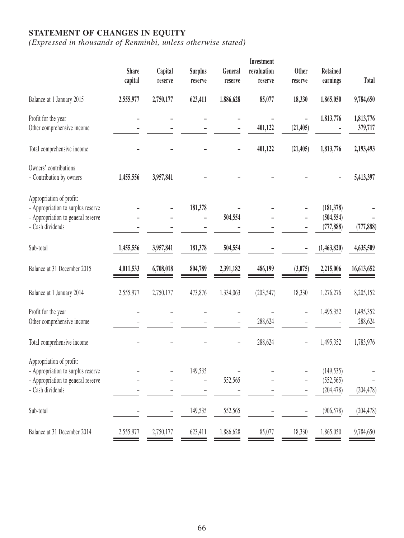## **Statement of changes in equity**

|              |           |                |                    | Investment         |                   |                 |                                                                                              |
|--------------|-----------|----------------|--------------------|--------------------|-------------------|-----------------|----------------------------------------------------------------------------------------------|
| <b>Share</b> | Capital   | <b>Surplus</b> | General            | revaluation        | <b>Other</b>      | <b>Retained</b> |                                                                                              |
|              | reserve   | reserve        | reserve            | reserve            | reserve           |                 | <b>Total</b>                                                                                 |
| 2,555,977    | 2,750,177 | 623,411        | 1,886,628          | 85,077             | 18,330            | 1,865,050       | 9,784,650                                                                                    |
|              |           |                |                    |                    |                   | 1,813,776       | 1,813,776                                                                                    |
|              |           |                |                    | 401,122            | (21, 405)         |                 | 379,717                                                                                      |
|              |           |                | -                  | 401,122            | (21, 405)         | 1,813,776       | 2,193,493                                                                                    |
|              |           |                |                    |                    |                   |                 |                                                                                              |
| 1,455,556    | 3,957,841 |                |                    |                    |                   |                 | 5,413,397                                                                                    |
|              |           |                |                    |                    |                   |                 |                                                                                              |
|              |           |                |                    |                    |                   |                 |                                                                                              |
|              |           |                |                    |                    |                   |                 |                                                                                              |
|              |           |                |                    |                    |                   |                 | (777, 888)                                                                                   |
| 1,455,556    | 3,957,841 | 181,378        | 504,554            |                    |                   | (1,463,820)     | 4,635,509                                                                                    |
| 4,011,533    | 6,708,018 | 804,789        | 2,391,182          | 486,199            | (3,075)           | 2,215,006       | 16,613,652                                                                                   |
| 2,555,977    | 2,750,177 | 473,876        | 1,334,063          | (203, 547)         | 18,330            | 1,276,276       | 8,205,152                                                                                    |
|              |           |                |                    |                    |                   | 1,495,352       | 1,495,352                                                                                    |
|              |           |                |                    | 288,624            |                   |                 | 288,624                                                                                      |
|              |           |                |                    | 288,624            |                   | 1,495,352       | 1,783,976                                                                                    |
|              |           |                |                    |                    |                   |                 |                                                                                              |
|              |           |                |                    |                    |                   |                 |                                                                                              |
|              |           | $\overline{a}$ |                    |                    | $\qquad \qquad -$ |                 |                                                                                              |
|              |           |                |                    |                    | $\qquad \qquad -$ |                 | (204, 478)                                                                                   |
|              |           | 149,535        | 552,565            |                    |                   | (906, 578)      | (204, 478)                                                                                   |
| 2,555,977    | 2,750,177 | 623,411        | 1,886,628          | 85,077             | 18,330            | 1,865,050       | 9,784,650                                                                                    |
|              | capital   |                | 181,378<br>149,535 | 504,554<br>552,565 |                   |                 | earnings<br>(181, 378)<br>(504, 554)<br>(777, 888)<br>(149, 535)<br>(552, 565)<br>(204, 478) |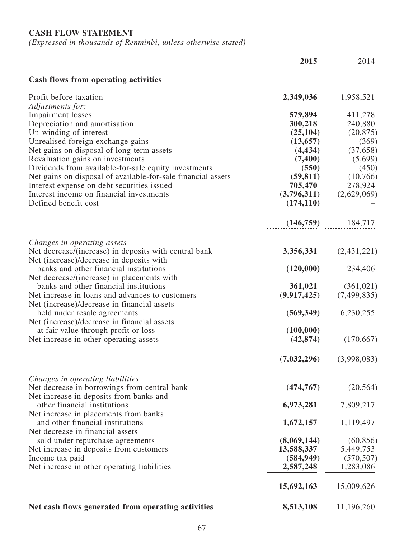# **Cash flow statement**

|                                                                                      | 2015                  | 2014                        |
|--------------------------------------------------------------------------------------|-----------------------|-----------------------------|
| <b>Cash flows from operating activities</b>                                          |                       |                             |
| Profit before taxation                                                               | 2,349,036             | 1,958,521                   |
| Adjustments for:                                                                     |                       |                             |
| <b>Impairment</b> losses                                                             | 579,894               | 411,278                     |
| Depreciation and amortisation                                                        | 300,218<br>(25, 104)  | 240,880                     |
| Un-winding of interest                                                               |                       | (20, 875)                   |
| Unrealised foreign exchange gains<br>Net gains on disposal of long-term assets       | (13, 657)<br>(4, 434) | (369)<br>(37,658)           |
| Revaluation gains on investments                                                     | (7,400)               | (5,699)                     |
| Dividends from available-for-sale equity investments                                 | (550)                 | (450)                       |
| Net gains on disposal of available-for-sale financial assets                         | (59, 811)             | (10,766)                    |
| Interest expense on debt securities issued                                           | 705,470               | 278,924                     |
| Interest income on financial investments                                             | (3,796,311)           | (2,629,069)                 |
| Defined benefit cost                                                                 | (174, 110)            |                             |
|                                                                                      | (146,759)             | 184,717                     |
|                                                                                      |                       |                             |
| Changes in operating assets<br>Net decrease/(increase) in deposits with central bank | 3,356,331             | (2,431,221)                 |
| Net (increase)/decrease in deposits with                                             |                       |                             |
| banks and other financial institutions<br>Net decrease/(increase) in placements with | (120,000)             | 234,406                     |
| banks and other financial institutions                                               | 361,021               | (361, 021)                  |
| Net increase in loans and advances to customers                                      | (9, 917, 425)         | (7, 499, 835)               |
| Net (increase)/decrease in financial assets                                          |                       |                             |
| held under resale agreements                                                         | (569, 349)            | 6,230,255                   |
| Net (increase)/decrease in financial assets                                          |                       |                             |
| at fair value through profit or loss                                                 | (100,000)             |                             |
| Net increase in other operating assets                                               | (42, 874)             | (170,667)                   |
|                                                                                      |                       |                             |
|                                                                                      |                       | $(7,032,296)$ $(3,998,083)$ |
| Changes in operating liabilities                                                     |                       |                             |
| Net decrease in borrowings from central bank                                         | (474, 767)            | (20, 564)                   |
| Net increase in deposits from banks and                                              |                       |                             |
| other financial institutions                                                         | 6,973,281             | 7,809,217                   |
| Net increase in placements from banks                                                |                       |                             |
| and other financial institutions                                                     | 1,672,157             | 1,119,497                   |
| Net decrease in financial assets                                                     |                       |                             |
| sold under repurchase agreements                                                     | (8,069,144)           | (60, 856)                   |
| Net increase in deposits from customers                                              | 13,588,337            | 5,449,753                   |
| Income tax paid                                                                      | (584, 949)            | (570, 507)                  |
| Net increase in other operating liabilities                                          | 2,587,248             | 1,283,086                   |
|                                                                                      | 15,692,163            | 15,009,626                  |
|                                                                                      |                       |                             |
| Net cash flows generated from operating activities                                   | 8,513,108             | 11,196,260                  |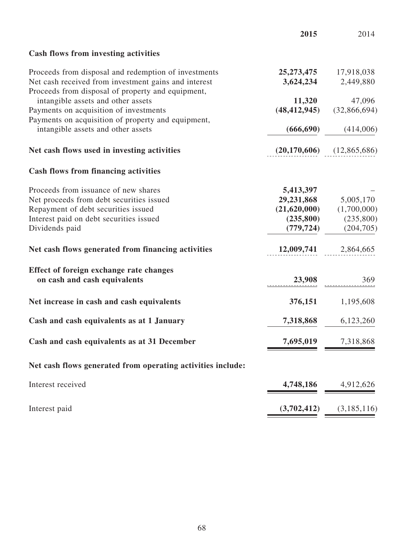|                                                                                                                                                                                      | 2015                                                               | 2014                                                |
|--------------------------------------------------------------------------------------------------------------------------------------------------------------------------------------|--------------------------------------------------------------------|-----------------------------------------------------|
| Cash flows from investing activities                                                                                                                                                 |                                                                    |                                                     |
| Proceeds from disposal and redemption of investments<br>Net cash received from investment gains and interest<br>Proceeds from disposal of property and equipment,                    | 3,624,234                                                          | 25,273,475 17,918,038<br>2,449,880                  |
| intangible assets and other assets<br>Payments on acquisition of investments                                                                                                         | 11,320                                                             | 47,096<br>$(48,412,945)$ $(32,866,694)$             |
| Payments on acquisition of property and equipment,<br>intangible assets and other assets                                                                                             |                                                                    | $(666,690)$ $(414,006)$                             |
| Net cash flows used in investing activities                                                                                                                                          |                                                                    | $(20,170,606)$ $(12,865,686)$                       |
| <b>Cash flows from financing activities</b>                                                                                                                                          |                                                                    |                                                     |
| Proceeds from issuance of new shares<br>Net proceeds from debt securities issued<br>Repayment of debt securities issued<br>Interest paid on debt securities issued<br>Dividends paid | 5,413,397<br>29,231,868<br>(21,620,000)<br>(235,800)<br>(779, 724) | 5,005,170<br>(1,700,000)<br>(235,800)<br>(204, 705) |
| Net cash flows generated from financing activities                                                                                                                                   |                                                                    | 12,009,741 2,864,665                                |
| Effect of foreign exchange rate changes<br>on cash and cash equivalents                                                                                                              | 23,908                                                             | 369                                                 |
| Net increase in cash and cash equivalents                                                                                                                                            | 376,151                                                            | 1,195,608                                           |
| Cash and cash equivalents as at 1 January                                                                                                                                            |                                                                    | 7,318,868 6,123,260                                 |
| Cash and cash equivalents as at 31 December                                                                                                                                          | 7,695,019                                                          | 7,318,868                                           |
| Net cash flows generated from operating activities include:                                                                                                                          |                                                                    |                                                     |
| Interest received                                                                                                                                                                    | 4,748,186                                                          | 4,912,626                                           |
| Interest paid                                                                                                                                                                        | (3,702,412)                                                        | (3,185,116)                                         |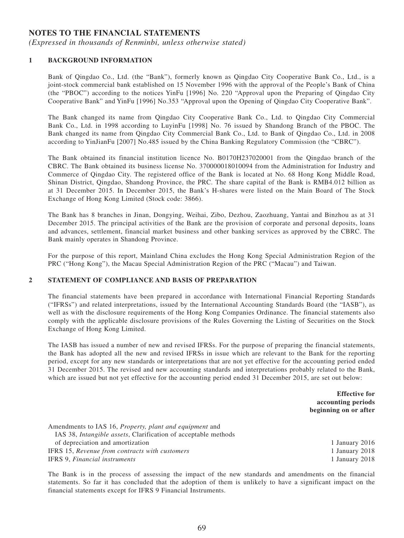## **Notes to the financial statements**

*(Expressed in thousands of Renminbi, unless otherwise stated)*

#### **1 BACKGROUND INFORMATION**

Bank of Qingdao Co., Ltd. (the "Bank"), formerly known as Qingdao City Cooperative Bank Co., Ltd., is a joint-stock commercial bank established on 15 November 1996 with the approval of the People's Bank of China (the "PBOC") according to the notices YinFu [1996] No. 220 "Approval upon the Preparing of Qingdao City Cooperative Bank" and YinFu [1996] No.353 "Approval upon the Opening of Qingdao City Cooperative Bank".

The Bank changed its name from Qingdao City Cooperative Bank Co., Ltd. to Qingdao City Commercial Bank Co., Ltd. in 1998 according to LuyinFu [1998] No. 76 issued by Shandong Branch of the PBOC. The Bank changed its name from Qingdao City Commercial Bank Co., Ltd. to Bank of Qingdao Co., Ltd. in 2008 according to YinJianFu [2007] No.485 issued by the China Banking Regulatory Commission (the "CBRC").

The Bank obtained its financial institution licence No. B0170H237020001 from the Qingdao branch of the CBRC. The Bank obtained its business license No. 370000018010094 from the Administration for Industry and Commerce of Qingdao City. The registered office of the Bank is located at No. 68 Hong Kong Middle Road, Shinan District, Qingdao, Shandong Province, the PRC. The share capital of the Bank is RMB4.012 billion as at 31 December 2015. In December 2015, the Bank's H-shares were listed on the Main Board of The Stock Exchange of Hong Kong Limited (Stock code: 3866).

The Bank has 8 branches in Jinan, Dongying, Weihai, Zibo, Dezhou, Zaozhuang, Yantai and Binzhou as at 31 December 2015. The principal activities of the Bank are the provision of corporate and personal deposits, loans and advances, settlement, financial market business and other banking services as approved by the CBRC. The Bank mainly operates in Shandong Province.

For the purpose of this report, Mainland China excludes the Hong Kong Special Administration Region of the PRC ("Hong Kong"), the Macau Special Administration Region of the PRC ("Macau") and Taiwan.

#### **2 Statement of compliance and basis of preparation**

The financial statements have been prepared in accordance with International Financial Reporting Standards ("IFRSs") and related interpretations, issued by the International Accounting Standards Board (the "IASB"), as well as with the disclosure requirements of the Hong Kong Companies Ordinance. The financial statements also comply with the applicable disclosure provisions of the Rules Governing the Listing of Securities on the Stock Exchange of Hong Kong Limited.

The IASB has issued a number of new and revised IFRSs. For the purpose of preparing the financial statements, the Bank has adopted all the new and revised IFRSs in issue which are relevant to the Bank for the reporting period, except for any new standards or interpretations that are not yet effective for the accounting period ended 31 December 2015. The revised and new accounting standards and interpretations probably related to the Bank, which are issued but not yet effective for the accounting period ended 31 December 2015, are set out below:

> **Effective for accounting periods beginning on or after**

| Amendments to IAS 16, <i>Property, plant and equipment</i> and         |                |
|------------------------------------------------------------------------|----------------|
| IAS 38, <i>Intangible assets</i> , Clarification of acceptable methods |                |
| of depreciation and amortization                                       | 1 January 2016 |
| IFRS 15, Revenue from contracts with customers                         | 1 January 2018 |
| <b>IFRS</b> 9, <i>Financial instruments</i>                            | 1 January 2018 |

The Bank is in the process of assessing the impact of the new standards and amendments on the financial statements. So far it has concluded that the adoption of them is unlikely to have a significant impact on the financial statements except for IFRS 9 Financial Instruments.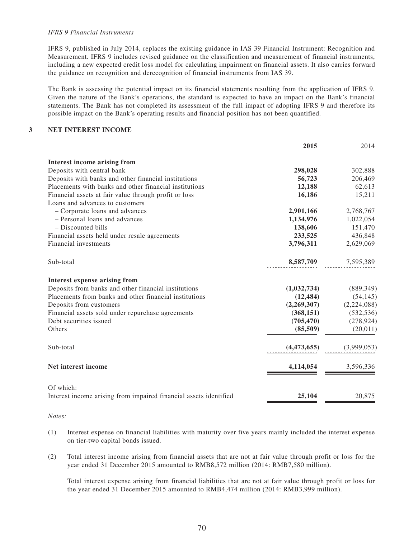#### *IFRS 9 Financial Instruments*

IFRS 9, published in July 2014, replaces the existing guidance in IAS 39 Financial Instrument: Recognition and Measurement. IFRS 9 includes revised guidance on the classification and measurement of financial instruments, including a new expected credit loss model for calculating impairment on financial assets. It also carries forward the guidance on recognition and derecognition of financial instruments from IAS 39.

The Bank is assessing the potential impact on its financial statements resulting from the application of IFRS 9. Given the nature of the Bank's operations, the standard is expected to have an impact on the Bank's financial statements. The Bank has not completed its assessment of the full impact of adopting IFRS 9 and therefore its possible impact on the Bank's operating results and financial position has not been quantified.

#### **3 Net interest income**

|                                                                   | 2015        | 2014        |
|-------------------------------------------------------------------|-------------|-------------|
| Interest income arising from                                      |             |             |
| Deposits with central bank                                        | 298,028     | 302,888     |
| Deposits with banks and other financial institutions              | 56,723      | 206,469     |
| Placements with banks and other financial institutions            | 12,188      | 62,613      |
| Financial assets at fair value through profit or loss             | 16,186      | 15,211      |
| Loans and advances to customers                                   |             |             |
| - Corporate loans and advances                                    | 2,901,166   | 2,768,767   |
| - Personal loans and advances                                     | 1,134,976   | 1,022,054   |
| - Discounted bills                                                | 138,606     | 151,470     |
| Financial assets held under resale agreements                     | 233,525     | 436,848     |
| Financial investments                                             | 3,796,311   | 2,629,069   |
| Sub-total                                                         | 8,587,709   | 7,595,389   |
| Interest expense arising from                                     |             |             |
| Deposits from banks and other financial institutions              | (1,032,734) | (889, 349)  |
| Placements from banks and other financial institutions            | (12, 484)   | (54, 145)   |
| Deposits from customers                                           | (2,269,307) | (2,224,088) |
| Financial assets sold under repurchase agreements                 | (368, 151)  | (532, 536)  |
| Debt securities issued                                            | (705, 470)  | (278, 924)  |
| Others                                                            | (85,509)    | (20,011)    |
| Sub-total                                                         | (4,473,655) | (3,999,053) |
| Net interest income                                               | 4,114,054   | 3,596,336   |
| Of which:                                                         |             |             |
| Interest income arising from impaired financial assets identified | 25,104      | 20,875      |

#### *Notes:*

- (1) Interest expense on financial liabilities with maturity over five years mainly included the interest expense on tier-two capital bonds issued.
- (2) Total interest income arising from financial assets that are not at fair value through profit or loss for the year ended 31 December 2015 amounted to RMB8,572 million (2014: RMB7,580 million).

Total interest expense arising from financial liabilities that are not at fair value through profit or loss for the year ended 31 December 2015 amounted to RMB4,474 million (2014: RMB3,999 million).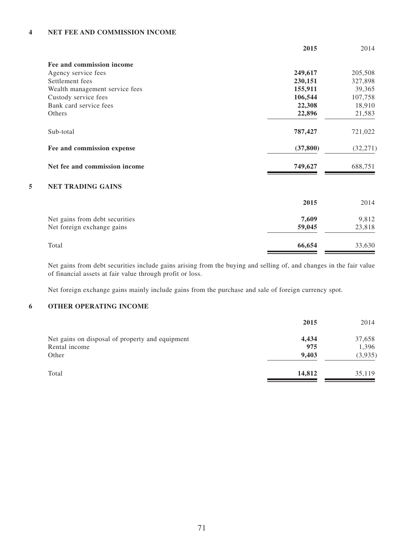#### **4 Net fee and commission income**

|           | 2014      |
|-----------|-----------|
|           |           |
| 249,617   | 205,508   |
| 230,151   | 327,898   |
| 155,911   | 39,365    |
| 106,544   | 107,758   |
| 22,308    | 18,910    |
| 22,896    | 21,583    |
| 787,427   | 721,022   |
| (37, 800) | (32, 271) |
| 749,627   | 688,751   |
|           |           |
| 2015      | 2014      |
| 7,609     | 9,812     |
| 59,045    | 23,818    |
| 66,654    | 33,630    |
|           | 2015      |

Net gains from debt securities include gains arising from the buying and selling of, and changes in the fair value of financial assets at fair value through profit or loss.

Net foreign exchange gains mainly include gains from the purchase and sale of foreign currency spot.

## **6 Other operating income**

|                                                 | 2015   | 2014    |
|-------------------------------------------------|--------|---------|
| Net gains on disposal of property and equipment | 4,434  | 37,658  |
| Rental income                                   | 975    | 1,396   |
| Other                                           | 9,403  | (3,935) |
| Total                                           | 14,812 | 35,119  |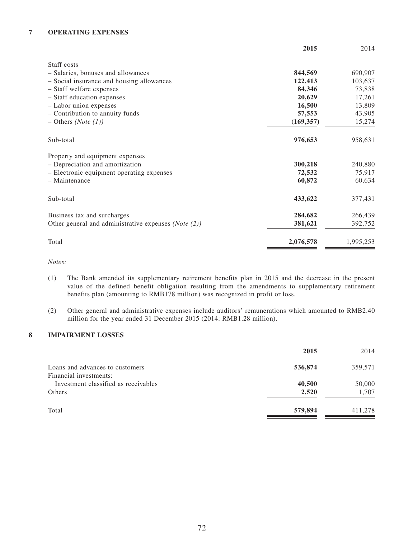#### **7 Operating expenses**

|                                                      | 2015       | 2014      |
|------------------------------------------------------|------------|-----------|
| Staff costs                                          |            |           |
| - Salaries, bonuses and allowances                   | 844,569    | 690,907   |
| - Social insurance and housing allowances            | 122,413    | 103,637   |
| - Staff welfare expenses                             | 84,346     | 73,838    |
| - Staff education expenses                           | 20,629     | 17,261    |
| - Labor union expenses                               | 16,500     | 13,809    |
| - Contribution to annuity funds                      | 57,553     | 43,905    |
| $-$ Others ( <i>Note</i> (1))                        | (169, 357) | 15,274    |
| Sub-total                                            | 976,653    | 958,631   |
| Property and equipment expenses                      |            |           |
| - Depreciation and amortization                      | 300,218    | 240,880   |
| - Electronic equipment operating expenses            | 72,532     | 75,917    |
| - Maintenance                                        | 60,872     | 60,634    |
| Sub-total                                            | 433,622    | 377,431   |
| Business tax and surcharges                          | 284,682    | 266,439   |
| Other general and administrative expenses (Note (2)) | 381,621    | 392,752   |
| Total                                                | 2,076,578  | 1,995,253 |

*Notes:*

- (1) The Bank amended its supplementary retirement benefits plan in 2015 and the decrease in the present value of the defined benefit obligation resulting from the amendments to supplementary retirement benefits plan (amounting to RMB178 million) was recognized in profit or loss.
- (2) Other general and administrative expenses include auditors' remunerations which amounted to RMB2.40 million for the year ended 31 December 2015 (2014: RMB1.28 million).

#### **8 Impairment losses**

|                                                           | 2015    | 2014    |
|-----------------------------------------------------------|---------|---------|
| Loans and advances to customers<br>Financial investments: | 536,874 | 359,571 |
| Investment classified as receivables                      | 40,500  | 50,000  |
| Others                                                    | 2,520   | 1,707   |
| Total                                                     | 579,894 | 411,278 |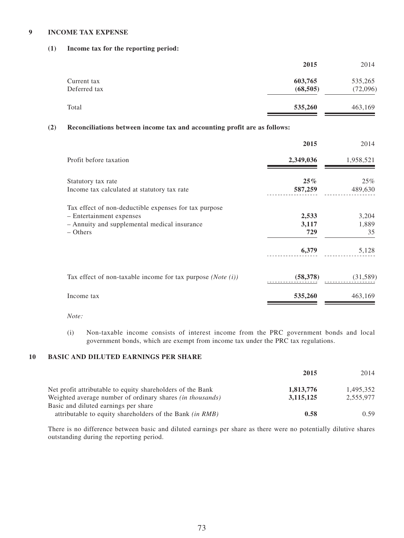## **9 Income tax expense**

## **(1) Income tax for the reporting period:**

|              | 2015      | 2014     |
|--------------|-----------|----------|
| Current tax  | 603,765   | 535,265  |
| Deferred tax | (68, 505) | (72,096) |
| Total        | 535,260   | 463,169  |

# **(2) Reconciliations between income tax and accounting profit are as follows:**

|                                                                                                                                               | 2015                  | 2014                 |
|-----------------------------------------------------------------------------------------------------------------------------------------------|-----------------------|----------------------|
| Profit before taxation                                                                                                                        | 2,349,036             | 1,958,521            |
| Statutory tax rate<br>Income tax calculated at statutory tax rate                                                                             | $25\%$<br>587,259     | 25%<br>489,630       |
| Tax effect of non-deductible expenses for tax purpose<br>- Entertainment expenses<br>- Annuity and supplemental medical insurance<br>– Others | 2,533<br>3,117<br>729 | 3,204<br>1,889<br>35 |
|                                                                                                                                               | 6,379                 | 5,128                |
| Tax effect of non-taxable income for tax purpose $(Note (i))$                                                                                 | (58, 378)             | (31, 589)            |
| Income tax                                                                                                                                    | 535,260               | 463,169              |
|                                                                                                                                               |                       |                      |

*Note:*

(i) Non-taxable income consists of interest income from the PRC government bonds and local government bonds, which are exempt from income tax under the PRC tax regulations.

# **10 Basic and diluted earnings per share**

|                                                                  | 2015        | 2014      |
|------------------------------------------------------------------|-------------|-----------|
| Net profit attributable to equity shareholders of the Bank       | 1,813,776   | 1.495.352 |
| Weighted average number of ordinary shares <i>(in thousands)</i> | 3, 115, 125 | 2.555.977 |
| Basic and diluted earnings per share                             |             |           |
| attributable to equity shareholders of the Bank (in RMB)         | 0.58        | 0.59      |

There is no difference between basic and diluted earnings per share as there were no potentially dilutive shares outstanding during the reporting period.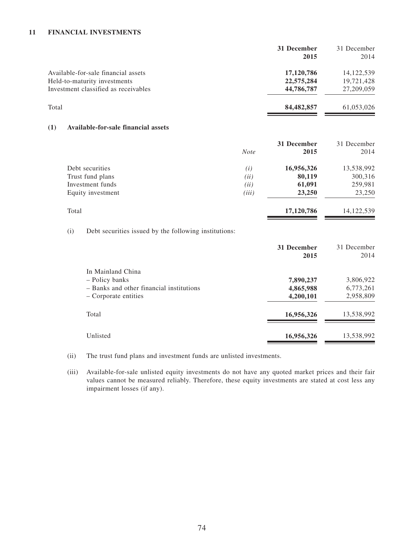#### **11 Financial investments**

|                                      | 31 December<br>2015 | 31 December<br>2014 |
|--------------------------------------|---------------------|---------------------|
| Available-for-sale financial assets  | 17,120,786          | 14, 122, 539        |
| Held-to-maturity investments         | 22,575,284          | 19,721,428          |
| Investment classified as receivables | 44,786,787          | 27,209,059          |
| Total                                | 84,482,857          | 61,053,026          |
|                                      |                     |                     |

#### **(1) Available-for-sale financial assets**

|                   |             | 31 December | 31 December |
|-------------------|-------------|-------------|-------------|
|                   | <b>Note</b> | 2015        | 2014        |
| Debt securities   | (i)         | 16,956,326  | 13,538,992  |
| Trust fund plans  | (ii)        | 80,119      | 300,316     |
| Investment funds  | (ii)        | 61,091      | 259,981     |
| Equity investment | (iii)       | 23,250      | 23,250      |
| Total             |             | 17,120,786  | 14,122,539  |

(i) Debt securities issued by the following institutions:

|                                                                                                         | 31 December<br>2015                 | 31 December<br>2014                 |
|---------------------------------------------------------------------------------------------------------|-------------------------------------|-------------------------------------|
| In Mainland China<br>- Policy banks<br>- Banks and other financial institutions<br>– Corporate entities | 7,890,237<br>4,865,988<br>4,200,101 | 3,806,922<br>6,773,261<br>2,958,809 |
| Total                                                                                                   | 16,956,326                          | 13,538,992                          |
| Unlisted                                                                                                | 16,956,326                          | 13,538,992                          |

(ii) The trust fund plans and investment funds are unlisted investments.

(iii) Available-for-sale unlisted equity investments do not have any quoted market prices and their fair values cannot be measured reliably. Therefore, these equity investments are stated at cost less any impairment losses (if any).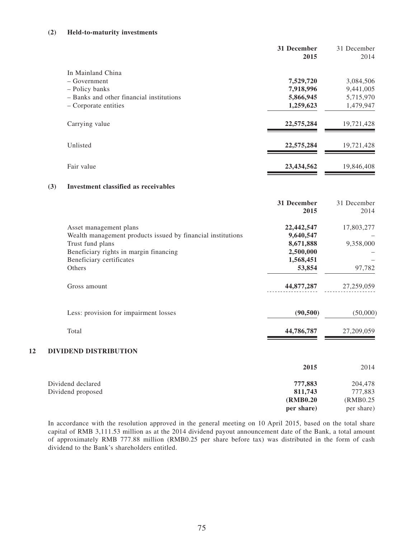# **(2) Held-to-maturity investments**

|                                          | 31 December<br>2015 | 31 December<br>2014 |
|------------------------------------------|---------------------|---------------------|
| In Mainland China                        |                     |                     |
| $-$ Government                           | 7,529,720           | 3,084,506           |
| - Policy banks                           | 7,918,996           | 9,441,005           |
| - Banks and other financial institutions | 5,866,945           | 5,715,970           |
| – Corporate entities                     | 1,259,623           | 1,479,947           |
| Carrying value                           | 22,575,284          | 19,721,428          |
| Unlisted                                 | 22,575,284          | 19,721,428          |
| Fair value                               | 23,434,562          | 19,846,408          |

# **(3) Investment classified as receivables**

|    |                                                             | 31 December<br>2015 | 31 December<br>2014 |
|----|-------------------------------------------------------------|---------------------|---------------------|
|    | Asset management plans                                      | 22,442,547          | 17,803,277          |
|    | Wealth management products issued by financial institutions | 9,640,547           |                     |
|    | Trust fund plans                                            | 8,671,888           | 9,358,000           |
|    | Beneficiary rights in margin financing                      | 2,500,000           |                     |
|    | Beneficiary certificates                                    | 1,568,451           |                     |
|    | Others                                                      | 53,854              | 97,782              |
|    | Gross amount                                                | 44,877,287          | 27,259,059          |
|    | Less: provision for impairment losses                       | (90, 500)           | (50,000)            |
|    | Total                                                       | 44,786,787          | 27,209,059          |
| 12 | DIVIDEND DISTRIBUTION                                       |                     |                     |
|    |                                                             | 2015                | 2014                |
|    | Dividend declared                                           | 777,883             | 204,478             |
|    | Dividend proposed                                           | 811,743             | 777,883             |
|    |                                                             | (RMB0.20)           | (RMB0.25)           |

In accordance with the resolution approved in the general meeting on 10 April 2015, based on the total share capital of RMB 3,111.53 million as at the 2014 dividend payout announcement date of the Bank, a total amount of approximately RMB 777.88 million (RMB0.25 per share before tax) was distributed in the form of cash dividend to the Bank's shareholders entitled.

**per share)**

per share)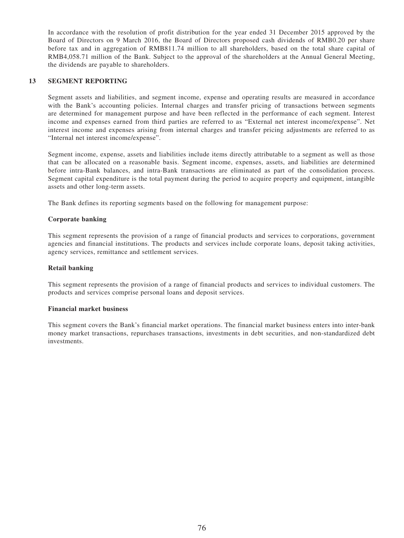In accordance with the resolution of profit distribution for the year ended 31 December 2015 approved by the Board of Directors on 9 March 2016, the Board of Directors proposed cash dividends of RMB0.20 per share before tax and in aggregation of RMB811.74 million to all shareholders, based on the total share capital of RMB4,058.71 million of the Bank. Subject to the approval of the shareholders at the Annual General Meeting, the dividends are payable to shareholders.

## **13 Segment reporting**

Segment assets and liabilities, and segment income, expense and operating results are measured in accordance with the Bank's accounting policies. Internal charges and transfer pricing of transactions between segments are determined for management purpose and have been reflected in the performance of each segment. Interest income and expenses earned from third parties are referred to as "External net interest income/expense". Net interest income and expenses arising from internal charges and transfer pricing adjustments are referred to as "Internal net interest income/expense".

Segment income, expense, assets and liabilities include items directly attributable to a segment as well as those that can be allocated on a reasonable basis. Segment income, expenses, assets, and liabilities are determined before intra-Bank balances, and intra-Bank transactions are eliminated as part of the consolidation process. Segment capital expenditure is the total payment during the period to acquire property and equipment, intangible assets and other long-term assets.

The Bank defines its reporting segments based on the following for management purpose:

## **Corporate banking**

This segment represents the provision of a range of financial products and services to corporations, government agencies and financial institutions. The products and services include corporate loans, deposit taking activities, agency services, remittance and settlement services.

## **Retail banking**

This segment represents the provision of a range of financial products and services to individual customers. The products and services comprise personal loans and deposit services.

#### **Financial market business**

This segment covers the Bank's financial market operations. The financial market business enters into inter-bank money market transactions, repurchases transactions, investments in debt securities, and non-standardized debt investments.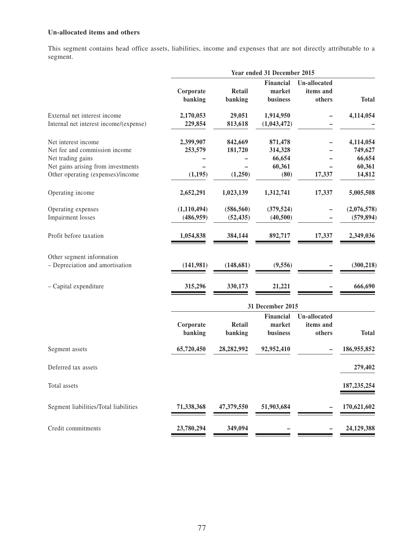# **Un-allocated items and others**

This segment contains head office assets, liabilities, income and expenses that are not directly attributable to a segment.

| <b>Total</b><br>4,114,054 |
|---------------------------|
|                           |
|                           |
| 4,114,054                 |
| 749,627                   |
| 66,654                    |
| 60,361                    |
| 14,812                    |
| 5,005,508                 |
| (2,076,578)               |
| (579, 894)                |
| 2,349,036                 |
|                           |
| (300, 218)                |
| 666,690                   |
|                           |
|                           |
|                           |
| <b>Total</b>              |
| 186,955,852               |
| 279,402                   |
| 187, 235, 254             |
| 170,621,602               |
| 24,129,388                |
|                           |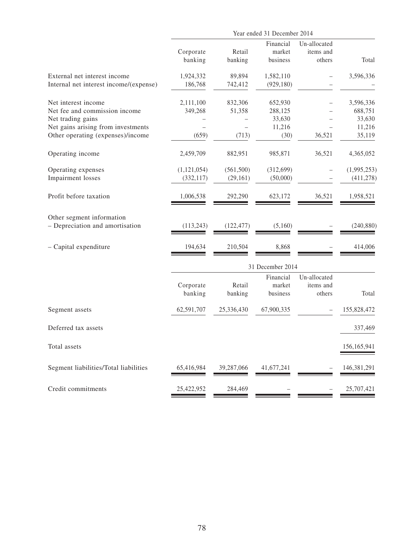|                                                                                                                                                      | Year ended 31 December 2014   |                            |                                                |                                     |                                                    |
|------------------------------------------------------------------------------------------------------------------------------------------------------|-------------------------------|----------------------------|------------------------------------------------|-------------------------------------|----------------------------------------------------|
|                                                                                                                                                      | Corporate<br>banking          | Retail<br>banking          | Financial<br>market<br>business                | Un-allocated<br>items and<br>others | Total                                              |
| External net interest income<br>Internal net interest income/(expense)                                                                               | 1,924,332<br>186,768          | 89,894<br>742,412          | 1,582,110<br>(929, 180)                        |                                     | 3,596,336                                          |
| Net interest income<br>Net fee and commission income<br>Net trading gains<br>Net gains arising from investments<br>Other operating (expenses)/income | 2,111,100<br>349,268<br>(659) | 832,306<br>51,358<br>(713) | 652,930<br>288,125<br>33,630<br>11,216<br>(30) | 36,521                              | 3,596,336<br>688,751<br>33,630<br>11,216<br>35,119 |
| Operating income                                                                                                                                     | 2,459,709                     | 882,951                    | 985,871                                        | 36,521                              | 4,365,052                                          |
| Operating expenses<br><b>Impairment</b> losses                                                                                                       | (1, 121, 054)<br>(332, 117)   | (561, 500)<br>(29, 161)    | (312, 699)<br>(50,000)                         |                                     | (1,995,253)<br>(411, 278)                          |
| Profit before taxation                                                                                                                               | 1,006,538                     | 292,290                    | 623,172                                        | 36,521                              | 1,958,521                                          |
| Other segment information<br>- Depreciation and amortisation                                                                                         | (113, 243)                    | (122, 477)                 | (5,160)                                        |                                     | (240, 880)                                         |
| - Capital expenditure                                                                                                                                | 194,634                       | 210,504                    | 8,868                                          |                                     | 414,006                                            |
|                                                                                                                                                      |                               |                            | 31 December 2014                               |                                     |                                                    |
|                                                                                                                                                      | Corporate<br>banking          | Retail<br>banking          | Financial<br>market<br>business                | Un-allocated<br>items and<br>others | Total                                              |
| Segment assets                                                                                                                                       | 62,591,707                    | 25,336,430                 | 67,900,335                                     |                                     | 155,828,472                                        |
| Deferred tax assets                                                                                                                                  |                               |                            |                                                |                                     | 337,469                                            |
| Total assets                                                                                                                                         |                               |                            |                                                |                                     | 156,165,941                                        |
| Segment liabilities/Total liabilities                                                                                                                | 65,416,984                    | 39,287,066                 | 41,677,241                                     |                                     | 146,381,291                                        |
| Credit commitments                                                                                                                                   | 25,422,952                    | 284,469                    |                                                |                                     | 25,707,421                                         |
|                                                                                                                                                      |                               |                            |                                                |                                     |                                                    |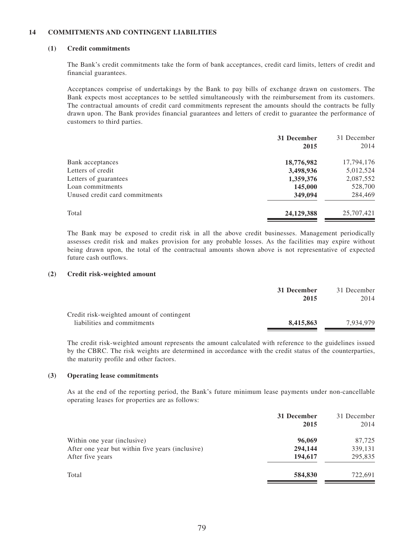## **14 Commitments and contingent liabilities**

## **(1) Credit commitments**

The Bank's credit commitments take the form of bank acceptances, credit card limits, letters of credit and financial guarantees.

Acceptances comprise of undertakings by the Bank to pay bills of exchange drawn on customers. The Bank expects most acceptances to be settled simultaneously with the reimbursement from its customers. The contractual amounts of credit card commitments represent the amounts should the contracts be fully drawn upon. The Bank provides financial guarantees and letters of credit to guarantee the performance of customers to third parties.

| 31 December | 31 December |
|-------------|-------------|
| 2015        | 2014        |
| 18,776,982  | 17,794,176  |
| 3,498,936   | 5,012,524   |
| 1,359,376   | 2,087,552   |
| 145,000     | 528,700     |
| 349,094     | 284,469     |
| 24,129,388  | 25,707,421  |
|             |             |

The Bank may be exposed to credit risk in all the above credit businesses. Management periodically assesses credit risk and makes provision for any probable losses. As the facilities may expire without being drawn upon, the total of the contractual amounts shown above is not representative of expected future cash outflows.

#### **(2) Credit risk-weighted amount**

|                                           | 31 December | 31 December |
|-------------------------------------------|-------------|-------------|
|                                           | 2015        | 2014        |
| Credit risk-weighted amount of contingent |             |             |
| liabilities and commitments               | 8.415.863   | 7.934.979   |

The credit risk-weighted amount represents the amount calculated with reference to the guidelines issued by the CBRC. The risk weights are determined in accordance with the credit status of the counterparties, the maturity profile and other factors.

#### **(3) Operating lease commitments**

As at the end of the reporting period, the Bank's future minimum lease payments under non-cancellable operating leases for properties are as follows:

|                                                  | 31 December<br>2015 | 31 December<br>2014 |
|--------------------------------------------------|---------------------|---------------------|
| Within one year (inclusive)                      | 96,069              | 87,725              |
| After one year but within five years (inclusive) | 294,144             | 339,131             |
| After five years                                 | 194,617             | 295,835             |
| Total                                            | 584,830             | 722,691             |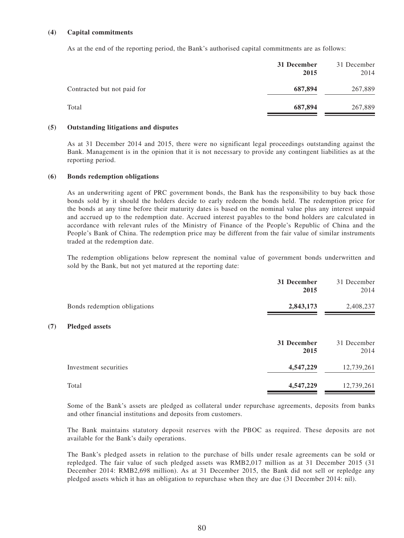## **(4) Capital commitments**

As at the end of the reporting period, the Bank's authorised capital commitments are as follows:

|                             | 31 December<br>2015 | 31 December<br>2014 |
|-----------------------------|---------------------|---------------------|
| Contracted but not paid for | 687,894             | 267,889             |
| Total                       | 687,894             | 267,889             |

## **(5) Outstanding litigations and disputes**

As at 31 December 2014 and 2015, there were no significant legal proceedings outstanding against the Bank. Management is in the opinion that it is not necessary to provide any contingent liabilities as at the reporting period.

#### **(6) Bonds redemption obligations**

**(7) Pledged assets**

As an underwriting agent of PRC government bonds, the Bank has the responsibility to buy back those bonds sold by it should the holders decide to early redeem the bonds held. The redemption price for the bonds at any time before their maturity dates is based on the nominal value plus any interest unpaid and accrued up to the redemption date. Accrued interest payables to the bond holders are calculated in accordance with relevant rules of the Ministry of Finance of the People's Republic of China and the People's Bank of China. The redemption price may be different from the fair value of similar instruments traded at the redemption date.

The redemption obligations below represent the nominal value of government bonds underwritten and sold by the Bank, but not yet matured at the reporting date:

|                              | 31 December<br>2015 | 31 December<br>2014 |
|------------------------------|---------------------|---------------------|
| Bonds redemption obligations | 2,843,173           | 2,408,237           |
| <b>Pledged assets</b>        |                     |                     |
|                              | 31 December<br>2015 | 31 December<br>2014 |
| Investment securities        | 4,547,229           | 12,739,261          |
| Total                        | 4,547,229           | 12,739,261          |

Some of the Bank's assets are pledged as collateral under repurchase agreements, deposits from banks and other financial institutions and deposits from customers.

The Bank maintains statutory deposit reserves with the PBOC as required. These deposits are not available for the Bank's daily operations.

The Bank's pledged assets in relation to the purchase of bills under resale agreements can be sold or repledged. The fair value of such pledged assets was RMB2,017 million as at 31 December 2015 (31 December 2014: RMB2,698 million). As at 31 December 2015, the Bank did not sell or repledge any pledged assets which it has an obligation to repurchase when they are due (31 December 2014: nil).